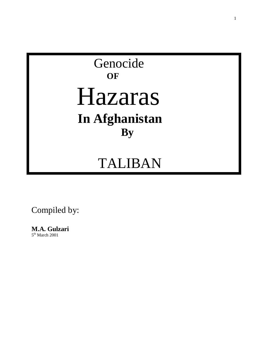# Genocide **OF** Hazaras  **In Afghanistan By**

# TALIBAN

### Compiled by:

### **M.A. Gulzari**

5<sup>th</sup> March 2001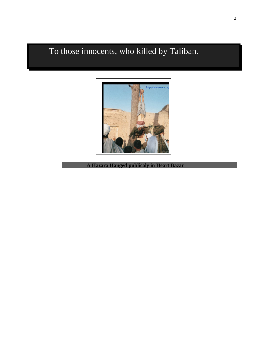To those innocents, who killed by Taliban.



**A Hazara Hanged publicaly in Heart Bazar**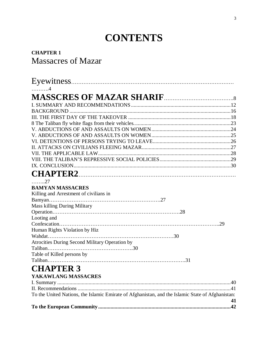### **CONTENTS**

#### **CHAPTER 1** Massacres of Mazar

| . 4                                                                                              |    |
|--------------------------------------------------------------------------------------------------|----|
|                                                                                                  |    |
|                                                                                                  |    |
|                                                                                                  |    |
|                                                                                                  |    |
|                                                                                                  |    |
|                                                                                                  |    |
|                                                                                                  |    |
|                                                                                                  |    |
|                                                                                                  |    |
|                                                                                                  |    |
|                                                                                                  |    |
|                                                                                                  |    |
|                                                                                                  |    |
|                                                                                                  |    |
| . 27                                                                                             |    |
| <b>BAMYAN MASSACRES</b>                                                                          |    |
| Killing and Arrestment of civilians in                                                           |    |
|                                                                                                  |    |
| Mass killing During Military                                                                     |    |
|                                                                                                  |    |
| Looting and                                                                                      |    |
|                                                                                                  |    |
| Human Rights Violation by Hiz                                                                    |    |
|                                                                                                  |    |
| Atrocities During Second Military Operation by                                                   |    |
|                                                                                                  |    |
| Table of Killed persons by                                                                       |    |
|                                                                                                  |    |
| <b>CHAPTER 3</b>                                                                                 |    |
| YAKAWLANG MASSACRES                                                                              |    |
|                                                                                                  |    |
|                                                                                                  |    |
| To the United Nations, the Islamic Emirate of Afghanistan, and the Islamic State of Afghanistan: |    |
|                                                                                                  | 41 |
|                                                                                                  |    |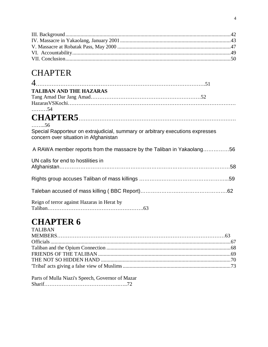### **CHAPTER**

| <b>TALIBAN AND THE HAZARAS</b>                                                                                          |
|-------------------------------------------------------------------------------------------------------------------------|
|                                                                                                                         |
|                                                                                                                         |
| . 54                                                                                                                    |
|                                                                                                                         |
| $\ldots \ldots 56$                                                                                                      |
| Special Rapporteur on extrajudicial, summary or arbitrary executions expresses<br>concern over situation in Afghanistan |
| A RAWA member reports from the massacre by the Taliban in Yakaolang56                                                   |
| UN calls for end to hostilities in                                                                                      |
|                                                                                                                         |
|                                                                                                                         |
|                                                                                                                         |
| Reign of terror against Hazaras in Herat by                                                                             |

## **CHAPTER 6**

| <b>TALIBAN</b> |  |
|----------------|--|
|                |  |
|                |  |
|                |  |
|                |  |
|                |  |
|                |  |
|                |  |

Parts of Mulla Niazi's Speech, Governor of Mazar Sharif…………………………………….…..72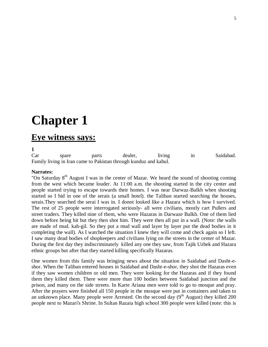# **Chapter 1**

### **Eye witness says:**

**1** 

Car spare parts dealer, living in Saidabad. Family living in Iran came to Pakistan through kunduz and kabul.

#### **Narrates:**

"On Saturday  $8<sup>th</sup>$  August I was in the center of Mazar. We heard the sound of shooting coming from the west which became louder. At 11:00 a.m. the shooting started in the city center and people started trying to escape towards their homes. I was near Darwaz-Balkh when shooting started so I hid in one of the serais (a small hotel). the Taliban started searching the houses, serais.They searched the serai I was in. I donot looked like a Hazara which is how I survived. The rest of 25 people were interrogated seriously- all were civilians, mostly cart Pullers and street traders. They killed nine of them, who were Hazaras in Darwaze Balkh. One of them lied down before being hit but they then shot him. They were then all put in a wall. (Note: the walls are made of mud. kah-gil. So they put a mud wall and layer by layer put the dead bodies in it completing the wall). As I watched the situation I knew they will come and check again so I left. I saw many dead bodies of shopkeepers and civilians lying on the streets in the center of Mazar. During the first day they indiscriminately killed any one they saw, from Tajik Uzbek and Hazara ethnic groups but after that they started killing specifically Hazaras.

One women from this family was bringing news about the situation in Saidabad and Dasht-eshor. When the Taliban entered houses in Saidabad and Dasht-e-shor, they shot the Hazaras even if they saw women children or old men. They were looking for the Hazaras and if they found them they killed them. There were more than 100 bodies between Saidabad junction and the prison, and many on the side streets. In Karte Ariana men were told to go to mosque and pray. After the prayers were finished all 150 people in the mosque were put in containers and taken to an unknown place. Many people were Arrested. On the second day  $(9<sup>th</sup>$  August) they killed 200 people next to Mazari's Shrine. In Sultan Razaia high school 300 people were killed (note: this is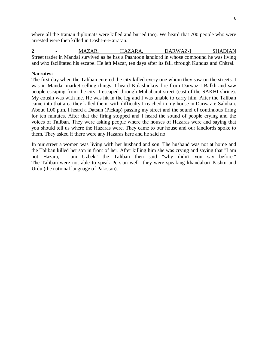where all the Iranian diplomats were killed and buried too). We heard that 700 people who were arrested were then killed in Dasht-e-Hairatan."

**2 -** MAZAR, HAZARA, DARWAZ-I SHADIAN Street trader in Mandai survived as he has a Pashtoon landlord in whose compound he was living and who facilitated his escape. He left Mazar, ten days after its fall, through Kunduz and Chitral.

#### **Narrates:**

The first day when the Taliban entered the city killed every one whom they saw on the streets. I was in Mandai market selling things. I heard Kalashinkov fire from Darwaz-I Balkh and saw people escaping from the city. I escaped through Muhabarat street (east of the SAKHI shrine). My cousin was with me. He was hit in the leg and I was unable to carry him. After the Taliban came into that area they killed them. with difficulty I reached in my house in Darwaz-e-Sahdian. About 1.00 p.m. I heard a Datsun (Pickup) passing my street and the sound of continuous firing for ten minutes. After that the firing stopped and I heard the sound of people crying and the voices of Taliban. They were asking people where the houses of Hazaras were and saying that you should tell us where the Hazaras were. They came to our house and our landlords spoke to them. They asked if there were any Hazaras here and he said no.

In our street a women was living with her husband and son. The husband was not at home and the Taliban killed her son in front of her. After killing him she was crying and saying that "I am not Hazara, I am Uzbek" the Taliban then said "why didn't you say before." The Taliban were not able to speak Persian well- they were speaking khandahari Pashtu and Urdu (the national language of Pakistan).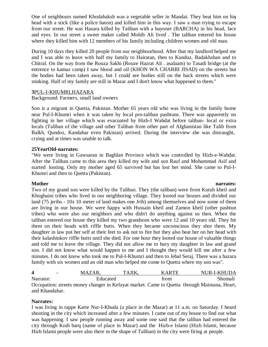One of neighbours named Khodabaksh was a vegetable seller in Mandai. They beat him on his <sup>7</sup> head with a stick (like a police baton) and killed him in this way. I saw a man trying to escape from our street. He was Hazara killed by Taliban with a bayonet (BARCHA) in his head, face and eyes. In our street a sweet maker called Mohib Ali lived . The taliban entered his house where they killed him with 12 members of his family including children women and old man.

During 10 days they killed 20 people from our neighbourhood. After that my landlord helped me and I was able to leave with half my family to Hairatan, then to Kunduz, Badakhshan and to Chitral. On the way from the Rouza Sakhi (Rouze Hazrat Ali . asalaam) to Tasadi bridge (at the entrence to kamaz camp) I saw blood and oil (KHON WA CHARBI JISAD) on the streets but the bodies had been taken away, but I could see bodies still on the back streets which were stinking. Half of my family are still in Mazar and I don't know what happened to them."

#### **3**PUL-I-KHUMRI,HAZARA

Background: Farmers, small land owners

Son is a migrant in Quetta, Pakistan. Mother 65 years old who was living in the family home near Pul-I-Khumri when it was taken by local pro-taliban pashtuns. There was apparently no fighting in her village which was evacuated by Hizb-I Wahdat before taliban- local or extra locals (Taliban of the village and other Taliban from other part of Afghanistan like Talib from Balkh, Qundoz, Kandahar even Pakistan) arrived. During the interview she was distraught, crying and at times was unable to talk.

#### **25YearOld-narrates:**

"We were living in Gawsaran in Baghlan Province which was controlled by Hizb-e-Wahdat. After the Taliban came to this area they killed my wife and son Rauf and Mohammad Asif and started looting. Only my mother aged 65 survived but has lost her mind. She came to Pul-I-Khumri and then to Quetta (Pakistan).

**Mother** narrates: Two of my grand son were killed by the Taliban. They (the taliban) were from Kutub kheil and Khoghaini tribes who lived in our neighboring village. They looted our houses and divided our land (75 jeribs - 10x 10 meter of land makes one Jrib) among themselves and now some of them are living in our house. We were happy with Hussain kheil and Zamon kheil (other pashtun tribes) who were also our neighbors and who didn't do anything against us then. When the taliban entered our house they killed my two grandsons who were 12 and 10 years old. They hit them on their heads with riffle butts. When they became unconscious they shot them. My daughter in law put her self at their feet to ask not to fire but they also beat her on her head with their kalashinkov riffle butts until she died. For one hour they looted our house of valuable things and told me to leave the village. They did not allow me to bury my daughter in law and grand son. I did not know what would happen to me and I thought they would kill me after a few minutes. I do not know who took me to Pul-I-Khumri and then to Jebal Seraj. There was a hazara family with six women and an old man who helped me come to Quetta where my son was".

| 4         | ΛD<br>$\mathbf{M} \mathbf{A}^{\prime}$ | тΔ | v  | <b>ARTE</b> |         | NUR-L-KHUDA |
|-----------|----------------------------------------|----|----|-------------|---------|-------------|
| Narrator: | Educated                               |    |    | trom        |         | homah       |
| __        | ---                                    |    | __ | $\sim$      | - - - - | $ -$        |

Occupation: streets money changer in Kefayat market. Came to Quetta through Maimana, Heart, and Khandahar.

#### **Narrates:**

I was living in tappe Karte Nur-I-Khuda (a place in the Mazar) at 11 a.m. on Saturday. I heard shooting in the city which increased after a few minutes. I came out of my house to find out what was happening. I saw people running away and some one said that the taliban had entered the city through Kodi barq (name of place in Mazar) and the Hizb-e Islami (Hizb Islami, because Hizb Islami people were also there in the shape of Taliban) in the city were firing at people.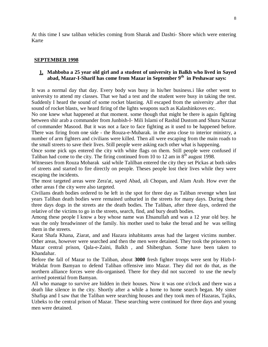At this time I saw taliban vehicles coming from Sharak and Dashti- Shore which were entering Karte

#### **SEPTEMBER 1998**

#### **1. Mahboba a 25 year old girl and a student of university in Balkh who lived in Sayed abad, Mazar-I-Sharif has come from Mazar in September 9th in Peshawar says:**

It was a normal day that day. Every body was busy in his/her business.i like other went to university to attend my classes. That we had a test and the student were busy in taking the test. Suddenly I heard the sound of some rocket blasting. All escaped from the university .after that sound of rocket blasts, we heard firing of the lights weapons such as Kalashinkoves etc.

No one knew what happened at that moment. some though that might be there is again fighting between shir arab a commander from Junbish-I- Mili Islami of Rashid Dustom and Shura Nazzar of commander Masood. But it was not a face to face fighting as it used to be happened before. There was firing from one side - the Rouza-e-Mubarak. in the area close to interior ministry, a number of arm fighters and civilians were killed. Then all were escaping from the main roads to the small streets to save their lives. Still people were asking each other what is happening.

Once some pick ups entered the city with white flags on them. Still people were confused if Taliban had come to the city. The firing continued from 10 to 12 am in  $8<sup>th</sup>$  august 1998.

Witnesses from Rouza Mobarak said while Talilban entered the city they set Pickas at both sides of streets and started to fire directly on people. Theses people lost their lives while they were escaping the incidents.

The most targeted areas were Zera'at, sayed Abad, ali Chopan, and Alam Arab. How ever the other areas f the city were also targeted.

Civilians death bodies ordered to be left in the spot for three day as Taliban revenge when last years Taliban death bodies were remained unburied in the streets for many days. During these three days dogs in the streets ate the death bodies. The Taliban, after three days, ordered the relative of the victims to go in the streets, search, find, and bury death bodies.

Among these people I know a boy whose name was Ehsanullah and was a 12 year old boy. he was the only breadwinner of the family. his mother used to bake the bread and he was selling them in the streets.

Karat Shafa Khana, Ziarat, and and Hazara inhabitants areas had the largest victims number. Other areas, however were searched and then the men were detained. They took the prisoners to Mazar central prison, Qala-e-Zaini, Balkh , and Shiberghan. Some have been taken to Khandahar.

Before the fall of Mazar to the Taliban, about **3000** fresh fighter troops were sent by Hizb-I-Wahdat from Bamyan to defend Taliban offensive into Mazar. They did not do that, as the northern alliance forces were dis-organised. There for they did not succeed to use the newly arrived potential from Bamyan.

All who manage to survive are hidden in their houses. Now it was one o'clock and there was a death like silence in the city. Shortly after a while a home to home search began. My sister Shafiqa and I saw that the Taliban were searching houses and they took men of Hazaras, Tajiks, Uzbeks to the central prison of Mazar. These searching were continued for three days and young men were detained.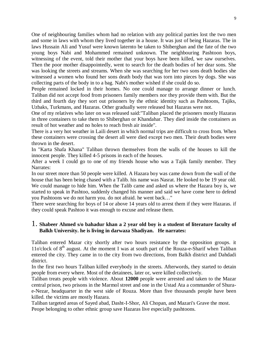One of neighbouring families whom had no relation with any political parties lost the two men and some in laws with whom they lived together in a house. It was just of being Hazaras. The in laws Hussain Ali and Yusuf were known laternto be taken to Shiberghan and the fate of the two young boys Nabi and Mohammed remained unknown. The neighbouring Pashtoon boys, witnessing of the event, told their mother that your boys have been killed, we saw ourselves. Then the poor mother disappointedly, went to search for the death bodies of her dear sons. She was looking the streets and streams. When she was searching for her two sons death bodies she witnessed a women who found her sons death body that was torn into pieces by dogs. She was collecting parts of the body in to a bag. Nabi's mother wished if she could do so.

People remained locked in their homes. No one could manage to arrange dinner or lunch. Taliban did not accept food from prisoners family members nor they provide them with. But the third and fourth day they sort out prisoners by the ethnic identity such as Pashtoons, Tajiks, Uzbaks, Turkmans, and Hazaras. Other gradually were released but Hazaras were not.

One of my relatives who later on was released said:"Taliban placed the prisoners mostly Hazaras in three containers to take them to Shiberghan or Khandahar. They died inside the containers as result of hot weather and no holes to reach fresh air inside".

There is a very hot weather in Laili desert in which normal trips are difficult to cross from. When these containers were crossing the desert all were died except two men. Their death bodies were thrown in the desert.

In "Karta Shafa Khana" Taliban thrown themselves from the walls of the houses to kill the innocent people. They killed 4-5 prisons in each of the houses.

After a week I could go to one of my friends house who was a Tajik family member. They Narrates:

In our street more than 50 people were killed. A Hazara boy was came down from the wall of the house that has been being chased with a Talib. his name was Nasrat. He looked to be 19 year old. We could manage to hide him. When the Talib came and asked us where the Hazara boy is, we started to speak in Pashtoo, suddenly changed his manner and said we have come here to defend you Pashtoons we do not harm you. do not afraid. he went back…"

There were searching for boys of 14 or above 14 years old to arrest them if they were Hazaras. if they could speak Pashtoo it was enough to excuse and release them.

#### 1. **Shabeer Ahmed s/o bahadur khan a 2 year old boy is a student of literature faculty of Balkh University. he is living in darwaza Shadiyan. He narrates:**

Taliban entered Mazar city shortly after two hours resistance by the opposition groups. it 11o'clock of  $8<sup>th</sup>$  august. At the moment I was at south part of the Rouza-e-Sharif when Taliban entered the city. They came in to the city from two directions, from Balkh district and Dahdadi district.

In the first two hours Taliban killed everybody in the streets. Afterwords, they started to detain people from every where. Most of the detainees, later or, were killed collectively.

Taliban treats people with violence. About **12000** people were arrested and taken to the Mazar central prison, two prisons in the Marmol street and one in the Ustad Ata a commander of Shurae-Nezar, headquarter in the west side of Rouza. More than five thousands people have been killed. the victims are mostly Hazara.

Taliban targeted areas of Sayed abad, Dasht-I-Shor, Ali Chopan, and Mazari's Grave the most. Peope belonging to other ethnic group save Hazaras live especially pashtoons.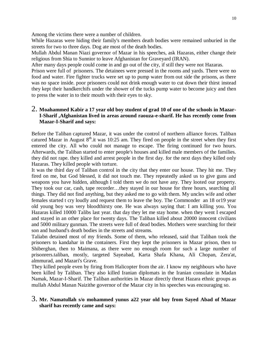Among the victims there were a number of children.

While Hazaras were hiding their family's members death bodies were remained unburied in the streets for two to three days. Dog ate most of the death bodies.

Mullah Abdul Manan Niazi governor of Mazar in his speeches, ask Hazaras, either change their religious from Shia to Sunnior to leave Afghanistan for Graveyard (IRAN).

After many days people could come in and go out of the city, if still they were not Hazaras.

Prison were full of prisoners. The detainees were pressed in the rooms and yards. There were no food and water. Fire fighter trucks were set up to pump water from out side the prisons, as there was no space inside. poor prisoners could not drink enough water to cut down their thirst instead they kept their handkerchifs under the shower of the tucks pump water to become juicy and then to press the water in to their mouth with their eyes to sky.

#### 2. **Moahammed Kabir a 17 year old boy student of grad 10 of one of the schools in Mazar-I-Sharif ,Afghanistan lived in areas around raouza-e-sharif. He has recently come from Mazar-I-Sharif and says:**

Before the Taliban captured Mazar, it was under the control of northern alliance forces. Taliban catured Mazar in August  $8<sup>th</sup>$  it was 10:25 am. They fired on people in the street when they first entered the city. All who could not manage to escape. The firing continued for two hours. Afterwards, the Taliban started to enter people's houses and killed male members of the families. they did not rape. they killed and arrest people in the first day. for the next days they killed only Hazaras. They killed people with torture.

It was the third day of Taliban control in the city that they enter our house. They hit me. They fired on me, but God blessed, it did not touch me. They repeatedly asked us to give guns and weapons you have hidden, although I told them we do not have any. They looted our property. They took our car, cash, tape recorder…they stayed in our house for three hours, searching all things. They did not find anything, but they asked me to go with them. My uncles wife and other females started t cry loudly and request them to leave the boy. The Commonder an 18 or19 year old young boy was very bloodthirsty one. He was always saying that: I am killing you. You Hazaras killed 10000 Talibs last year. that day they let me stay home. when they went I escaped and stayed in an other place for twenty days. The Taliban killed about 20000 innocent civilians and 5000 military gunman. The streets were full of dead bodies. Mothers were searching for their son and husband's death bodies in the streets and streams.

Taliabn detained most of my friends. Some of them, who released, said that Taliban took the prisoners to kandahar in the containers. First they kept the prisoners in Mazar prison, then to Shiberghan, then to Maimana, as there were no enough room for such a large number of prisonrers.taliban, mostly, targeted Sayeabad, Karta Shafa Khana, Ali Chopan, Zera'at, almmurad, and Mazari's Grave.

They killed people even by firing from Halicopter from the air. I know my neighbours who have been killed by Taliban. They also killed Iranian diplomats in the Iranian consulate in Madan Namak, Mazar-I-Sharif. The Taliban authorities in Mazar directly threat Hazara ethnic groups as mullah Abdul Manan Naizithe governor of the Mazar city in his speeches was encouraging so.

#### 3. **Mr. Namatullah s/o mohammed yunus a22 year old boy from Sayed Abad of Mazar sharif has recently came and says:**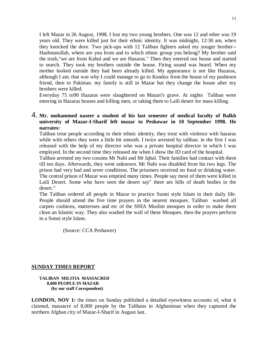I left Mazar in 26 August, 1998. I lost my two young brothers. One was 12 and other was 19 years old. They were killed just for their ethnic identity. It was midnight, 12:30 am, when they knocked the door. Two pick-ups with 12 Taliban fighters asked my youger brother-- Hashmatullah, where are you from and to which ethnic group you belong? My brother said the truth,"we are from Kabul and we are Hazaras." Then they entered our house and started to search. They took my brothers outside the house. Firing sound was heard. When my mother looked outside they had been already killed. My appearance is not like Hazaras, although I am. that was why I could manage to go to Kunduz from the house of my pashtoon friend, then to Pakistan. my family is still in Mazar but they change the house after my brothers were killed.

Everyday 75 to90 Hazaras were slaughtered on Mazari's grave. At nights Taliban were entering in Hazaras houses and killing men, or taking them to Laili desert for mass killing.

#### 4. **Mr. mohammed naseer a student of his last semester of medical faculty of Balkh university of Mazar-I-Sharif left mazar to Peshawar in 10 September 1998. He narrates:**

Taliban treat people according to their ethnic identity. they treat with violence with hazaras while with others they were a little bit smooth. I twice arrested by taliban. in the first I was released with the help of my director who was a private hospital director in which I was employed. In the second time they released me when I show the ID card of the hospital.

Taliban arrested my two cousins Mr Nabi and Mr Iqbal. Their families had contact with them till ten days. Afterwards, they went unknown. Mr Nabi was disabled from his two legs. The prison had very bad and sever conditions. The prisoners received no food or drinking water. The central prison of Mazar was emptied many times. People say most of them were killed in Laili Desert. Some who have seen the desert say" there are hills of death bodies in the desert."

The Taliban ordered all people in Mazar to practice Sunni style Islam in their daily life. People should attend the five time prayers in the nearest mosques. Taliban washed all carpets cushions, mattersses and etc of the SHIA Muslim mosques in order to make them clean an Islamic way. They also washed the wall of these Mosques. then the prayers perform in a Sunni style Islam.

(Source: CCA Peshawer)

#### **SUNDAY TIMES REPORT**

#### **TALIBAN MILITIA MASSACRED 8,000 PEOPLE IN MAZAR (by our staff Corespondent)**

**LONDON, NOV 1:** the times on Sunday published a detailed eyewitness accounts of, what it claimed, massacre of 8,000 people by the Talibans in Afghanistan when they captured the northern Afghan city of Mazar-I-Sharif in August last.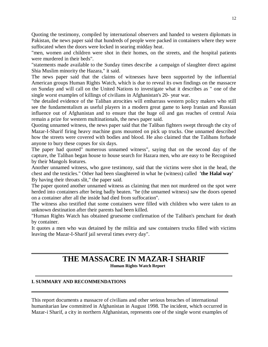Quoting the testimony, compiled by international observers and handed to western diplomats in Pakistan, the news paper said that hundreds of people were packed in containers where they were suffocated when the doors were locked in searing midday heat.

"men, women and children were shot in their homes, on the streets, and the hospital patients were murdered in their beds".

"statements made available to the Sunday times describe a campaign of slaughter direct against Shia Muslim minority the Hazara," it said.

The news paper said that the claims of witnesses have been supported by the influential American groups Human Rights Watch, which is due to reveal its own findings on the massacre on Sunday and will call on the United Nations to investigate what it describes as " one of the single worst examples of killings of civilians in Afghanistan's 20- year war.

"the detailed evidence of the Taliban atrocities will embarrass western policy makers who still see the fundamentalism as useful players in a modern great game to keep Iranian and Russian influence out of Afghanistan and to ensure that the huge oil and gas reaches of central Asia remain a prize for western multinationals, the news paper said.

Quoting unnamed witness, the news paper said that the Taliban fighters swept through the city of Mazar-I-Sharif firing heavy machine guns mounted on pick up trucks. One unnamed described how the streets were covered with bodies and blood. He also claimed that the Talibans forbade anyone to bury these copses for six days.

The paper had quoted" numerous unnamed witness", saying that on the second day of the capture, the Taliban began house to house search for Hazara men, who are easy to be Recognised by their Mangols features.

Another unnamed witness, who gave testimony, said that the victims were shot in the head, the chest and the testicles." Other had been slaughtered in what he (witness) called **'the Halal way'** By having their throats slit," the paper said.

The paper quoted another unnamed witness as claiming that men not murdered on the spot were herded into containers after being badly beaten. "he (the unnamed witness) saw the doors opened on a container after all the inside had died from suffocation".

The witness also testified that some containers were filled with children who were taken to an unknown destination after their parents had been killed.

"Human Rights Watch has obtained gruesome confirmation of the Taliban's penchant for death by container.

It quotes a men who was detained by the militia and saw containers trucks filled with victims leaving the Mazar-I-Sharif jail several times every day".

### **THE MASSACRE IN MAZAR-I SHARIF**

**Human Rights Watch Report**

#### **I. SUMMARY AND RECOMMENDATIONS**

This report documents a massacre of civilians and other serious breaches of international humanitarian law committed in Afghanistan in August 1998. The incident, which occurred in Mazar-i Sharif, a city in northern Afghanistan, represents one of the single worst examples of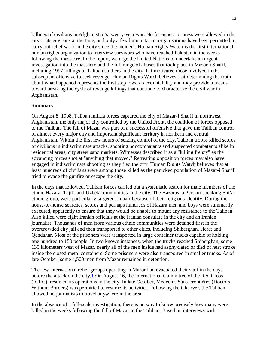killings of civilians in Afghanistan's twenty-year war. No foreigners or press were allowed in the city or its environs at the time, and only a few humanitarian organizations have been permitted to carry out relief work in the city since the incident. Human Rights Watch is the first international human rights organization to interview survivors who have reached Pakistan in the weeks following the massacre. In the report, we urge the United Nations to undertake an urgent investigation into the massacre and the full range of abuses that took place in Mazar-i Sharif, including 1997 killings of Taliban soldiers in the city that motivated those involved in the subsequent offensive to seek revenge. Human Rights Watch believes that determining the truth about what happened represents the first step toward accountability and may provide a means toward breaking the cycle of revenge killings that continue to characterize the civil war in Afghanistan.

#### **Summary**

On August 8, 1998, Taliban militia forces captured the city of Mazar-i Sharif in northwest Afghanistan, the only major city controlled by the United Front, the coalition of forces opposed to the Taliban. The fall of Mazar was part of a successful offensive that gave the Taliban control of almost every major city and important significant territory in northern and central Afghanistan. Within the first few hours of seizing control of the city, Taliban troops killed scores of civilians in indiscriminate attacks, shooting noncombatants and suspected combatants alike in residential areas, city street sand markets. Witnesses described it as a "killing frenzy" as the advancing forces shot at "anything that moved." Retreating opposition forces may also have engaged in indiscriminate shooting as they fled the city. Human Rights Watch believes that at least hundreds of civilians were among those killed as the panicked population of Mazar-i Sharif tried to evade the gunfire or escape the city.

In the days that followed, Taliban forces carried out a systematic search for male members of the ethnic Hazara, Tajik, and Uzbek communities in the city. The Hazaras, a Persian-speaking Shi'a ethnic group, were particularly targeted, in part because of their religious identity. During the house-to-house searches, scores and perhaps hundreds of Hazara men and boys were summarily executed, apparently to ensure that they would be unable to mount any resistance to the Taliban. Also killed were eight Iranian officials at the Iranian consulate in the city and an Iranian journalist. Thousands of men from various ethnic communities were detained first in the overcrowded city jail and then transported to other cities, including Shiberghan, Herat and Qandahar. Most of the prisoners were transported in large container trucks capable of holding one hundred to 150 people. In two known instances, when the trucks reached Shiberghan, some 130 kilometers west of Mazar, nearly all of the men inside had asphyxiated or died of heat stroke inside the closed metal containers. Some prisoners were also transported in smaller trucks. As of late October, some 4,500 men from Mazar remained in detention.

The few international relief groups operating in Mazar had evacuated their staff in the days before the attack on the city.<sup>1</sup> On August 16, the International Committee of the Red Cross (ICRC), resumed its operations in the city. In late October, Médecins Sans Frontières (Doctors Without Borders) was permitted to resume its activities. Following the takeover, the Taliban allowed no journalists to travel anywhere in the area.

In the absence of a full-scale investigation, there is no way to know precisely how many were killed in the weeks following the fall of Mazar to the Taliban. Based on interviews with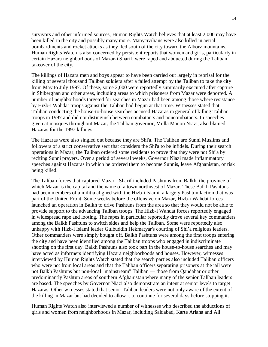survivors and other informed sources, Human Rights Watch believes that at least 2,000 may have been killed in the city and possibly many more. Manycivilians were also killed in aerial bombardments and rocket attacks as they fled south of the city toward the Alborz mountains. Human Rights Watch is also concerned by persistent reports that women and girls, particularly in certain Hazara neighborhoods of Mazar-i Sharif, were raped and abducted during the Taliban takeover of the city.

The killings of Hazara men and boys appear to have been carried out largely in reprisal for the killing of several thousand Taliban soldiers after a failed attempt by the Taliban to take the city from May to July 1997. Of these, some 2,000 were reportedly summarily executed after capture in Shiberghan and other areas, including areas to which prisoners from Mazar were deported. A number of neighborhoods targeted for searches in Mazar had been among those where resistance by Hizb-i Wahdat troops against the Taliban had begun at that time. Witnesses stated that Taliban conducting the house-to-house searches accused Hazaras in general of killing Taliban troops in 1997 and did not distinguish between combatants and noncombatants. In speeches given at mosques throughout Mazar, the Taliban governor, Mulla Manon Niazi, also blamed Hazaras for the 1997 killings.

The Hazaras were also singled out because they are Shi'a. The Taliban are Sunni Muslims and followers of a strict conservative sect that considers the Shi'a to be infidels. During their search operations in Mazar, the Taliban ordered some residents to prove that they were not Shi'a by reciting Sunni prayers. Over a period of several weeks, Governor Niazi made inflammatory speeches against Hazaras in which he ordered them to become Sunnis, leave Afghanistan, or risk being killed.

The Taliban forces that captured Mazar-i Sharif included Pashtuns from Balkh, the province of which Mazar is the capital and the name of a town northwest of Mazar. These Balkh Pashtuns had been members of a militia aligned with the Hizb-i Islami, a largely Pashtun faction that was part of the United Front. Some weeks before the offensive on Mazar, Hizb-i Wahdat forces launched an operation in Balkh to drive Pashtuns from the area so that they would not be able to provide support to the advancing Taliban troops. The Hizb-i Wahdat forces reportedly engaged in widespread rape and looting. The rapes in particular reportedly drove several key commanders among the Balkh Pashtuns to switch sides and help the Taliban. Some were reportedly also unhappy with Hizb-i Islami leader Gulbuddin Hekmatyar's courting of Shi'a religious leaders. Other commanders were simply bought off. Balkh Pashtuns were among the first troops entering the city and have been identified among the Taliban troops who engaged in indiscriminate shooting on the first day. Balkh Pashtuns also took part in the house-to-house searches and may have acted as informers identifying Hazara neighborhoods and houses. However, witnesses interviewed by Human Rights Watch stated that the search parties also included Taliban officers who were not from local areas and that the Taliban officers separating prisoners at the jail were not Balkh Pashtuns but non-local "mainstream" Taliban — those from Qandahar or other predominantly Pashtun areas of southern Afghanistan where many of the senior Taliban leaders are based. The speeches by Governor Niazi also demonstrate an intent at senior levels to target Hazaras. Other witnesses stated that senior Taliban leaders were not only aware of the extent of the killing in Mazar but had decided to allow it to continue for several days before stopping it.

Human Rights Watch also interviewed a number of witnesses who described the abductions of girls and women from neighborhoods in Mazar, including Saidabad, Karte Ariana and Ali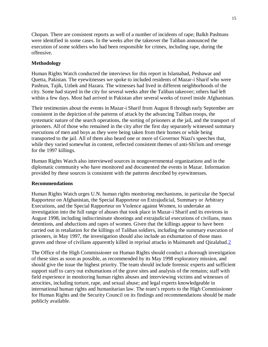Chopan. There are consistent reports as well of a number of incidents of rape; Balkh Pashtuns were identified in some cases. In the weeks after the takeover the Taliban announced the execution of some soldiers who had been responsible for crimes, including rape, during the offensive.

#### **Methodology**

Human Rights Watch conducted the interviews for this report in Islamabad, Peshawar and Quetta, Pakistan. The eyewitnesses we spoke to included residents of Mazar-i Sharif who were Pashtun, Tajik, Uzbek and Hazara. The witnesses had lived in different neighborhoods of the city. Some had stayed in the city for several weeks after the Taliban takeover; others had left within a few days. Most had arrived in Pakistan after several weeks of travel inside Afghanistan.

Their testimonies about the events in Mazar-i Sharif from August 8 through early September are consistent in the depiction of the patterns of attack by the advancing Taliban troops, the systematic nature of the search operations, the sorting of prisoners at the jail, and the transport of prisoners. All of those who remained in the city after the first day separately witnessed summary executions of men and boys as they were being taken from their homes or while being transported to the jail. All of them also heard one or more of Governor Niazi's speeches that, while they varied somewhat in content, reflected consistent themes of anti-Shi'ism and revenge for the 1997 killings.

Human Rights Watch also interviewed sources in nongovernmental organizations and in the diplomatic community who have monitored and documented the events in Mazar. Information provided by these sources is consistent with the patterns described by eyewitnesses.

#### **Recommendations**

Human Rights Watch urges U.N. human rights monitoring mechanisms, in particular the Special Rapporteur on Afghanistan, the Special Rapporteur on Extrajudicial, Summary or Arbitrary Executions, and the Special Rapporteur on Violence against Women, to undertake an investigation into the full range of abuses that took place in Mazar-i Sharif and its environs in August 1998, including indiscriminate shootings and extrajudicial executions of civilians, mass detentions, and abductions and rapes of women. Given that the killings appear to have been carried out in retaliation for the killings of Taliban soldiers, including the summary execution of prisoners, in May 1997, the investigation should also include an exhumation of those mass graves and those of civilians apparently killed in reprisal attacks in Maimaneh and Qizalabad.2

The Office of the High Commissioner on Human Rights should conduct a thorough investigation of these sites as soon as possible, as recommended by its May 1998 exploratory mission, and should give the issue the highest priority. The team should include forensic experts and sufficient support staff to carry out exhumations of the grave sites and analysis of the remains; staff with field experience in monitoring human rights abuses and interviewing victims and witnesses of atrocities, including torture, rape, and sexual abuse; and legal experts knowledgeable in international human rights and humanitarian law. The team's reports to the High Commissioner for Human Rights and the Security Council on its findings and recommendations should be made publicly available.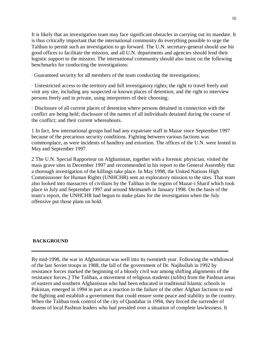It is likely that an investigation team may face significant obstacles in carrying out its mandate. It is thus critically important that the international community do everything possible to urge the Taliban to permit such an investigation to go forward. The U.N. secretary-general should use his good offices to facilitate the mission, and all U.N. departments and agencies should lend their logistic support to the mission. The international community should also insist on the following benchmarks for conducting the investigations:

*·* Guaranteed security for all members of the team conducting the investigations;

· Unrestricted access to the territory and full investigatory rights; the right to travel freely and visit any site, including any suspected or known places of detention; and the right to interview persons freely and in private, using interpreters of their choosing;

· Disclosure of all current places of detention where persons detained in connection with the conflict are being held; disclosure of the names of all individuals detained during the course of the conflict; and their current whereabouts.

1 In fact, few international groups had had any expatriate staff in Mazar since September 1997 because of the precarious security conditions. Fighting between various factions was commonplace, as were incidents of banditry and extortion. The offices of the U.N. were looted in May and September 1997.

2 The U.N. Special Rapporteur on Afghanistan, together with a forensic physician, visited the mass grave sites in December 1997 and recommended in his report to the General Assembly that a thorough investigation of the killings take place. In May 1998, the United Nations High Commissioner for Human Rights (UNHCHR) sent an exploratory mission to the sites. That team also looked into massacres of civilians by the Taliban in the region of Mazar-i Sharif which took place in July and September 1997 and around Meimaneh in January 1998. On the basis of the team's report, the UNHCHR had begun to make plans for the investigation when the July offensive put those plans on hold.

#### **BACKGROUND**

By mid-1998, the war in Afghanistan was well into its twentieth year. Following the withdrawal of the last Soviet troops in 1988, the fall of the government of Dr. Najibullah in 1992 by resistance forces marked the beginning of a bloody civil war among shifting alignments of the resistance forces.3 The Taliban, a movement of religious students (*talibs*) from the Pashtun areas of eastern and southern Afghanistan who had been educated in traditional Islamic schools in Pakistan, emerged in 1994 in part as a reaction to the failure of the other Afghan factions to end the fighting and establish a government that could ensure some peace and stability in the country. When the Taliban took control of the city of Qandahar in 1994, they forced the surrender of dozens of local Pashtun leaders who had presided over a situation of complete lawlessness. It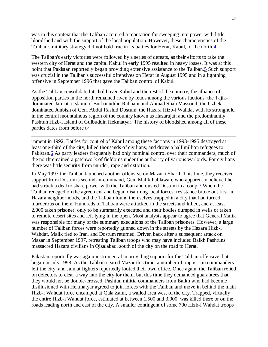was in this context that the Taliban acquired a reputation for sweeping into power with little bloodshed and with the support of the local population. However, these characteristics of the Taliban's military strategy did not hold true in its battles for Herat, Kabul, or the north.4

The Taliban's early victories were followed by a series of defeats, as their efforts to take the western city of Herat and the capital Kabul in early 1995 resulted in heavy losses. It was at this point that Pakistan reportedly began providing extensive assistance to the Taliban.5 Such support was crucial in the Taliban's successful offensives on Herat in August 1995 and in a lightning offensive in September 1996 that gave the Taliban control of Kabul.

As the Taliban consolidated its hold over Kabul and the rest of the country, the alliance of opposition parties in the north remained riven by feuds among the various factions: the Tajikdominated Jamiat-i Islami of Burhanuddin Rabbani and Ahmad Shah Massoud; the Uzbekdominated Junbish of Gen. Abdul Rashid Dostum; the Hazara Hizb-i Wahdat with its stronghold in the central mountainous region of the country known as Hazarajat; and the predominantly Pashtun Hizb-i Islami of Gulbuddin Hekmatyar. The history of bloodshed among all of these parties dates from before t>

rnment in 1992. Battles for control of Kabul among these factions in 1993-1995 destroyed at least one-third of the city, killed thousands of civilians, and drove a half million refugees to Pakistan.6 As party leaders frequently had only nominal control over their commanders, much of the northremained a patchwork of fiefdoms under the authority of various warlords. For civilians there was little security from murder, rape and extortion.

In May 1997 the Taliban launched another offensive on Mazar-i Sharif. This time, they received support from Dostum's second-in-command, Gen. Malik Pahlawan, who apparently believed he had struck a deal to share power with the Taliban and ousted Dostum in a coup.7 When the Taliban reneged on the agreement and began disarming local forces, resistance broke out first in Hazara neighborhoods, and the Taliban found themselves trapped in a city that had turned murderous on them. Hundreds of Taliban were attacked in the streets and killed, and at least 2,000 taken prisoner, only to be summarily executed and their bodies dumped in wells or taken to remote desert sites and left lying in the open. Most analysts appear to agree that General Malik was responsible for many of the summary executions of the Taliban prisoners. However, a large number of Taliban forces were reportedly gunned down in the streets by the Hazara Hizb-i Wahdat. Malik fled to Iran, and Dostum returned. Driven back after a subsequent attack on Mazar in September 1997, retreating Taliban troops who may have included Balkh Pashtuns massacred Hazara civilians in Qizalabad, south of the city on the road to Herat.

Pakistan reportedly was again instrumental in providing support for the Taliban offensive that began in July 1998. As the Taliban neared Mazar this time, a number of opposition commanders left the city, and Jamiat fighters reportedly looted their own office. Once again, the Taliban relied on defectors to clear a way into the city for them, but this time they demanded guarantees that they would not be double-crossed. Pashtun militia commanders from Balkh who had become disillusioned with Hekmatyar agreed to join forces with the Taliban and move in behind the main Hizb-i Wahdat force encamped at Qala Zaini, a walled area west of the city. Trapped, virtually the entire Hizb-i Wahdat force, estimated at between 1,500 and 3,000, was killed there or on the roads leading north and east of the city. A smaller contingent of some 700 Hizb-i Wahdat troops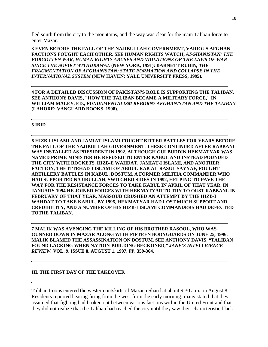fled south from the city to the mountains, and the way was clear for the main Taliban force to enter Mazar.

**3 EVEN BEFORE THE FALL OF THE NAJIBULLAH GOVERNMENT, VARIOUS AFGHAN FACTIONS FOUGHT EACH OTHER. SEE HUMAN RIGHTS WATCH,** *AFGHANISTAN: THE FORGOTTEN WAR, HUMAN RIGHTS ABUSES AND VIOLATIONS OF THE LAWS OF WAR SINCE THE SOVIET WITHDRAWAL* **(NEW YORK, 1991); BARNETT RUBIN***, THE FRAGMENTATION OF AFGHANISTAN: STATE FORMATION AND COLLAPSE IN THE INTERNATIONAL SYSTEM* **(NEW HAVEN: YALE UNIVERSITY PRESS, 1995).**

**4 FOR A DETAILED DISCUSSION OF PAKISTAN'S ROLE IS SUPPORTING THE TALIBAN, SEE ANTHONY DAVIS, "HOW THE TALIBAN BECAME A MILITARY FORCE," IN WILLIAM MALEY, ED.,** *FUNDAMENTALISM REBORN? AFGHANISTAN AND THE TALIBAN* **(LAHORE: VANGUARD BOOKS, 1998).**

#### **5 IBID.**

**6 HIZB-I ISLAMI AND JAMIAT-ISLAMI FOUGHT BITTER BATTLES FOR YEARS BEFORE THE FALL OF THE NAJIBULLAH GOVERNMENT. THESE CONTINUED AFTER RABBANI WAS INSTALLED AS PRESIDENT IN 1992. ALTHOUGH GULBUDDIN HEKMATYAR WAS NAMED PRIME MINISTER HE REFUSED TO ENTER KABUL AND INSTEAD POUNDED THE CITY WITH ROCKETS. HIZB-E WAHDAT, JAMIAT-I ISLAMI, AND ANOTHER FACTION, THE ITTEHAD-I ISLAMI OF ABDUL-RAB AL-RASUL SAYYAF, FOUGHT ARTILLERY BATTLES IN KABUL. DOSTUM, A FORMER MILITIA COMMANDER WHO HAD SUPPORTED NAJIBULLAH, SWITCHED SIDES IN 1992, HELPING TO PAVE THE WAY FOR THE RESISTANCE FORCES TO TAKE KABUL IN APRIL OF THAT YEAR. IN JANUARY 1994 HE JOINED FORCES WITH HEKMATYAR TO TRY TO OUST RABBANI. IN FEBRUARY OF THAT YEAR, MASSOUD CRUSHED AN ATTEMPT BY THE HIZB-I WAHDAT TO TAKE KABUL. BY 1996, HEKMATYAR HAD LOST MUCH SUPPORT AND CREDIBILITY, AND A NUMBER OF HIS HIZB-I ISLAMI COMMANDERS HAD DEFECTED TOTHE TALIBAN.**

**7 MALIK WAS AVENGING THE KILLING OF HIS BROTHER RASOOL, WHO WAS GUNNED DOWN IN MAZAR ALONG WITH FIFTEEN BODYGUARDS ON JUNE 25, 1996. MALIK BLAMED THE ASSASSINATION ON DOSTUM. SEE ANTHONY DAVIS, "TALIBAN FOUND LACKING WHEN NATION-BUILDING BECKONED,"** *JANE'S INTELLIGENCE REVIEW,* **VOL. 9, ISSUE 8, AUGUST 1, 1997, PP. 359-364.**

#### **III. THE FIRST DAY OF THE TAKEOVER**

Taliban troops entered the western outskirts of Mazar-i Sharif at about 9:30 a.m. on August 8. Residents reported hearing firing from the west from the early morning; many stated that they assumed that fighting had broken out between various factions within the United Front and that they did not realize that the Taliban had reached the city until they saw their characteristic black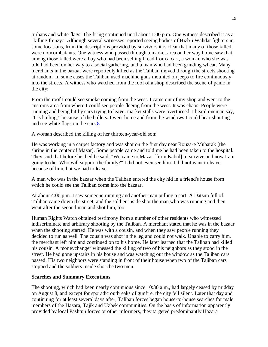turbans and white flags. The firing continued until about 1:00 p.m. One witness described it as a "killing frenzy." Although several witnesses reported seeing bodies of Hizb-i Wahdat fighters in some locations, from the descriptions provided by survivors it is clear that many of those killed were noncombatants. One witness who passed through a market area on her way home saw that among those killed were a boy who had been selling bread from a cart, a woman who she was told had been on her way to a social gathering, and a man who had been grinding wheat. Many merchants in the bazaar were reportedly killed as the Taliban moved through the streets shooting at random. In some cases the Taliban used machine guns mounted on jeeps to fire continuously into the streets. A witness who watched from the roof of a shop described the scene of panic in the city:

From the roof I could see smoke coming from the west. I came out of my shop and went to the customs area from where I could see people fleeing from the west. It was chaos. People were running and being hit by cars trying to leave, market stalls were overturned. I heard oneman say, "It's hailing," because of the bullets. I went home and from the windows I could hear shouting and see white flags on the cars.8

A woman described the killing of her thirteen-year-old son:

He was working in a carpet factory and was shot on the first day near Rouza-e Mubarak [the shrine in the center of Mazar]. Some people came and told me he had been taken to the hospital. They said that before he died he said, "We came to Mazar [from Kabul] to survive and now I am going to die. Who will support the family?" I did not even see him. I did not want to leave because of him, but we had to leave.

A man who was in the bazaar when the Taliban entered the city hid in a friend's house from which he could see the Taliban come into the bazaar.

At about 4:00 p.m. I saw someone running and another man pulling a cart. A Datsun full of Taliban came down the street, and the soldier inside shot the man who was running and then went after the second man and shot him, too.

Human Rights Watch obtained testimony from a number of other residents who witnessed indiscriminate and arbitrary shooting by the Taliban. A merchant stated that he was in the bazaar when the shooting started. He was with a cousin, and when they saw people running they decided to run as well. The cousin was shot in the leg and could not walk. Unable to carry him, the merchant left him and continued on to his home. He later learned that the Taliban had killed his cousin. A moneychanger witnessed the killing of two of his neighbors as they stood in the street. He had gone upstairs in his house and was watching out the window as the Taliban cars passed. His two neighbors were standing in front of their house when two of the Taliban cars stopped and the soldiers inside shot the two men.

#### **Searches and Summary Executions**

The shooting, which had been nearly continuous since 10:30 a.m., had largely ceased by midday on August 8, and except for sporadic outbreaks of gunfire, the city fell silent. Later that day and continuing for at least several days after, Taliban forces began house-to-house searches for male members of the Hazara, Tajik and Uzbek communities. On the basis of information apparently provided by local Pashtun forces or other informers, they targeted predominantly Hazara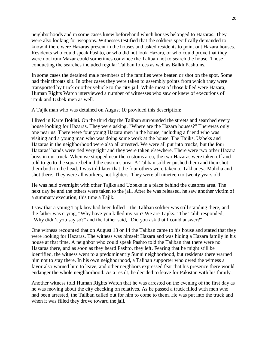neighborhoods and in some cases knew beforehand which houses belonged to Hazaras. They were also looking for weapons. Witnesses testified that the soldiers specifically demanded to know if there were Hazaras present in the houses and asked residents to point out Hazara houses. Residents who could speak Pashto, or who did not look Hazara, or who could prove that they were not from Mazar could sometimes convince the Taliban not to search the house. Those conducting the searches included regular Taliban forces as well as Balkh Pashtuns.

In some cases the detained male members of the families were beaten or shot on the spot. Some had their throats slit. In other cases they were taken to assembly points from which they were transported by truck or other vehicle to the city jail. While most of those killed were Hazara, Human Rights Watch interviewed a number of witnesses who saw or knew of executions of Tajik and Uzbek men as well.

A Tajik man who was detained on August 10 provided this description:

I lived in Karte Bokhti. On the third day the Taliban surrounded the streets and searched every house looking for Hazaras. They were asking, "Where are the Hazara houses?" Therewas only one near us. There were four young Hazara men in the house, including a friend who was visiting and a young man who was doing some work at the house. The Tajiks, Uzbeks and Hazaras in the neighborhood were also all arrested. We were all put into trucks, but the four Hazaras' hands were tied very tight and they were taken elsewhere. There were two other Hazara boys in our truck. When we stopped near the customs area, the two Hazaras were taken off and told to go to the square behind the customs area. A Taliban soldier pushed them and then shot them both in the head. I was told later that the four others were taken to Takhaneya Mahdia and shot there. They were all workers, not fighters. They were all nineteen to twenty years old.

He was held overnight with other Tajiks and Uzbeks in a place behind the customs area. The next day he and the others were taken to the jail. After he was released, he saw another victim of a summary execution, this time a Tajik.

I saw that a young Tajik boy had been killed—the Taliban soldier was still standing there, and the father was crying, "Why have you killed my son? We are Tajiks." The Talib responded, "Why didn't you say so?" and the father said, "Did you ask that I could answer?"

One witness recounted that on August 13 or 14 the Taliban came to his house and stated that they were looking for Hazaras. The witness was himself Hazara and was hiding a Hazara family in his house at that time. A neighbor who could speak Pashto told the Taliban that there were no Hazaras there, and as soon as they heard Pashto, they left. Fearing that he might still be identified, the witness went to a predominantly Sunni neighborhood, but residents there warned him not to stay there. In his own neighborhood, a Taliban supporter who owed the witness a favor also warned him to leave, and other neighbors expressed fear that his presence there would endanger the whole neighborhood. As a result, he decided to leave for Pakistan with his family.

Another witness told Human Rights Watch that he was arrested on the evening of the first day as he was moving about the city checking on relatives. As he passed a truck filled with men who had been arrested, the Taliban called out for him to come to them. He was put into the truck and when it was filled they drove toward the jail.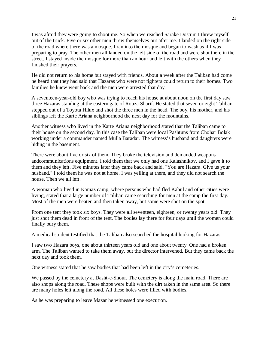I was afraid they were going to shoot me. So when we reached Sarake Dostum I threw myself out of the truck. Five or six other men threw themselves out after me. I landed on the right side of the road where there was a mosque. I ran into the mosque and began to wash as if I was preparing to pray. The other men all landed on the left side of the road and were shot there in the street. I stayed inside the mosque for more than an hour and left with the others when they finished their prayers.

He did not return to his home but stayed with friends. About a week after the Taliban had come he heard that they had said that Hazaras who were not fighters could return to their homes. Two families he knew went back and the men were arrested that day.

A seventeen-year-old boy who was trying to reach his house at about noon on the first day saw three Hazaras standing at the eastern gate of Rouza Sharif. He stated that seven or eight Taliban stepped out of a Toyota Hilux and shot the three men in the head. The boy, his mother, and his siblings left the Karte Ariana neighborhood the next day for the mountains.

Another witness who lived in the Karte Ariana neighborhood stated that the Taliban came to their house on the second day. In this case the Taliban were local Pashtuns from Chohar Bolak working under a commander named Mulla Baradar. The witness's husband and daughters were hiding in the basement.

There were about five or six of them. They broke the television and demanded weapons andcommunications equipment. I told them that we only had one Kalashnikov, and I gave it to them and they left. Five minutes later they came back and said, "You are Hazara. Give us your husband." I told them he was not at home. I was yelling at them, and they did not search the house. Then we all left.

A woman who lived in Kamaz camp, where persons who had fled Kabul and other cities were living, stated that a large number of Taliban came searching for men at the camp the first day. Most of the men were beaten and then taken away, but some were shot on the spot.

From one tent they took six boys. They were all seventeen, eighteen, or twenty years old. They just shot them dead in front of the tent. The bodies lay there for four days until the women could finally bury them.

A medical student testified that the Taliban also searched the hospital looking for Hazaras.

I saw two Hazara boys, one about thirteen years old and one about twenty. One had a broken arm. The Taliban wanted to take them away, but the director intervened. But they came back the next day and took them.

One witness stated that he saw bodies that had been left in the city's cemeteries.

We passed by the cemetery at Dasht-e-Shour. The cemetery is along the main road. There are also shops along the road. These shops were built with the dirt taken in the same area. So there are many holes left along the road. All these holes were filled with bodies.

As he was preparing to leave Mazar he witnessed one execution.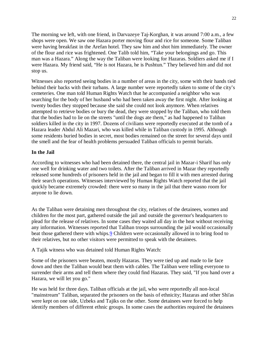The morning we left, with one friend, in Darvazeye Taj-Korghan, it was around 7:00 a.m., a few shops were open. We saw one Hazara porter moving flour and rice for someone. Some Taliban were having breakfast in the Arefan hotel. They saw him and shot him immediately. The owner of the flour and rice was frightened. One Talib told him, "Take your belongings and go. This man was a Hazara." Along the way the Taliban were looking for Hazaras. Soldiers asked me if I were Hazara. My friend said, "He is not Hazara, he is Pushtun." They believed him and did not stop us.

Witnesses also reported seeing bodies in a number of areas in the city, some with their hands tied behind their backs with their turbans. A large number were reportedly taken to some of the city's cemeteries. One man told Human Rights Watch that he accompanied a neighbor who was searching for the body of her husband who had been taken away the first night. After looking at twenty bodies they stopped because she said she could not look anymore. When relatives attempted to retrieve bodies or bury the dead, they were stopped by the Taliban, who told them that the bodies had to lie on the streets "until the dogs ate them," as had happened to Taliban soldiers killed in the city in 1997. Dozens of civilians were reportedly executed at the tomb of a Hazara leader Abdul Ali Mazari, who was killed while in Taliban custody in 1995. Although some residents buried bodies in secret, most bodies remained on the street for several days until the smell and the fear of health problems persuaded Taliban officials to permit burials.

#### **In the Jail**

According to witnesses who had been detained there, the central jail in Mazar-i Sharif has only one well for drinking water and two toilets. After the Taliban arrived in Mazar they reportedly released some hundreds of prisoners held in the jail and began to fill it with men arrested during their search operations. Witnesses interviewed by Human Rights Watch reported that the jail quickly became extremely crowded: there were so many in the jail that there wasno room for anyone to lie down.

As the Taliban were detaining men throughout the city, relatives of the detainees, women and children for the most part, gathered outside the jail and outside the governor's headquarters to plead for the release of relatives. In some cases they waited all day in the heat without receiving any information. Witnesses reported that Taliban troops surrounding the jail would occasionally beat those gathered there with whips.9 Children were occasionally allowed in to bring food to their relatives, but no other visitors were permitted to speak with the detainees.

A Tajik witness who was detained told Human Rights Watch:

Some of the prisoners were beaten, mostly Hazaras. They were tied up and made to lie face down and then the Taliban would beat them with cables. The Taliban were telling everyone to surrender their arms and tell them where they could find Hazaras. They said, "If you hand over a Hazara, we will let you go."

He was held for three days. Taliban officials at the jail, who were reportedly all non-local "mainstream" Taliban, separated the prisoners on the basis of ethnicity; Hazaras and other Shi'as were kept on one side, Uzbeks and Tajiks on the other. Some detainees were forced to help identify members of different ethnic groups. In some cases the authorities required the detainees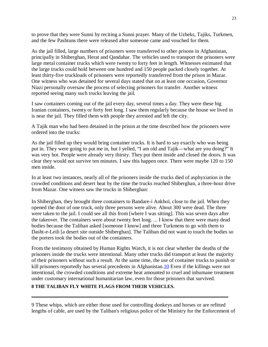to prove that they were Sunni by reciting a Sunni prayer. Many of the Uzbeks, Tajiks, Turkmen, and the few Pashtuns there were released after someone came and vouched for them.

As the jail filled, large numbers of prisoners were transferred to other prisons in Afghanistan, principally in Shiberghan, Herat and Qandahar. The vehicles used to transport the prisoners were large metal container trucks which were twenty to forty feet in length. Witnesses estimated that the large trucks could hold between one hundred and 150 people packed closely together. At least thirty-five truckloads of prisoners were reportedly transferred from the prison in Mazar. One witness who was detained for several days stated that on at least one occasion, Governor Niazi personally oversaw the process of selecting prisoners for transfer. Another witness reported seeing many such trucks leaving the jail.

I saw containers coming out of the jail every day, several times a day. They were these big Iranian containers, twenty or forty feet long. I saw them regularly because the house we lived in is near the jail. They filled them with people they arrested and left the city.

A Tajik man who had been detained in the prison at the time described how the prisoners were ordered into the trucks:

As the jail filled up they would bring container trucks. It is hard to say exactly who was being put in. They were going to put me in, but I yelled, "I am old and Tajik—what are you doing?" It was very hot. People were already very thirsty. They put them inside and closed the doors. It was clear they would not survive ten minutes. I saw this happen once. There were maybe 120 to 150 men inside.

In at least two instances, nearly all of the prisoners inside the trucks died of asphyxiation in the crowded conditions and desert heat by the time the trucks reached Shiberghan, a three-hour drive from Mazar. One witness saw the trucks in Shiberghan:

In Shiberghan, they brought three containers to Bandare-i Ankhoï, close to the jail. When they opened the door of one truck, only three persons were alive. About 300 were dead. The three were taken to the jail. I could see all this from [where I was sitting]. This was seven days after the takeover. The containers were about twenty feet long. ... I know that there were many dead bodies because the Taliban asked [someone I know] and three Turkmens to go with them to Dasht-e-Leili [a desert site outside Shiberghan]. The Taliban did not want to touch the bodies so the porters took the bodies out of the containers.

From the testimony obtained by Human Rights Watch, it is not clear whether the deaths of the prisoners inside the trucks were intentional. Many other trucks did transport at least the majority of their prisoners without such a result. At the same time, the use of container trucks to punish or kill prisoners reportedly has several precedents in Afghanistan.10 Even if the killings were not intentional, the crowded conditions and extreme heat amounted to cruel and inhumane treatment under customary international humanitarian law, even for those prisoners that survived.

#### **8 THE TALIBAN FLY WHITE FLAGS FROM THEIR VEHICLES.**

9 These whips, which are either those used for controlling donkeys and horses or are refitted lengths of cable, are used by the Taliban's religious police of the Ministry for the Enforcement of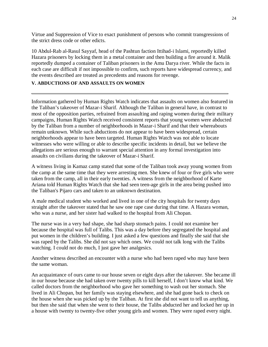Virtue and Suppression of Vice to exact punishment of persons who commit transgressions of the strict dress code or other edicts.

10 Abdul-Rab al-Rasul Sayyaf, head of the Pashtun faction Ittihad-i Islami, reportedly killed Hazara prisoners by locking them in a metal container and then building a fire around it. Malik reportedly dumped a container of Taliban prisoners in the Amu Darya river. While the facts in each case are difficult if not impossible to confirm, such reports have widespread currency, and the events described are treated as precedents and reasons for revenge.

#### **V. ABDUCTIONS OF AND ASSAULTS ON WOMEN**

Information gathered by Human Rights Watch indicates that assaults on women also featured in the Taliban's takeover of Mazar-i Sharif. Although the Taliban in general have, in contrast to most of the opposition parties, refrained from assaulting and raping women during their military campaigns, Human Rights Watch received consistent reports that young women were abducted by the Taliban from a number of neighborhoods in Mazar-i Sharif and that their whereabouts remain unknown. While such abductions do not appear to have been widespread, certain neighborhoods appear to have been targeted. Human Rights Watch was not able to locate witnesses who were willing or able to describe specific incidents in detail, but we believe the allegations are serious enough to warrant special attention in any formal investigation into assaults on civilians during the takeover of Mazar-i Sharif.

A witness living in Kamaz camp stated that some of the Taliban took away young women from the camp at the same time that they were arresting men. She knew of four or five girls who were taken from the camp, all in their early twenties. A witness from the neighborhood of Karte Ariana told Human Rights Watch that she had seen teen-age girls in the area being pushed into the Taliban's Pijaro cars and taken to an unknown destination.

A male medical student who worked and lived in one of the city hospitals for twenty days straight after the takeover stated that he saw one rape case during that time. A Hazara woman, who was a nurse, and her sister had walked to the hospital from Ali Chopan.

The nurse was in a very bad shape, she had sharp stomach pains. I could not examine her because the hospital was full of Talibs. This was a day before they segregated the hospital and put women in the children's building. I just asked a few questions and finally she said that she was raped by the Talibs. She did not say which ones. We could not talk long with the Talibs watching. I could not do much, I just gave her analgesics.

Another witness described an encounter with a nurse who had been raped who may have been the same woman.

An acquaintance of ours came to our house seven or eight days after the takeover. She became ill in our house because she had taken over twenty pills to kill herself, I don't know what kind. We called doctors from the neighborhood who gave her something to wash out her stomach. She lived in Ali Chopan, but her family was staying elsewhere, and she had gone back to check on the house when she was picked up by the Taliban. At first she did not want to tell us anything, but then she said that when she went to their house, the Talibs abducted her and locked her up in a house with twenty to twenty-five other young girls and women. They were raped every night.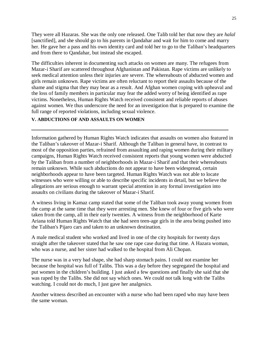They were all Hazaras. She was the only one released. One Talib told her that now they are *halal* [sanctified], and she should go to his parents in Qandahar and wait for him to come and marry her. He gave her a pass and his own identity card and told her to go to the Taliban's headquarters and from there to Qandahar, but instead she escaped.

The difficulties inherent in documenting such attacks on women are many. The refugees from Mazar-i Sharif are scattered throughout Afghanistan and Pakistan. Rape victims are unlikely to seek medical attention unless their injuries are severe. The whereabouts of abducted women and girls remain unknown. Rape victims are often reluctant to report their assaults because of the shame and stigma that they may bear as a result. And Afghan women coping with upheaval and the loss of family members in particular may fear the added worry of being identified as rape victims. Nonetheless, Human Rights Watch received consistent and reliable reports of abuses against women. We thus underscore the need for an investigation that is prepared to examine the full range of reported violations, including sexual violence.

#### **V. ABDUCTIONS OF AND ASSAULTS ON WOMEN**

Information gathered by Human Rights Watch indicates that assaults on women also featured in the Taliban's takeover of Mazar-i Sharif. Although the Taliban in general have, in contrast to most of the opposition parties, refrained from assaulting and raping women during their military campaigns, Human Rights Watch received consistent reports that young women were abducted by the Taliban from a number of neighborhoods in Mazar-i Sharif and that their whereabouts remain unknown. While such abductions do not appear to have been widespread, certain neighborhoods appear to have been targeted. Human Rights Watch was not able to locate witnesses who were willing or able to describe specific incidents in detail, but we believe the allegations are serious enough to warrant special attention in any formal investigation into assaults on civilians during the takeover of Mazar-i Sharif.

A witness living in Kamaz camp stated that some of the Taliban took away young women from the camp at the same time that they were arresting men. She knew of four or five girls who were taken from the camp, all in their early twenties. A witness from the neighborhood of Karte Ariana told Human Rights Watch that she had seen teen-age girls in the area being pushed into the Taliban's Pijaro cars and taken to an unknown destination.

A male medical student who worked and lived in one of the city hospitals for twenty days straight after the takeover stated that he saw one rape case during that time. A Hazara woman, who was a nurse, and her sister had walked to the hospital from Ali Chopan.

The nurse was in a very bad shape, she had sharp stomach pains. I could not examine her because the hospital was full of Talibs. This was a day before they segregated the hospital and put women in the children's building. I just asked a few questions and finally she said that she was raped by the Talibs. She did not say which ones. We could not talk long with the Talibs watching. I could not do much, I just gave her analgesics.

Another witness described an encounter with a nurse who had been raped who may have been the same woman.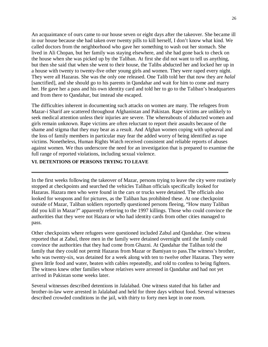An acquaintance of ours came to our house seven or eight days after the takeover. She became ill in our house because she had taken over twenty pills to kill herself, I don't know what kind. We called doctors from the neighborhood who gave her something to wash out her stomach. She lived in Ali Chopan, but her family was staying elsewhere, and she had gone back to check on the house when she was picked up by the Taliban. At first she did not want to tell us anything, but then she said that when she went to their house, the Talibs abducted her and locked her up in a house with twenty to twenty-five other young girls and women. They were raped every night. They were all Hazaras. She was the only one released. One Talib told her that now they are *halal* [sanctified], and she should go to his parents in Qandahar and wait for him to come and marry her. He gave her a pass and his own identity card and told her to go to the Taliban's headquarters and from there to Qandahar, but instead she escaped.

The difficulties inherent in documenting such attacks on women are many. The refugees from Mazar-i Sharif are scattered throughout Afghanistan and Pakistan. Rape victims are unlikely to seek medical attention unless their injuries are severe. The whereabouts of abducted women and girls remain unknown. Rape victims are often reluctant to report their assaults because of the shame and stigma that they may bear as a result. And Afghan women coping with upheaval and the loss of family members in particular may fear the added worry of being identified as rape victims. Nonetheless, Human Rights Watch received consistent and reliable reports of abuses against women. We thus underscore the need for an investigation that is prepared to examine the full range of reported violations, including sexual violence.

#### **VI. DETENTIONS OF PERSONS TRYING TO LEAVE**

In the first weeks following the takeover of Mazar, persons trying to leave the city were routinely stopped at checkpoints and searched the vehicles Taliban officials specifically looked for Hazaras. Hazara men who were found in the cars or trucks were detained. The officials also looked for weapons and for pictures, as the Taliban has prohibited these. At one checkpoint outside of Mazar, Taliban soldiers reportedly questioned persons fleeing, "How many Taliban did you kill in Mazar?" apparently referring to the 1997 killings. Those who could convince the authorities that they were not Hazara or who had identity cards from other cities managed to pass.

Other checkpoints where refugees were questioned included Zabul and Qandahar. One witness reported that at Zabul, three men in the family were detained overnight until the family could convince the authorities that they had come from Ghazni. At Qandahar the Taliban told the family that they could not permit Hazaras from Mazar or Bamiyan to pass.The witness's brother, who was twenty-six, was detained for a week along with ten to twelve other Hazaras. They were given little food and water, beaten with cables repeatedly, and told to confess to being fighters. The witness knew other families whose relatives were arrested in Qandahar and had not yet arrived in Pakistan some weeks later.

Several witnesses described detentions in Jalalabad. One witness stated that his father and brother-in-law were arrested in Jalalabad and held for three days without food. Several witnesses described crowded conditions in the jail, with thirty to forty men kept in one room.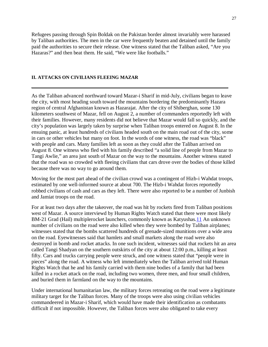Refugees passing through Spin Boldak on the Pakistan border almost invariably were harassed by Taliban authorities. The men in the car were frequently beaten and detained until the family paid the authorities to secure their release. One witness stated that the Taliban asked, "Are you Hazaras?" and then beat them. He said, "We were like footballs."

#### **II. ATTACKS ON CIVILIANS FLEEING MAZAR**

As the Taliban advanced northward toward Mazar-i Sharif in mid-July, civilians began to leave the city, with most heading south toward the mountains bordering the predominantly Hazara region of central Afghanistan known as Hazarajat. After the city of Shiberghan, some 130 kilometers southwest of Mazar, fell on August 2, a number of commanders reportedly left with their families. However, many residents did not believe that Mazar would fall so quickly, and the city's population was largely taken by surprise when Taliban troops entered on August 8. In the ensuing panic, at least hundreds of civilians headed south on the main road out of the city, some in cars or other vehicles but many on foot. In the words of one witness, the road was "black" with people and cars. Many families left as soon as they could after the Taliban arrived on August 8. One witness who fled with his family described "a solid line of people from Mazar to Tangi Awlie," an area just south of Mazar on the way to the mountains. Another witness stated that the road was so crowded with fleeing civilians that cars drove over the bodies of those killed because there was no way to go around them.

Moving for the most part ahead of the civilian crowd was a contingent of Hizb-i Wahdat troops, estimated by one well-informed source at about 700. The Hizb-i Wahdat forces reportedly robbed civilians of cash and cars as they left. There were also reported to be a number of Junbish and Jamiat troops on the road.

For at least two days after the takeover, the road was hit by rockets fired from Taliban positions west of Mazar. A source interviewd by Human Rights Watch stated that there were most likely BM-21 Grad (Hail) multiplerocket launchers, commonly known as Katyushas.11 An unknown number of civilians on the road were also killed when they were bombed by Taliban airplanes; witnesses stated that the bombs scattered hundreds of grenade-sized munitions over a wide area on the road. Eyewitnesses said that hamlets and small markets along the road were also destroyed in bomb and rocket attacks. In one such incident, witnesses said that rockets hit an area called Tangi Shadyan on the southern outskirts of the city at about 12:00 p.m., killing at least fifty. Cars and trucks carrying people were struck, and one witness stated that "people were in pieces" along the road. A witness who left immediately when the Taliban arrived told Human Rights Watch that he and his family carried with them nine bodies of a family that had been killed in a rocket attack on the road, including two women, three men, and four small children, and buried them in farmland on the way to the mountains.

Under international humanitarian law, the military forces retreating on the road were a legitimate military target for the Taliban forces. Many of the troops were also using civilian vehicles commandeered in Mazar-i Sharif, which would have made their identification as combatants difficult if not impossible. However, the Taliban forces were also obligated to take every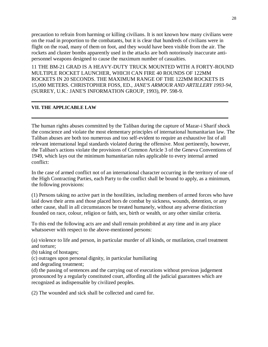precaution to refrain from harming or killing civilians. It is not known how many civilians were on the road in proportion to the combatants, but it is clear that hundreds of civilians were in flight on the road, many of them on foot, and they would have been visible from the air. The rockets and cluster bombs apparently used in the attacks are both notoriously inaccurate antipersonnel weapons designed to cause the maximum number of casualties.

11 THE BM-21 GRAD IS A HEAVY-DUTY TRUCK MOUNTED WITH A FORTY-ROUND MULTIPLE ROCKET LAUNCHER, WHICH CAN FIRE 40 ROUNDS OF 122MM ROCKETS IN 20 SECONDS. THE MAXIMUM RANGE OF THE 122MM ROCKETS IS 15,000 METERS. CHRISTOPHER FOSS, ED., *JANE'S ARMOUR AND ARTILLERY 1993-94*, (SURREY, U.K.: JANE'S INFORMATION GROUP, 1993), PP. 598-9.

#### **VII. THE APPLICABLE LAW**

The human rights abuses committed by the Taliban during the capture of Mazar-i Sharif shock the conscience and violate the most elementary principles of international humanitarian law. The Taliban abuses are both too numerous and too self-evident to require an exhaustive list of all relevant international legal standards violated during the offensive. Most pertinently, however, the Taliban's actions violate the provisions of Common Article 3 of the Geneva Conventions of 1949, which lays out the minimum humanitarian rules applicable to every internal armed conflict:

In the case of armed conflict not of an international character occurring in the territory of one of the High Contracting Parties, each Party to the conflict shall be bound to apply, as a minimum, the following provisions:

(1) Persons taking no active part in the hostilities, including members of armed forces who have laid down their arms and those placed hors de combat by sickness, wounds, detention, or any other cause, shall in all circumstances be treated humanely, without any adverse distinction founded on race, colour, religion or faith, sex, birth or wealth, or any other similar criteria.

To this end the following acts are and shall remain prohibited at any time and in any place whatsoever with respect to the above-mentioned persons:

(a) violence to life and person, in particular murder of all kinds, or mutilation, cruel treatment and torture;

- (b) taking of hostages;
- (c) outrages upon personal dignity, in particular humiliating
- and degrading treatment;

(d) the passing of sentences and the carrying out of executions without previous judgement pronounced by a regularly constituted court, affording all the judicial guarantees which are recognized as indispensable by civilized peoples.

(2) The wounded and sick shall be collected and cared for.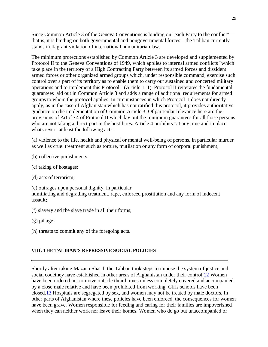Since Common Article 3 of the Geneva Conventions is binding on "each Party to the conflict" that is, it is binding on both governmental and nongovernmental forces—the Taliban currently stands in flagrant violation of international humanitarian law.

The minimum protections established by Common Article 3 are developed and supplemented by Protocol II to the Geneva Conventions of 1949, which applies to internal armed conflicts "which take place in the territory of a High Contracting Party between its armed forces and dissident armed forces or other organized armed groups which, under responsible command, exercise such control over a part of its territory as to enable them to carry out sustained and concerted military operations and to implement this Protocol." (Article 1, 1). Protocol II reiterates the fundamental guarantees laid out in Common Article 3 and adds a range of additional requirements for armed groups to whom the protocol applies. In circumstances in which Protocol II does not directly apply, as in the case of Afghanistan which has not ratified this protocol, it provides authoritative guidance on the implementation of Common Article 3. Of particular relevance here are the provisions of Article 4 of Protocol II which lay out the minimum guarantees for all those persons who are not taking a direct part in the hostilities. Article 4 prohibits "at any time and in place whatsoever" at least the following acts:

(a) violence to the life, health and physical or mental well-being of persons, in particular murder as well as cruel treatment such as torture, mutilation or any form of corporal punishment;

(b) collective punishments;

(c) taking of hostages;

(d) acts of terrorism;

(e) outrages upon personal dignity, in particular humiliating and degrading treatment, rape, enforced prostitution and any form of indecent assault;

(f) slavery and the slave trade in all their forms;

(g) pillage;

(h) threats to commit any of the foregoing acts.

#### **VIII. THE TALIBAN'S REPRESSIVE SOCIAL POLICIES**

Shortly after taking Mazar-i Sharif, the Taliban took steps to impose the system of justice and social codethey have established in other areas of Afghanistan under their control.<sup>12</sup> Women have been ordered not to move outside their homes unless completely covered and accompanied by a close male relative and have been prohibited from working. Girls schools have been closed.13 Hospitals are segregated by sex, and women may not be treated by male doctors. In other parts of Afghanistan where these policies have been enforced, the consequences for women have been grave. Women responsible for feeding and caring for their families are impoverished when they can neither work nor leave their homes. Women who do go out unaccompanied or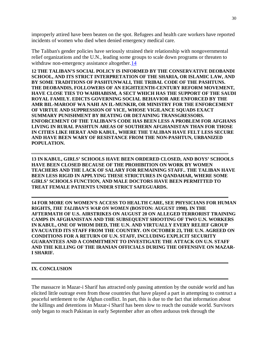improperly attired have been beaten on the spot. Refugees and health care workers have reported incidents of women who died when denied emergency medical care.

The Taliban's gender policies have seriously strained their relationship with nongovernmental relief organizations and the U.N., leading some groups to scale down programs or threaten to withdraw non-emergency assistance altogether.<sup>14</sup>

**12 THE TALIBAN'S SOCIAL POLICY IS INFORMED BY THE CONSERVATIVE DEOBANDI SCHOOL, AND ITS STRICT INTERPRETATION OF THE SHARIA, OR ISLAMIC LAW, AND BY SOME TRADITIONS OF PASHTUNWALI, THE TRIBAL CODE OF THE PASHTUNS. THE DEOBANDIS, FOLLOWERS OF AN EIGHTEENTH-CENTURY REFORM MOVEMENT, HAVE CLOSE TIES TO WAHHABISM, A SECT WHICH HAS THE SUPPORT OF THE SAUDI ROYAL FAMILY. EDICTS GOVERNING SOCIAL BEHAVIOR ARE ENFORCED BY THE AMR BIL-MAROOF WA NAHI AN IL-MUNKIR, OR MINISTRY FOR THE ENFORCEMENT OF VIRTUE AND SUPPRESSION OF VICE, WHOSE VIGILANCE SQUADS EXACT SUMMARY PUNISHMENT BY BEATING OR DETAINING TRANSGRESSORS. ENFORCEMENT OF THE TALIBAN'S CODE HAS BEEN LESS A PROBLEM FOR AFGHANS LIVING IN RURAL PASHTUN AREAS OF SOUTHERN AFGHANISTAN THAN FOR THOSE IN CITIES LIKE HERAT AND KABUL, WHERE THE TALIBAN HAVE FELT LESS SECURE AND HAVE BEEN WARY OF RESISTANCE FROM THE NON-PASHTUN, URBANIZED POPULATION.**

**13 IN KABUL, GIRLS' SCHOOLS HAVE BEEN ORDERED CLOSED, AND BOYS' SCHOOLS HAVE BEEN CLOSED BECAUSE OF THE PROHIBITION ON WORK BY WOMEN TEACHERS AND THE LACK OF SALARY FOR REMAINING STAFF.. THE TALIBAN HAVE BEEN LESS RIGID IN APPLYING THESE STRICTURES IN QANDAHAR, WHERE SOME GIRLS' SCHOOLS FUNCTION, AND MALE DOCTORS HAVE BEEN PERMITTED TO TREAT FEMALE PATIENTS UNDER STRICT SAFEGUARDS.**

**14 FOR MORE ON WOMEN'S ACCESS TO HEALTH CARE, SEE PHYSICIANS FOR HUMAN RIGHTS,** *THE TALIBAN'S WAR ON WOMEN* **(BOSTON: AUGUST 1998). IN THE AFTERMATH OF U.S. AIRSTRIKES ON AUGUST 20 ON ALLEGED TERRORIST TRAINING CAMPS IN AFGHANISTAN AND THE SUBSEQUENT SHOOTING OF TWO U.N. WORKERS IN KABUL, ONE OF WHOM DIED, THE U.N. AND VIRTUALLY EVERY RELIEF GROUP EVACUATED ITS STAFF FROM THE COUNTRY. ON OCTOBER 23, THE U.N. AGREED ON CONDITIONS FOR A RETURN OF U.N. STAFF, INCLUDING EXPLICIT SECURITY GUARANTEES AND A COMMITMENT TO INVESTIGATE THE ATTACK ON U.N. STAFF AND THE KILLING OF THE IRANIAN OFFICIALS DURING THE OFFENSIVE ON MAZAR-I SHARIF.**

#### **IX. CONCLUSION**

The massacre in Mazar-i Sharif has attracted only passing attention by the outside world and has elicited little outrage even from those countries that have played a part in attempting to contruct a peaceful settlement to the Afghan conflict. In part, this is due to the fact that information about the killings and detentions in Mazar-i Sharif has been slow to reach the outside world. Survivors only began to reach Pakistan in early September after an often arduous trek through the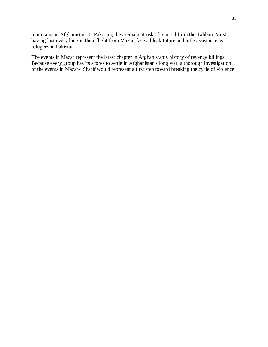mountains in Afghanistan. In Pakistan, they remain at risk of reprisal from the Taliban. Most, having lost everything in their flight from Mazar, face a bleak future and little assistance as refugees in Pakistan.

The events in Mazar represent the latest chapter in Afghanistan's history of revenge killings. Because every group has its scores to settle in Afghanistan's long war, a thorough investigation of the events in Mazar-i Sharif would represent a first step toward breaking the cycle of violence.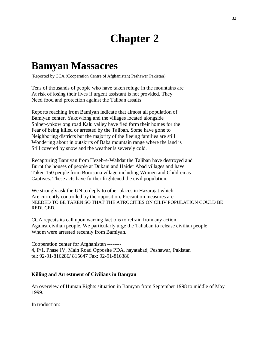## **Chapter 2**

### **Bamyan Massacres**

(Reported by CCA (Cooperation Centre of Afghanistan) Peshawer Pakistan)

Tens of thousands of people who have taken refuge in the mountains are At risk of losing their lives if urgent assistant is not provided. They Need food and protection against the Taliban assalts.

Reports reaching from Bamiyan indicate that almost all population of Bamiyan center, Yakowlong and the villages located alongside Shiber-yokowlong road Kalu valley have fled form their homes for the Fear of being killed or arrested by the Taliban. Some have gone to Neighboring districts but the majority of the fleeing families are still Wondering about in outskirts of Baba mountain range where the land is Still covered by snow and the weather is severely cold.

Recapturing Bamiyan from Hezeb-e-Wahdat the Taliban have destroyed and Burnt the houses of people at Dukani and Haider Abad villages and have Taken 150 people from Borosona village including Women and Children as Captives. These acts have further frightened the civil population.

We strongly ask the UN to deply to other places in Hazarajat which Are currently controlled by the opposition. Precaution measures are NEEDED TO BE TAKEN SO THAT THE ATROCITIES ON CILIV POPULATION COULD BE REDUCED.

CCA repeats its call upon warring factions to refrain from any action Against civilian people. We particularly urge the Taliaban to release civilian people Whom were arrested recently from Bamiyan.

Cooperation center for Afghanistan -------- 4, P/1, Phase IV, Main Road Opposite PDA, hayatabad, Peshawar, Pakistan tel: 92-91-816286/ 815647 Fax: 92-91-816386

#### **Killing and Arrestment of Civilians in Bamyan**

An overview of Human Rights situation in Bamyan from September 1998 to middle of May 1999.

In troduction: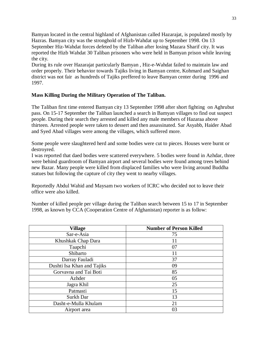Bamyan located in the central highland of Afghanistan called Hazarajat, is populated mostly by Hazras. Bamyan city was the stronghold of Hizb-Wahdat up to September 1998. On 13 September Hiz-Wahdat forces defeted by the Taliban after losing Mazara Sharif city. It was reported the Hizb Wahdat 30 Taliban prisoners who were held in Bamyan prison while leaving the city.

During its rule over Hazarajat particularly Bamyan , Hiz-e-Wahdat failed to maintain law and order properly. Their behavior towards Tajiks living in Bamyan centre, Kohmard and Saighan district was not fair as hundreds of Tajiks preffered to leave Bamyan center during 1996 and 1997.

#### **Mass Killing During the Military Operation of The Taliban.**

The Taliban first time entered Bamyan city 13 September 1998 after short fighting on Aghrubut pass. On 15-17 September the Taliban launched a search in Bamyan villages to find out suspect people. During their search they arrested and killed any male members of Hazaraa above thirteen. Arrested people were taken to dessert and then assassinated. Sar Asyabb, Haider Abad and Syed Abad villages were among the villages, which suffered more.

Some people were slaughtered herd and some bodies were cut to pieces. Houses were burnt or destroyred.

I was reported that daed bodies were scattered everywhere. 5 bodies were found in Azhdar, three were behind guardroom of Bamyan airport and several bodies were found among trees behind new Bazar. Many people were killed from displaced families who were living around Buddha statues but following the capture of city they went to nearby villages.

Reportedly Abdul Wahid and Maysam two workers of ICRC who decided not to leave their office were also killed.

Number of killed people per village during the Taliban search between 15 to 17 in September 1998, as known by CCA (Cooperation Centre of Afghanistan) reporter is as follow:

| <b>Village</b>             | <b>Number of Person Killed</b> |
|----------------------------|--------------------------------|
| Sar-e-Asia                 | 75                             |
| Khushkak Chap Dara         | 11                             |
| Taapchi                    | 07                             |
| Shibarto                   | 11                             |
| Darray Fauladi             | 37                             |
| Dushti Isa Khan and Tajiks | 09                             |
| Gorvavna and Tai Boti      | 85                             |
| Azhder                     | 05                             |
| Jagra Khil                 | 25                             |
| Patmasti                   | 15                             |
| Surkh Dar                  | 13                             |
| Dasht-e-Mulla Khulam       | 21                             |
| Airport area               | 03                             |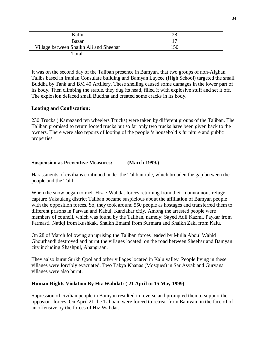| Kallu                                  |  |
|----------------------------------------|--|
| Bazar                                  |  |
| Village between Shaikh Ali and Sheebar |  |
| Total:                                 |  |

It was on the second day of the Taliban presence in Bamyan, that two groups of non-Afghan Talibs based in Iranian Consulate building and Bamyan Laycee (High School) targeted the small Buddha by Tank and BM 40 Artillery. These shelling caused some damages in the lower part of its body. Then climbing the statue, they dug its head, filled it with explosive stuff and set it off. The explosion defaced small Buddha and created some cracks in its body.

#### **Looting and Confiscation:**

230 Trucks ( Kamazand ten wheelers Trucks) were taken by different groups of the Taliban. The Taliban promised to return looted trucks but so far only two trucks have been given back to the owners. There were also reports of looting of the people 's household's furniture and public properties.

#### **Suspension as Preventive Measures: (March 1999.)**

Harassments of civilians continued under the Taliban rule, which broaden the gap between the people and the Talib.

When the snow began to melt Hiz-e-Wahdat forces returning from their mountainous refuge, capture Yakaulang district Taliban became suspicious about the affiliation of Bamyan people with the opposition forces. So, they took around 550 people as hostages and transferred them to different prisons in Parwan and Kabul, Kandahar citiy. Among the arrested people were members of council, which was found by the Taliban, namely: Sayed Adil Kazmi, Paykar from Fatmasti. Natiqi from Kushkak, Shaikh Emami from Surmara and Shaikh Zaki from Kalu.

On 28 of March following an uprising the Taliban forces leaded by Mulla Abdul Wahid Ghourbandi destroyed and burnt the villages located on the road between Sheebar and Bamyan city including Shashpul, Ahangraan.

They aalso burnt Surkh Qool and other villages located in Kalu valley. People living in these villages were forcibly evacuated. Two Takya Khanas (Mosques) in Sar Asyab and Gurvana villages were also burnt.

#### **Human Rights Violation By Hiz Wahdat: ( 21 April to 15 May 1999)**

Supression of civilian people in Bamyan resulted in reverse and prompted themto support the opposion forces. On April 21 the Taliban were forced to retreat from Bamyan in the face of of an offensive by the forces of Hiz Wahdat.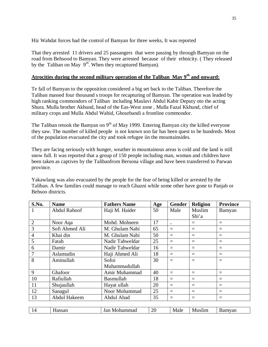Hiz Wahdat forces had the control of Bamyan for three weeks, It was reported

That they arrested 11 drivers and 25 passangers that were passing by through Bamyan on the road from Behsood to Bamyan. They were arrested because of their ethnicity. ( They released by the Taliban on May 9<sup>th</sup>. When they recaptured Bamyan).

#### **Atrocities during the second military operation of the Taliban May 9th and onward:**

Te fall of Bamyan to the opposition considered a big set back to the Taliban. Therefore the Taliban massed four thousand s troops for recapturing of Bamyan. The operation was leaded by high ranking commondors of Taliban including Maulavi Abdul Kabir Deputy oto the acting Shura. Mulla brother Akhund, head of the Eas-West zone , Mulla Fazal Kkhund, chief of military crops and Mulla Abdul Wahid, Ghourbandi a frontline commondor.

The Taliban retook the Bamyan on  $9<sup>th</sup>$  of May 1999. Entering Bamyan city the killed everyone they saw. The number of killed people is not known son far has been quest to be hundreds. Most of the population evacuated the city and took refugee iin the mountainsides.

They are facing seriously with hunger, weather in mountainous areas is cold and the land is still snow full. It was reported that a group of 150 people including man, woman and children have been taken as captives by the Talibanfrom Bersona village and have been transferred to Parwan province.

Yakawlang was also evacuated by the people for the fear of being killed or arrested by the Taliban. A few families could manage to reach Ghazni while some other have gone to Panjab or Behsoo districts.

| S.No.          | <b>Name</b>    | <b>Fathers Name</b> | Age | Gender | <b>Religion</b> | <b>Province</b> |
|----------------|----------------|---------------------|-----|--------|-----------------|-----------------|
| 1              | Abdul Rahoof   | Haji M. Haider      | 50  | Male   | Muslim          | Bamyan          |
|                |                |                     |     |        | Shi'a           |                 |
| $\overline{2}$ | Noor Aqa       | Mohd. Mohseen       | 17  | $=$    | $=$             | $=$             |
| 3              | Sofi Ahmed Ali | M. Ghulam Nabi      | 65  | $=$    | $=$             | $=$             |
| $\overline{4}$ | Khai din       | M. Ghulam Nabi      | 50  | $=$    | $=$             | $=$             |
| 5              | Fatah          | Nadir Tahweldar     | 25  | $=$    | $=$             | $\equiv$        |
| 6              | Damir          | Nadir Tahweldar     | 16  | $=$    | $=$             | $\equiv$        |
| 7              | Aslamudin      | Haji Ahmed Ali      | 18  | $=$    | $=$             | $\equiv$        |
| 8              | Aminullah      | Sofoi               | 30  | $=$    | $=$             | $=$             |
|                |                | Muhammadullah       |     |        |                 |                 |
| 9              | Ghafoor        | Amir Muhammad       | 40  | $=$    | $=$             | $=$             |
| 10             | Rafiullah      | Basmullah           | 18  | $=$    | $=$             | $=$             |
| 11             | Shujaullah     | Hayat ullah         | 20  | $=$    | $=$             | $=$             |
| 12             | Sanagul        | Noor Mohammad       | 25  | $=$    | $=$             | $=$             |
| 13             | Abdul Hakeem   | Abdul Ahad          | 35  | $=$    | $=$             | $=$             |
|                |                |                     |     |        |                 |                 |
| 14             | Hassan         | Jan Mohammad        | 20  | Male   | Muslim          | Bamyan          |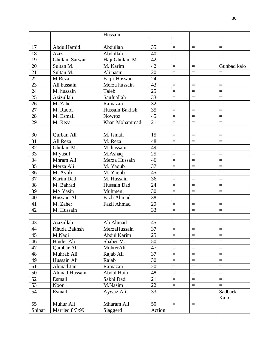|                 |                      | Hussain        |        |          |                   |                   |
|-----------------|----------------------|----------------|--------|----------|-------------------|-------------------|
|                 |                      |                |        |          |                   |                   |
| 17              | AbdulHamid           | Abdullah       | 35     | $=$      | $\equiv$          | $\equiv$          |
| 18              | Aziz                 | Abdullah       | 40     | $=$      | $\equiv$          | $=$               |
| 19              | <b>Ghulam Sarwar</b> | Haji Ghulam M. | 42     | $=$      | $\equiv$          | $\equiv$          |
| 20              | Sultan M.            | M. Karim       | 42     | $=$      | $\equiv$          | Gunbad kalo       |
| 21              | Sultan M.            | Ali nasir      | 20     | $=$      | $=$               | $\equiv$          |
| 22              | M.Reza               | Faqir Hussain  | 24     | $=$      | $=$               | $=$               |
| 23              | Ali hussain          | Merza hussain  | 43     | $=$      | $\equiv$          | $=$               |
| 24              | M. hussain           | Taleb          | 25     | $=$      | $=$               | $=$               |
| 25              | Azizullah            | Saufuallah     | 33     | $=$      | $\equiv$          | $=$               |
| 26              | M. Zaher             | Ramazan        | 32     | $=$      | $\equiv$          | $=$               |
| 27              | M. Raoof             | Hussain Bakhsh | 35     | $=$      | $=$               | $=$               |
| 28              | M. Esmail            | <b>Nowroz</b>  | 45     | $=$      | $\equiv$          | $=$               |
| 29              | M. Reza              | Khan Mohammad  | 21     | $=$      | $\equiv$          | $=$               |
|                 |                      |                |        |          |                   |                   |
| 30              | Qurban Ali           | M. Ismail      | 15     | $=$      | $=$               | $=$               |
| 31              | Ali Reza             | M. Reza        | 48     | $=$      | $\equiv$          | $\equiv$          |
| 32              | Ghulam M.            | M. hussain     | 49     | $=$      | $\equiv$          | $=$               |
| 33              | M.yusuf              | M.Ashaq        | 25     | $=$      | $=$               | $=$               |
| 34              | Mhram Ali            | Merza Hussain  | 46     | $=$      | $=$               | $=$               |
| 35              | Merza Ali            | M. Yaqub       | 37     | $=$      | $\equiv$          | $=$               |
| $\overline{36}$ | M. Ayub              | M. Yaqub       | 45     | $=$      | $=$               | $=$               |
| 37              | Karim Dad            | M. Hussain     | 36     | $=$      | $=$               | $=$               |
| $\overline{38}$ | M. Bahrad            | Hussain Dad    | 24     | $=$      | $=$               | $=$               |
| 39              | M> Yasin             | Muhmen         | 30     | $=$      | $\equiv$          | $\equiv$          |
| 40              | Hussain Ali          | Fazli Ahmad    | 38     | $=$      | $\equiv$          | $=$               |
| 41              | M. Zaher             | Fazli Ahmad    | 29     | $=$      | $=$               | $=$               |
| 42              | M. Hussain           |                | 33     | $=$      | $\equiv$          | $=$               |
|                 |                      |                |        |          |                   |                   |
| 43              | Azizullah            | Ali Ahmad      | 45     | $=$      | $\qquad \qquad =$ | $\qquad \qquad =$ |
| 44              | Khuda Bakhsh         | MerzaHussain   | 37     | $\equiv$ | $\equiv$          | $\equiv$          |
| 45              | M.Naqi               | Abdul Karim    | 25     | $=$      | $\equiv$          | $\equiv$          |
| 46              | Haider Ali           | Shaber M.      | 50     | $\equiv$ | $\equiv$          | $\equiv$          |
| 47              | Qambar Ali           | MuhterAli      | 47     | $\equiv$ | $\qquad \qquad =$ | $=$               |
| 48              | Muhrab Ali           | Rajab Ali      | 37     | $=$      | $\equiv$          | $\quad =$         |
| 49              | Hussain Ali          | Rajab          | 30     | $=$      | $\equiv$          | $=$               |
| 51              | Ahmad Jan            | Ramazan        | 20     | $=$      | $\qquad \qquad =$ | $\equiv$          |
| 50              | <b>Ahmad Hussain</b> | Abdul Hain     | 48     | $\equiv$ | $\equiv$          | $\equiv$          |
| 52              | Esmail               | Sakhi Dad      | 21     | $\equiv$ | $\qquad \qquad =$ | $\equiv$          |
| 53              | Noor                 | M.Nasim        | 22     | $=$      | $\qquad \qquad =$ | $=$               |
| 54              | Esmail               | Aywaz Ali      | 33     | $\equiv$ | $\qquad \qquad =$ | Sadbark           |
|                 |                      |                |        |          |                   | Kalo              |
| 55              | Muhur Ali            | Mharam Ali     | 50     | $=$      | $\, = \,$         |                   |
| Shibar          | Married 8/3/99       | Siaggerd       | Action |          |                   |                   |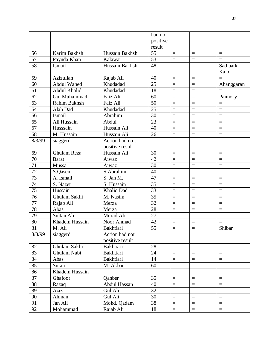| positive<br>result<br>Hussain Bakhsh<br>55<br>Karim Bakhsh<br>56<br>$\equiv$<br>$\qquad \qquad =$<br>$\qquad \qquad =$<br>57<br>53<br>Kalawar<br>Paynda Khan<br>$=$<br>$\equiv$<br>$=$<br>58<br>Hussain Bakhsh<br>48<br>Ismail<br>Sad bark<br>$=$<br>$\equiv$<br>Kalo<br>Azizullah<br>59<br>Rajab Ali<br>40<br>$=$<br>$=$<br>$=$<br>25<br>60<br><b>Abdul Wahed</b><br>Khudadad<br>Ahanggaran<br>$\equiv$<br>$=$<br>61<br>Abdul Khalid<br>Khudadad<br>18<br>$=$<br>$=$<br>$=$<br>62<br>Faiz Ali<br>60<br>$=$<br><b>Gul Muhammad</b><br>Paimory<br>$=$<br>Rahim Bakhsh<br>63<br>Faiz Ali<br>50<br>$=$<br>$\equiv$<br>$=$<br>25<br>64<br>Alah Dad<br>Khudadad<br>$=$<br>$=$<br>$=$<br>66<br>Abrahim<br>Ismail<br>30<br>$=$<br>$\equiv$<br>$=$<br>65<br>Ali Hussain<br>23<br>Abdul<br>$=$<br>$=$<br>$=$<br>Hussain Ali<br>67<br>Husssain<br>40<br>$=$<br>$\equiv$<br>$=$<br>M. Hussain<br>Hussain Ali<br>68<br>26<br>$\equiv$<br>$\equiv$<br>$\equiv$<br>8/3/99<br>Action had noit<br>siaggerd<br>positive result<br>Hussain Ali<br>Ghulam Reza<br>30<br>69<br>$=$<br>$\equiv$<br>$\equiv$<br>70<br>42<br>Aiwaz<br><b>Barat</b><br>$=$<br>$\equiv$<br>$=$<br>30<br>71<br>Mussa<br>Aiwaz<br>$=$<br>$\equiv$<br>$\equiv$<br>72<br>S.Abrahim<br>40<br>S.Qasem<br>$=$<br>$=$<br>$=$<br>73<br>47<br>S. Jan M.<br>$=$<br>A. Ismail<br>$\equiv$<br>$=$<br>74<br>S. Hussain<br>35<br>S. Nazer<br>$=$<br>$\equiv$<br>$=$<br>75<br>Hussain<br>33<br>Khaliq Dad<br>$=$<br>$\equiv$<br>$\equiv$<br>76<br>Ghulam Sakhi<br>35<br>M. Nasim<br>$=$<br>$=$<br>$=$<br>77<br>32<br>Rajab Ali<br>Merza<br>$=$<br>$\equiv$<br>$\equiv$<br>78<br>28<br>Abas<br>Merza<br>$=$<br>$\equiv$<br>$=$<br>79<br>Sultan Ali<br>Murad Ali<br>27<br>$=$<br>$=$<br>$=$<br>80<br>42<br>Khadem Hussain<br>Noor Ahmad<br>$=$<br>$\equiv$<br>$=$<br>81<br>55<br>Shibar<br>M. Ali<br><b>Bakhtiari</b><br>8/3/99<br>Action had not<br>siaggerd<br>positive result<br>82<br>Ghulam Sakhi<br>Bakhtiari<br>28<br>$=$<br>$\equiv$<br>$\equiv$<br>83<br>Ghulam Nabi<br><b>Bakhtiari</b><br>24<br>$\equiv$<br>$\equiv$<br>$\equiv$ |    |      |           | had no |          |                   |          |
|----------------------------------------------------------------------------------------------------------------------------------------------------------------------------------------------------------------------------------------------------------------------------------------------------------------------------------------------------------------------------------------------------------------------------------------------------------------------------------------------------------------------------------------------------------------------------------------------------------------------------------------------------------------------------------------------------------------------------------------------------------------------------------------------------------------------------------------------------------------------------------------------------------------------------------------------------------------------------------------------------------------------------------------------------------------------------------------------------------------------------------------------------------------------------------------------------------------------------------------------------------------------------------------------------------------------------------------------------------------------------------------------------------------------------------------------------------------------------------------------------------------------------------------------------------------------------------------------------------------------------------------------------------------------------------------------------------------------------------------------------------------------------------------------------------------------------------------------------------------------------------------------------------------------------------------------------------------------------------------------------------------------------------------------------------------------------------|----|------|-----------|--------|----------|-------------------|----------|
|                                                                                                                                                                                                                                                                                                                                                                                                                                                                                                                                                                                                                                                                                                                                                                                                                                                                                                                                                                                                                                                                                                                                                                                                                                                                                                                                                                                                                                                                                                                                                                                                                                                                                                                                                                                                                                                                                                                                                                                                                                                                                  |    |      |           |        |          |                   |          |
|                                                                                                                                                                                                                                                                                                                                                                                                                                                                                                                                                                                                                                                                                                                                                                                                                                                                                                                                                                                                                                                                                                                                                                                                                                                                                                                                                                                                                                                                                                                                                                                                                                                                                                                                                                                                                                                                                                                                                                                                                                                                                  |    |      |           |        |          |                   |          |
|                                                                                                                                                                                                                                                                                                                                                                                                                                                                                                                                                                                                                                                                                                                                                                                                                                                                                                                                                                                                                                                                                                                                                                                                                                                                                                                                                                                                                                                                                                                                                                                                                                                                                                                                                                                                                                                                                                                                                                                                                                                                                  |    |      |           |        |          |                   |          |
|                                                                                                                                                                                                                                                                                                                                                                                                                                                                                                                                                                                                                                                                                                                                                                                                                                                                                                                                                                                                                                                                                                                                                                                                                                                                                                                                                                                                                                                                                                                                                                                                                                                                                                                                                                                                                                                                                                                                                                                                                                                                                  |    |      |           |        |          |                   |          |
|                                                                                                                                                                                                                                                                                                                                                                                                                                                                                                                                                                                                                                                                                                                                                                                                                                                                                                                                                                                                                                                                                                                                                                                                                                                                                                                                                                                                                                                                                                                                                                                                                                                                                                                                                                                                                                                                                                                                                                                                                                                                                  |    |      |           |        |          |                   |          |
|                                                                                                                                                                                                                                                                                                                                                                                                                                                                                                                                                                                                                                                                                                                                                                                                                                                                                                                                                                                                                                                                                                                                                                                                                                                                                                                                                                                                                                                                                                                                                                                                                                                                                                                                                                                                                                                                                                                                                                                                                                                                                  |    |      |           |        |          |                   |          |
|                                                                                                                                                                                                                                                                                                                                                                                                                                                                                                                                                                                                                                                                                                                                                                                                                                                                                                                                                                                                                                                                                                                                                                                                                                                                                                                                                                                                                                                                                                                                                                                                                                                                                                                                                                                                                                                                                                                                                                                                                                                                                  |    |      |           |        |          |                   |          |
|                                                                                                                                                                                                                                                                                                                                                                                                                                                                                                                                                                                                                                                                                                                                                                                                                                                                                                                                                                                                                                                                                                                                                                                                                                                                                                                                                                                                                                                                                                                                                                                                                                                                                                                                                                                                                                                                                                                                                                                                                                                                                  |    |      |           |        |          |                   |          |
|                                                                                                                                                                                                                                                                                                                                                                                                                                                                                                                                                                                                                                                                                                                                                                                                                                                                                                                                                                                                                                                                                                                                                                                                                                                                                                                                                                                                                                                                                                                                                                                                                                                                                                                                                                                                                                                                                                                                                                                                                                                                                  |    |      |           |        |          |                   |          |
|                                                                                                                                                                                                                                                                                                                                                                                                                                                                                                                                                                                                                                                                                                                                                                                                                                                                                                                                                                                                                                                                                                                                                                                                                                                                                                                                                                                                                                                                                                                                                                                                                                                                                                                                                                                                                                                                                                                                                                                                                                                                                  |    |      |           |        |          |                   |          |
|                                                                                                                                                                                                                                                                                                                                                                                                                                                                                                                                                                                                                                                                                                                                                                                                                                                                                                                                                                                                                                                                                                                                                                                                                                                                                                                                                                                                                                                                                                                                                                                                                                                                                                                                                                                                                                                                                                                                                                                                                                                                                  |    |      |           |        |          |                   |          |
|                                                                                                                                                                                                                                                                                                                                                                                                                                                                                                                                                                                                                                                                                                                                                                                                                                                                                                                                                                                                                                                                                                                                                                                                                                                                                                                                                                                                                                                                                                                                                                                                                                                                                                                                                                                                                                                                                                                                                                                                                                                                                  |    |      |           |        |          |                   |          |
|                                                                                                                                                                                                                                                                                                                                                                                                                                                                                                                                                                                                                                                                                                                                                                                                                                                                                                                                                                                                                                                                                                                                                                                                                                                                                                                                                                                                                                                                                                                                                                                                                                                                                                                                                                                                                                                                                                                                                                                                                                                                                  |    |      |           |        |          |                   |          |
|                                                                                                                                                                                                                                                                                                                                                                                                                                                                                                                                                                                                                                                                                                                                                                                                                                                                                                                                                                                                                                                                                                                                                                                                                                                                                                                                                                                                                                                                                                                                                                                                                                                                                                                                                                                                                                                                                                                                                                                                                                                                                  |    |      |           |        |          |                   |          |
|                                                                                                                                                                                                                                                                                                                                                                                                                                                                                                                                                                                                                                                                                                                                                                                                                                                                                                                                                                                                                                                                                                                                                                                                                                                                                                                                                                                                                                                                                                                                                                                                                                                                                                                                                                                                                                                                                                                                                                                                                                                                                  |    |      |           |        |          |                   |          |
|                                                                                                                                                                                                                                                                                                                                                                                                                                                                                                                                                                                                                                                                                                                                                                                                                                                                                                                                                                                                                                                                                                                                                                                                                                                                                                                                                                                                                                                                                                                                                                                                                                                                                                                                                                                                                                                                                                                                                                                                                                                                                  |    |      |           |        |          |                   |          |
|                                                                                                                                                                                                                                                                                                                                                                                                                                                                                                                                                                                                                                                                                                                                                                                                                                                                                                                                                                                                                                                                                                                                                                                                                                                                                                                                                                                                                                                                                                                                                                                                                                                                                                                                                                                                                                                                                                                                                                                                                                                                                  |    |      |           |        |          |                   |          |
|                                                                                                                                                                                                                                                                                                                                                                                                                                                                                                                                                                                                                                                                                                                                                                                                                                                                                                                                                                                                                                                                                                                                                                                                                                                                                                                                                                                                                                                                                                                                                                                                                                                                                                                                                                                                                                                                                                                                                                                                                                                                                  |    |      |           |        |          |                   |          |
|                                                                                                                                                                                                                                                                                                                                                                                                                                                                                                                                                                                                                                                                                                                                                                                                                                                                                                                                                                                                                                                                                                                                                                                                                                                                                                                                                                                                                                                                                                                                                                                                                                                                                                                                                                                                                                                                                                                                                                                                                                                                                  |    |      |           |        |          |                   |          |
|                                                                                                                                                                                                                                                                                                                                                                                                                                                                                                                                                                                                                                                                                                                                                                                                                                                                                                                                                                                                                                                                                                                                                                                                                                                                                                                                                                                                                                                                                                                                                                                                                                                                                                                                                                                                                                                                                                                                                                                                                                                                                  |    |      |           |        |          |                   |          |
|                                                                                                                                                                                                                                                                                                                                                                                                                                                                                                                                                                                                                                                                                                                                                                                                                                                                                                                                                                                                                                                                                                                                                                                                                                                                                                                                                                                                                                                                                                                                                                                                                                                                                                                                                                                                                                                                                                                                                                                                                                                                                  |    |      |           |        |          |                   |          |
|                                                                                                                                                                                                                                                                                                                                                                                                                                                                                                                                                                                                                                                                                                                                                                                                                                                                                                                                                                                                                                                                                                                                                                                                                                                                                                                                                                                                                                                                                                                                                                                                                                                                                                                                                                                                                                                                                                                                                                                                                                                                                  |    |      |           |        |          |                   |          |
|                                                                                                                                                                                                                                                                                                                                                                                                                                                                                                                                                                                                                                                                                                                                                                                                                                                                                                                                                                                                                                                                                                                                                                                                                                                                                                                                                                                                                                                                                                                                                                                                                                                                                                                                                                                                                                                                                                                                                                                                                                                                                  |    |      |           |        |          |                   |          |
|                                                                                                                                                                                                                                                                                                                                                                                                                                                                                                                                                                                                                                                                                                                                                                                                                                                                                                                                                                                                                                                                                                                                                                                                                                                                                                                                                                                                                                                                                                                                                                                                                                                                                                                                                                                                                                                                                                                                                                                                                                                                                  |    |      |           |        |          |                   |          |
|                                                                                                                                                                                                                                                                                                                                                                                                                                                                                                                                                                                                                                                                                                                                                                                                                                                                                                                                                                                                                                                                                                                                                                                                                                                                                                                                                                                                                                                                                                                                                                                                                                                                                                                                                                                                                                                                                                                                                                                                                                                                                  |    |      |           |        |          |                   |          |
|                                                                                                                                                                                                                                                                                                                                                                                                                                                                                                                                                                                                                                                                                                                                                                                                                                                                                                                                                                                                                                                                                                                                                                                                                                                                                                                                                                                                                                                                                                                                                                                                                                                                                                                                                                                                                                                                                                                                                                                                                                                                                  |    |      |           |        |          |                   |          |
|                                                                                                                                                                                                                                                                                                                                                                                                                                                                                                                                                                                                                                                                                                                                                                                                                                                                                                                                                                                                                                                                                                                                                                                                                                                                                                                                                                                                                                                                                                                                                                                                                                                                                                                                                                                                                                                                                                                                                                                                                                                                                  |    |      |           |        |          |                   |          |
|                                                                                                                                                                                                                                                                                                                                                                                                                                                                                                                                                                                                                                                                                                                                                                                                                                                                                                                                                                                                                                                                                                                                                                                                                                                                                                                                                                                                                                                                                                                                                                                                                                                                                                                                                                                                                                                                                                                                                                                                                                                                                  |    |      |           |        |          |                   |          |
|                                                                                                                                                                                                                                                                                                                                                                                                                                                                                                                                                                                                                                                                                                                                                                                                                                                                                                                                                                                                                                                                                                                                                                                                                                                                                                                                                                                                                                                                                                                                                                                                                                                                                                                                                                                                                                                                                                                                                                                                                                                                                  |    |      |           |        |          |                   |          |
|                                                                                                                                                                                                                                                                                                                                                                                                                                                                                                                                                                                                                                                                                                                                                                                                                                                                                                                                                                                                                                                                                                                                                                                                                                                                                                                                                                                                                                                                                                                                                                                                                                                                                                                                                                                                                                                                                                                                                                                                                                                                                  |    |      |           |        |          |                   |          |
|                                                                                                                                                                                                                                                                                                                                                                                                                                                                                                                                                                                                                                                                                                                                                                                                                                                                                                                                                                                                                                                                                                                                                                                                                                                                                                                                                                                                                                                                                                                                                                                                                                                                                                                                                                                                                                                                                                                                                                                                                                                                                  |    |      |           |        |          |                   |          |
|                                                                                                                                                                                                                                                                                                                                                                                                                                                                                                                                                                                                                                                                                                                                                                                                                                                                                                                                                                                                                                                                                                                                                                                                                                                                                                                                                                                                                                                                                                                                                                                                                                                                                                                                                                                                                                                                                                                                                                                                                                                                                  |    |      |           |        |          |                   |          |
|                                                                                                                                                                                                                                                                                                                                                                                                                                                                                                                                                                                                                                                                                                                                                                                                                                                                                                                                                                                                                                                                                                                                                                                                                                                                                                                                                                                                                                                                                                                                                                                                                                                                                                                                                                                                                                                                                                                                                                                                                                                                                  |    |      |           |        |          |                   |          |
|                                                                                                                                                                                                                                                                                                                                                                                                                                                                                                                                                                                                                                                                                                                                                                                                                                                                                                                                                                                                                                                                                                                                                                                                                                                                                                                                                                                                                                                                                                                                                                                                                                                                                                                                                                                                                                                                                                                                                                                                                                                                                  |    |      |           |        |          |                   |          |
|                                                                                                                                                                                                                                                                                                                                                                                                                                                                                                                                                                                                                                                                                                                                                                                                                                                                                                                                                                                                                                                                                                                                                                                                                                                                                                                                                                                                                                                                                                                                                                                                                                                                                                                                                                                                                                                                                                                                                                                                                                                                                  |    |      |           |        |          |                   |          |
|                                                                                                                                                                                                                                                                                                                                                                                                                                                                                                                                                                                                                                                                                                                                                                                                                                                                                                                                                                                                                                                                                                                                                                                                                                                                                                                                                                                                                                                                                                                                                                                                                                                                                                                                                                                                                                                                                                                                                                                                                                                                                  | 84 | Abas | Bakhtiari | 14     | $\equiv$ | $\qquad \qquad =$ | $\equiv$ |
| 85<br>M. Akbar<br>60<br>Sutan<br>$\quad =$<br>$\equiv$<br>$\equiv$                                                                                                                                                                                                                                                                                                                                                                                                                                                                                                                                                                                                                                                                                                                                                                                                                                                                                                                                                                                                                                                                                                                                                                                                                                                                                                                                                                                                                                                                                                                                                                                                                                                                                                                                                                                                                                                                                                                                                                                                               |    |      |           |        |          |                   |          |
| 86<br>Khadem Hussain                                                                                                                                                                                                                                                                                                                                                                                                                                                                                                                                                                                                                                                                                                                                                                                                                                                                                                                                                                                                                                                                                                                                                                                                                                                                                                                                                                                                                                                                                                                                                                                                                                                                                                                                                                                                                                                                                                                                                                                                                                                             |    |      |           |        |          |                   |          |
| 87<br>35<br>$=$<br>Ghafoor<br>Qanber<br>$\equiv$<br>$\equiv$                                                                                                                                                                                                                                                                                                                                                                                                                                                                                                                                                                                                                                                                                                                                                                                                                                                                                                                                                                                                                                                                                                                                                                                                                                                                                                                                                                                                                                                                                                                                                                                                                                                                                                                                                                                                                                                                                                                                                                                                                     |    |      |           |        |          |                   |          |
| 88<br>Abdul Hassan<br>40<br>Razaq<br>$\equiv$<br>$\equiv$<br>$\quad \  \  =$                                                                                                                                                                                                                                                                                                                                                                                                                                                                                                                                                                                                                                                                                                                                                                                                                                                                                                                                                                                                                                                                                                                                                                                                                                                                                                                                                                                                                                                                                                                                                                                                                                                                                                                                                                                                                                                                                                                                                                                                     |    |      |           |        |          |                   |          |
| 89<br>Aziz<br>32<br>Gul Ali<br>$=$<br>$\equiv$<br>$=$                                                                                                                                                                                                                                                                                                                                                                                                                                                                                                                                                                                                                                                                                                                                                                                                                                                                                                                                                                                                                                                                                                                                                                                                                                                                                                                                                                                                                                                                                                                                                                                                                                                                                                                                                                                                                                                                                                                                                                                                                            |    |      |           |        |          |                   |          |
| 90<br>Gul Ali<br>30<br>Ahman<br>$=$<br>$\qquad \qquad =$<br>$=$                                                                                                                                                                                                                                                                                                                                                                                                                                                                                                                                                                                                                                                                                                                                                                                                                                                                                                                                                                                                                                                                                                                                                                                                                                                                                                                                                                                                                                                                                                                                                                                                                                                                                                                                                                                                                                                                                                                                                                                                                  |    |      |           |        |          |                   |          |
| 91<br>38<br>Jan Ali<br>Mohd. Qadam<br>$\equiv$<br>$\equiv$<br>$=$                                                                                                                                                                                                                                                                                                                                                                                                                                                                                                                                                                                                                                                                                                                                                                                                                                                                                                                                                                                                                                                                                                                                                                                                                                                                                                                                                                                                                                                                                                                                                                                                                                                                                                                                                                                                                                                                                                                                                                                                                |    |      |           |        |          |                   |          |
| 92<br>Rajab Ali<br>18<br>$=$<br>Mohammad<br>$\equiv$<br>$\equiv$                                                                                                                                                                                                                                                                                                                                                                                                                                                                                                                                                                                                                                                                                                                                                                                                                                                                                                                                                                                                                                                                                                                                                                                                                                                                                                                                                                                                                                                                                                                                                                                                                                                                                                                                                                                                                                                                                                                                                                                                                 |    |      |           |        |          |                   |          |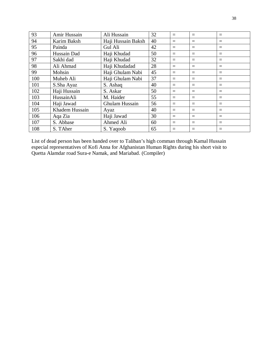| 93  | Amir Hussain   | Ali Hussain        | 32 | $=$ | $=$      | $=$ |
|-----|----------------|--------------------|----|-----|----------|-----|
| 94  | Karim Baksh    | Haji Hussain Baksh | 40 | $=$ | $=$      | $=$ |
| 95  | Painda         | Gul Ali            | 42 | $=$ | $=$      | $=$ |
| 96  | Hussain Dad    | Haji Khudad        | 50 | $=$ | $=$      | $=$ |
| 97  | Sakhi dad      | Haji Khudad        | 32 | $=$ | $\equiv$ | $=$ |
| 98  | Ali Ahmad      | Haji Khudadad      | 28 | $=$ | $=$      | $=$ |
| 99  | Mohsin         | Haji Ghulam Nabi   | 45 | $=$ | $=$      | $=$ |
| 100 | Muheb Ali      | Haji Ghulam Nabi   | 37 | $=$ | $=$      | $=$ |
| 101 | S.Sha Ayaz     | S. Ashaq           | 40 | $=$ | $=$      | $=$ |
| 102 | Haji Hussain   | S. Askar           | 50 | $=$ | $=$      | $=$ |
| 103 | HussainAli     | M. Haider          | 55 | $=$ | $=$      | $=$ |
| 104 | Haji Jawad     | Ghulam Hussain     | 56 | $=$ | $=$      | $=$ |
| 105 | Khadem Hussain | Ayaz               | 40 | $=$ | $=$      | $=$ |
| 106 | Aga Zia        | Haji Jawad         | 30 | $=$ | $=$      | $=$ |
| 107 | S. Abbase      | Ahmed Ali          | 60 | $=$ | $=$      | $=$ |
| 108 | S. TAher       | S. Yaqoob          | 65 | $=$ | $=$      | $=$ |

List of dead person has been handed over to Taliban's high comman through Kamal Hussain especial representatives of Kofi Anna for Afghanistan Human Rights during his short visit to Quetta Alamdar road Sura-e Namak, and Mariabad. (Compiler)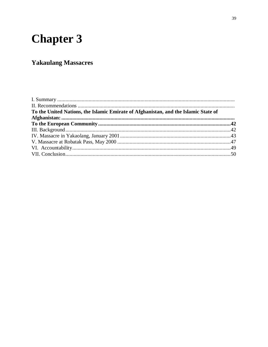# **Chapter 3**

## **Yakaulang Massacres**

| To the United Nations, the Islamic Emirate of Afghanistan, and the Islamic State of |  |
|-------------------------------------------------------------------------------------|--|
|                                                                                     |  |
|                                                                                     |  |
|                                                                                     |  |
|                                                                                     |  |
|                                                                                     |  |
|                                                                                     |  |
|                                                                                     |  |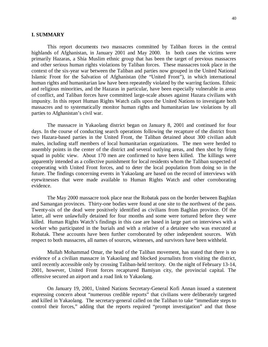#### **I. SUMMARY**

This report documents two massacres committed by Taliban forces in the central highlands of Afghanistan, in January 2001 and May 2000. In both cases the victims were primarily Hazaras, a Shia Muslim ethnic group that has been the target of previous massacres and other serious human rights violations by Taliban forces. These massacres took place in the context of the six-year war between the Taliban and parties now grouped in the United National Islamic Front for the Salvation of Afghanistan (the "United Front"), in which international human rights and humanitarian law have been repeatedly violated by the warring factions. Ethnic and religious minorities, and the Hazaras in particular, have been especially vulnerable in areas of conflict, and Taliban forces have committed large-scale abuses against Hazara civilians with impunity. In this report Human Rights Watch calls upon the United Nations to investigate both massacres and to systematically monitor human rights and humanitarian law violations by all parties to Afghanistan's civil war.

The massacre in Yakaolang district began on January 8, 2001 and continued for four days. In the course of conducting search operations following the recapture of the district from two Hazara-based parties in the United Front, the Taliban detained about 300 civilian adult males, including staff members of local humanitarian organizations. The men were herded to assembly points in the center of the district and several outlying areas, and then shot by firing squad in public view. About 170 men are confirmed to have been killed. The killings were apparently intended as a collective punishment for local residents whom the Taliban suspected of cooperating with United Front forces, and to deter the local population from doing so in the future. The findings concerning events in Yakaolang are based on the record of interviews with eyewitnesses that were made available to Human Rights Watch and other corroborating evidence.

The May 2000 massacre took place near the Robatak pass on the border between Baghlan and Samangan provinces. Thirty-one bodies were found at one site to the northwest of the pass. Twenty-six of the dead were positively identified as civilians from Baghlan province. Of the latter, all were unlawfully detained for four months and some were tortured before they were killed. Human Rights Watch's findings in this case are based in large part on interviews with a worker who participated in the burials and with a relative of a detainee who was executed at Robatak. These accounts have been further corroborated by other independent sources. With respect to both massacres, all names of sources, witnesses, and survivors have been withheld.

Mullah Mohammad Omar, the head of the Taliban movement, has stated that there is no evidence of a civilian massacre in Yakaolang and blocked journalists from visiting the district, until recently accessible only by crossing Taliban-held territory. On the night of February 13-14, 2001, however, United Front forces recaptured Bamiyan city, the provincial capital. The offensive secured an airport and a road link to Yakaolang.

On January 19, 2001, United Nations Secretary-General Kofi Annan issued a statement expressing concern about "numerous credible reports" that civilians were deliberately targeted and killed in Yakaolang. The secretary-general called on the Taliban to take "immediate steps to control their forces," adding that the reports required "prompt investigation" and that those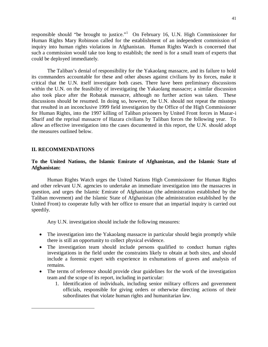responsible should "be brought to justice."<sup>1</sup> On February 16, U.N. High Commissioner for Human Rights Mary Robinson called for the establishment of an independent commission of inquiry into human rights violations in Afghanistan. Human Rights Watch is concerned that such a commission would take too long to establish; the need is for a small team of experts that could be deployed immediately.

The Taliban's denial of responsibility for the Yakaolang massacre, and its failure to hold its commanders accountable for these and other abuses against civilians by its forces, make it critical that the U.N. itself investigate both cases. There have been preliminary discussions within the U.N. on the feasibility of investigating the Yakaolang massacre; a similar discussion also took place after the Robatak massacre, although no further action was taken. These discussions should be resumed. In doing so, however, the U.N. should not repeat the missteps that resulted in an inconclusive 1999 field investigation by the Office of the High Commissioner for Human Rights, into the 1997 killing of Taliban prisoners by United Front forces in Mazar-i Sharif and the reprisal massacre of Hazara civilians by Taliban forces the following year. To allow an effective investigation into the cases documented in this report, the U.N. should adopt the measures outlined below.

## **II. RECOMMENDATIONS**

 $\overline{a}$ 

## **To the United Nations, the Islamic Emirate of Afghanistan, and the Islamic State of Afghanistan:**

Human Rights Watch urges the United Nations High Commissioner for Human Rights and other relevant U.N. agencies to undertake an immediate investigation into the massacres in question, and urges the Islamic Emirate of Afghanistan (the administration established by the Taliban movement) and the Islamic State of Afghanistan (the administration established by the United Front) to cooperate fully with her office to ensure that an impartial inquiry is carried out speedily.

Any U.N. investigation should include the following measures:

- The investigation into the Yakaolang massacre in particular should begin promptly while there is still an opportunity to collect physical evidence.
- The investigation team should include persons qualified to conduct human rights investigations in the field under the constraints likely to obtain at both sites, and should include a forensic expert with experience in exhumations of graves and analysis of remains.
- The terms of reference should provide clear guidelines for the work of the investigation team and the scope of its report, including in particular:
	- 1. Identification of individuals, including senior military officers and government officials, responsible for giving orders or otherwise directing actions of their subordinates that violate human rights and humanitarian law.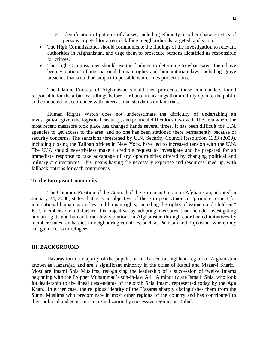- 2. Identification of patterns of abuses, including ethnicity or other characteristics of persons targeted for arrest or killing, neighborhoods targeted, and so on.
- The High Commissioner should communicate the findings of the investigation to relevant authorities in Afghanistan, and urge them to prosecute persons identified as responsible for crimes.
- The High Commissioner should use the findings to determine to what extent there have been violations of international human rights and humanitarian law, including grave breaches that would be subject to possible war crimes prosecutions.

The Islamic Emirate of Afghanistan should then prosecute those commanders found responsible for the arbitrary killings before a tribunal in hearings that are fully open to the public and conducted in accordance with international standards on fair trials.

Human Rights Watch does not underestimate the difficulty of undertaking an investigation, given the logistical, security, and political difficulties involved. The area where the most recent massacre took place has changed hands several times. It has been difficult for U.N. agencies to get access to the area, and no one has been stationed there permanently because of security concerns. The sanctions threatened by U.N. Security Council Resolution 1333 (2000), including closing the Taliban offices in New York, have led to increased tension with the U.N. The U.N. should nevertheless make a credible request to investigate and be prepared for an immediate response to take advantage of any opportunities offered by changing political and military circumstances. This means having the necessary expertise and resources lined up, with fallback options for each contingency.

#### **To the European Community**

The Common Position of the Council of the European Union on Afghanistan, adopted in January 24, 2000, states that it is an objective of the European Union to "promote respect for international humanitarian law and human rights, including the rights of women and children." E.U. members should further this objective by adopting measures that include investigating human rights and humanitarian law violations in Afghanistan through coordinated initiatives by member states' embassies in neighboring countries, such as Pakistan and Tajikistan, where they can gain access to refugees.

### **III. BACKGROUND**

 $\overline{a}$ 

Hazaras form a majority of the population in the central highland region of Afghanistan known as Hazarajat, and are a significant minority in the cities of Kabul and Mazar-i Sharif.<sup>2</sup> Most are Imami Shia Muslims, recognizing the leadership of a succession of twelve Imams beginning with the Prophet Muhammad's son-in-law Ali. A minority are Ismaili Shia, who look for leadership to the lineal descendants of the sixth Shia Imam, represented today by the Aga Khan. In either case, the religious identity of the Hazaras sharply distinguishes them from the Sunni Muslims who predominate in most other regions of the country and has contributed to their political and economic marginalization by successive regimes in Kabul.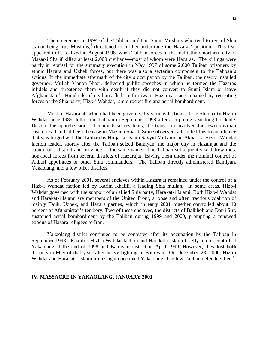The emergence in 1994 of the Taliban, militant Sunni Muslims who tend to regard Shia as not being true Muslims,<sup>3</sup> threatened to further undermine the Hazaras' position. This fear appeared to be realized in August 1998, when Taliban forces in the multiethnic northern city of Mazar-i Sharif killed at least 2,000 civilians—most of whom were Hazaras. The killings were partly in reprisal for the summary execution in May 1997 of some 2,000 Taliban prisoners by ethnic Hazara and Uzbek forces, but there was also a sectarian component to the Taliban's actions. In the immediate aftermath of the city's occupation by the Taliban, the newly installed governor, Mullah Manon Niazi, delivered public speeches in which he termed the Hazaras infidels and threatened them with death if they did not convert to Sunni Islam or leave Afghanistan.<sup>4</sup> Hundreds of civilians fled south toward Hazarajat, accompanied by retreating forces of the Shia party, Hizb-i Wahdat, amid rocket fire and aerial bombardment.

Most of Hazarajat, which had been governed by various factions of the Shia party Hizb-i Wahdat since 1989, fell to the Taliban in September 1998 after a crippling year-long blockade. Despite the apprehensions of many local residents, the transition involved far fewer civilian casualties than had been the case in Mazar-i Sharif. Some observers attributed this to an alliance that was forged with the Taliban by Hujjat-al-Islam Sayyid Mohammad Akbari, a Hizb-i Wahdat faction leader, shortly after the Taliban seized Bamiyan, the major city in Hazarajat and the capital of a district and province of the same name. The Taliban subsequently withdrew most non-local forces from several districts of Hazarajat, leaving them under the nominal control of Akbari appointees or other Shia commanders. The Taliban directly administered Bamiyan, Yakaolang, and a few other districts.<sup>5</sup>

As of February 2001, several enclaves within Hazarajat remained under the control of a Hizb-i Wahdat faction led by Karim Khalili, a leading Shia mullah. In some areas, Hizb-i Wahdat governed with the support of an allied Shia party, Harakat-i Islami. Both Hizb-i Wahdat and Harakat-i Islami are members of the United Front, a loose and often fractious coalition of mainly Tajik, Uzbek, and Hazara parties, which in early 2001 together controlled about 10 percent of Afghanistan's territory. Two of these enclaves, the districts of Balkhob and Dar-i Suf, sustained aerial bombardment by the Taliban during 1999 and 2000, prompting a renewed exodus of Hazara refugees to Iran.

Yakaolang district continued to be contested after its occupation by the Taliban in September 1998. Khalili's Hizb-i Wahdat faction and Harakat-i Islami briefly retook control of Yakaolang at the end of 1998 and Bamiyan district in April 1999. However, they lost both districts in May of that year, after heavy fighting in Bamiyan. On December 28, 2000, Hizb-i Wahdat and Harakat-i Islami forces again occupied Yakaolang. The few Taliban defenders fled.<sup>6</sup>

#### **IV. MASSACRE IN YAKAOLANG, JANUARY 2001**

 $\overline{a}$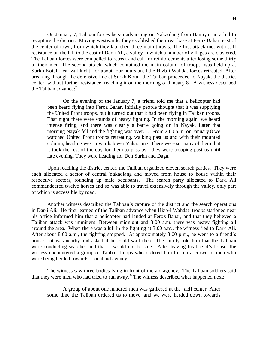On January 7, Taliban forces began advancing on Yakaolang from Bamiyan in a bid to recapture the district. Moving westwards, they established their rear base at Feroz Bahar, east of the center of town, from which they launched three main thrusts. The first attack met with stiff resistance on the hill to the east of Dar-i Ali, a valley in which a number of villages are clustered. The Taliban forces were compelled to retreat and call for reinforcements after losing some thirty of their men. The second attack, which contained the main column of troops, was held up at Surkh Kotal, near Zulflucht, for about four hours until the Hizb-i Wahdat forces retreated. After breaking through the defensive line at Surkh Kotal, the Taliban proceeded to Nayak, the district center, without further resistance, reaching it on the morning of January 8. A witness described the Taliban advance: $<sup>7</sup>$ </sup>

On the evening of the January 7, a friend told me that a helicopter had been heard flying into Feroz Bahar. Initially people thought that it was supplying the United Front troops, but it turned out that it had been flying in Taliban troops. That night there were sounds of heavy fighting. In the morning again, we heard intense firing, and there was clearly a battle going on in Nayak. Later that morning Nayak fell and the fighting was over.… From 2:00 p.m. on January 8 we watched United Front troops retreating, walking past us and with their mounted column, heading west towards lower Yakaolang. There were so many of them that it took the rest of the day for them to pass us—they were trooping past us until late evening. They were heading for Deh Surkh and Daga.

Upon reaching the district center, the Taliban organized eleven search parties. They were each allocated a sector of central Yakaolang and moved from house to house within their respective sectors, rounding up male occupants. The search party allocated to Dar-i Ali commandeered twelve horses and so was able to travel extensively through the valley, only part of which is accessible by road.

Another witness described the Taliban's capture of the district and the search operations in Dar-i Ali. He first learned of the Taliban advance when Hizb-i Wahdat troops stationed near his office informed him that a helicopter had landed at Feroz Bahar, and that they believed a Taliban attack was imminent. Between midnight and 3:00 a.m. there was heavy fighting all around the area. When there was a lull in the fighting at 3:00 a.m., the witness fled to Dar-i Ali. After about 8:00 a.m., the fighting stopped. At approximately 3:00 p.m., he went to a friend's house that was nearby and asked if he could wait there. The family told him that the Taliban were conducting searches and that it would not be safe. After leaving his friend's house, the witness encountered a group of Taliban troops who ordered him to join a crowd of men who were being herded towards a local aid agency.

The witness saw three bodies lying in front of the aid agency. The Taliban soldiers said that they were men who had tried to run away. <sup>8</sup> The witness described what happened next:

A group of about one hundred men was gathered at the [aid] center. After some time the Taliban ordered us to move, and we were herded down towards

 $\overline{a}$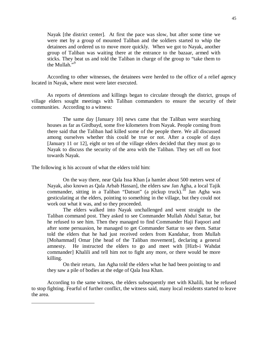Nayak [the district center]. At first the pace was slow, but after some time we were met by a group of mounted Taliban and the soldiers started to whip the detainees and ordered us to move more quickly. When we got to Nayak, another group of Taliban was waiting there at the entrance to the bazaar, armed with sticks. They beat us and told the Taliban in charge of the group to "take them to the Mullah."<sup>9</sup>

According to other witnesses, the detainees were herded to the office of a relief agency located in Nayak, where most were later executed.

As reports of detentions and killings began to circulate through the district, groups of village elders sought meetings with Taliban commanders to ensure the security of their communities. According to a witness:

The same day [January 10] news came that the Taliban were searching houses as far as Girdbayd, some five kilometers from Nayak. People coming from there said that the Taliban had killed some of the people there. We all discussed among ourselves whether this could be true or not. After a couple of days [January 11 or 12], eight or ten of the village elders decided that they must go to Nayak to discuss the security of the area with the Taliban. They set off on foot towards Nayak.

The following is his account of what the elders told him:

 $\overline{a}$ 

On the way there, near Qala Issa Khan [a hamlet about 500 meters west of Nayak, also known as Qala Arbab Hassan], the elders saw Jan Agha, a local Tajik commander, sitting in a Taliban "Datsun" (a pickup truck).<sup>10</sup> Jan Agha was gesticulating at the elders, pointing to something in the village, but they could not work out what it was, and so they proceeded.

The elders walked into Nayak unchallenged and went straight to the Taliban command post. They asked to see Commander Mullah Abdul Sattar, but he refused to see him. Then they managed to find Commander Haji Faqoori and after some persuasion, he managed to get Commander Sattar to see them. Sattar told the elders that he had just received orders from Kandahar, from Mullah [Mohammad] Omar [the head of the Taliban movement], declaring a general amnesty. He instructed the elders to go and meet with [Hizb-i Wahdat commander] Khalili and tell him not to fight any more, or there would be more killing.

On their return, Jan Agha told the elders what he had been pointing to and they saw a pile of bodies at the edge of Qala Issa Khan.

According to the same witness, the elders subsequently met with Khalili, but he refused to stop fighting. Fearful of further conflict, the witness said, many local residents started to leave the area.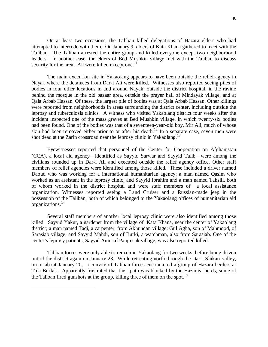On at least two occasions, the Taliban killed delegations of Hazara elders who had attempted to intercede with them. On January 9, elders of Kata Khana gathered to meet with the Taliban. The Taliban arrested the entire group and killed everyone except two neighborhood leaders. In another case, the elders of Bed Mushkin village met with the Taliban to discuss security for the area. All were killed except one.<sup>11</sup>

The main execution site in Yakaolang appears to have been outside the relief agency in Nayak where the detainees from Dar-i Ali were killed. Witnesses also reported seeing piles of bodies in four other locations in and around Nayak: outside the district hospital, in the ravine behind the mosque in the old bazaar area, outside the prayer hall of Mindayak village, and at Qala Arbab Hassan. Of these, the largest pile of bodies was at Qala Arbab Hassan. Other killings were reported from neighborhoods in areas surrounding the district center, including outside the leprosy and tuberculosis clinics. A witness who visited Yakaolang district four weeks after the incident inspected one of the mass graves at Bed Mushkin village, in which twenty-six bodies had been found. One of the bodies was that of a seventeen-year-old boy, Mir Ali, much of whose skin had been removed either prior to or after his death.<sup>12</sup> In a separate case, seven men were shot dead at the Zarin crossroad near the leprosy clinic in Yakaolang.<sup>13</sup>

Eyewitnesses reported that personnel of the Center for Cooperation on Afghanistan (CCA), a local aid agency—identified as Sayyid Sarwar and Sayyid Talib—were among the civilians rounded up in Dar-i Ali and executed outside the relief agency office. Other staff members of relief agencies were identified among those killed. These included a driver named Daoud who was working for a international humanitarian agency; a man named Qasim who worked as an assistant in the leprosy clinic; and Sayyid Ibrahim and a man named Tahsili, both of whom worked in the district hospital and were staff members of a local assistance organization. Witnesses reported seeing a Land Cruiser and a Russian-made jeep in the possession of the Taliban, both of which belonged to the Yakaolang offices of humanitarian aid organizations.<sup>14</sup>

Several staff members of another local leprosy clinic were also identified among those killed: Sayyid Yakut, a gardener from the village of Kata Khana, near the center of Yakaolang district; a man named Taqi, a carpenter, from Akhundan village; Gul Agha, son of Mahmood, of Sarasiab village; and Sayyid Mahdi, son of Burki, a watchman, also from Sarasiab. One of the center's leprosy patients, Sayyid Amir of Panj-o-ak village, was also reported killed.

Taliban forces were only able to remain in Yakaolang for two weeks, before being driven out of the district again on January 23. While retreating north through the Dar-i Shikari valley, on or about January 20, a convoy of Taliban forces encountered a group of Hazara herders at Tala Burfak. Apparently frustrated that their path was blocked by the Hazaras' herds, some of the Taliban fired gunshots at the group, killing three of them on the spot.<sup>15</sup>

 $\overline{a}$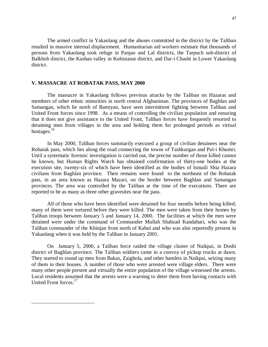The armed conflict in Yakaolang and the abuses committed in the district by the Taliban resulted in massive internal displacement. Humanitarian aid workers estimate that thousands of persons from Yakaolang took refuge in Panjao and Lal districts, the Tarpuch sub-district of Balkhob district, the Kashan valley in Kohistanat district, and Dar-i Chasht in Lower Yakaolang district.

## **V. MASSACRE AT ROBATAK PASS, MAY 2000**

 $\overline{a}$ 

The massacre in Yakaolang follows previous attacks by the Taliban on Hazaras and members of other ethnic minorities in north central Afghanistan. The provinces of Baghlan and Samangan, which lie north of Bamiyan, have seen intermittent fighting between Taliban and United Front forces since 1998. As a means of controlling the civilian population and ensuring that it does not give assistance to the United Front, Taliban forces have frequently resorted to detaining men from villages in the area and holding them for prolonged periods as virtual hostages.<sup>16</sup>

In May 2000, Taliban forces summarily executed a group of civilian detainees near the Robatak pass, which lies along the road connecting the towns of Tashkurgan and Pul-i Khumri. Until a systematic forensic investigation is carried out, the precise number of those killed cannot be known, but Human Rights Watch has obtained confirmation of thirty-one bodies at the execution site, twenty-six of which have been identified as the bodies of Ismaili Shia Hazara civilians from Baghlan province. Their remains were found to the northeast of the Robatak pass, in an area known as Hazara Mazari, on the border between Baghlan and Samangan provinces. The area was controlled by the Taliban at the time of the executions. There are reported to be as many as three other gravesites near the pass.

All of those who have been identified were detained for four months before being killed; many of them were tortured before they were killed. The men were taken from their homes by Taliban troops between January 5 and January 14, 2000. The facilities at which the men were detained were under the command of Commander Mullah Shahzad Kandahari, who was the Taliban commander of the Khinjan front north of Kabul and who was also reportedly present in Yakaolang when it was held by the Taliban in January 2001.

On January 5, 2000, a Taliban force raided the village cluster of Naikpai, in Doshi district of Baghlan province. The Taliban soldiers came in a convoy of pickup trucks at dawn. They started to round up men from Bakas, Zaighola, and other hamlets in Naikpai, seizing many of them in their houses. A number of those who were arrested were village elders. There were many other people present and virtually the entire population of the village witnessed the arrests. Local residents assumed that the arrests were a warning to deter them from having contacts with United Front forces.<sup>17</sup>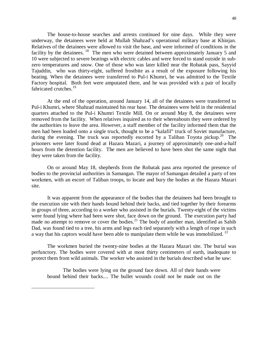The house-to-house searches and arrests continued for nine days. While they were underway, the detainees were held at Mullah Shahzad's operational military base at Khinjan. Relatives of the detainees were allowed to visit the base, and were informed of conditions in the facility by the detainees. <sup>18</sup> The men who were detained between approximately January 5 and 10 were subjected to severe beatings with electric cables and were forced to stand outside in subzero temperatures and snow. One of those who was later killed near the Robatak pass, Sayyid Tajuddin, who was thirty-eight, suffered frostbite as a result of the exposure following his beating. When the detainees were transferred to Pul-i Khumri, he was admitted to the Textile Factory hospital. Both feet were amputated there, and he was provided with a pair of locally fabricated crutches.<sup>19</sup>

At the end of the operation, around January 14, all of the detainees were transferred to Pul-i Khumri, where Shahzad maintained his rear base. The detainees were held in the residential quarters attached to the Pul-i Khumri Textile Mill. On or around May 8, the detainees were removed from the facility. When relatives inquired as to their whereabouts they were ordered by the authorities to leave the area. However, a staff member of the facility informed them that the men had been loaded onto a single truck, thought to be a "kalafil" truck of Soviet manufacture, during the evening. The truck was reportedly escorted by a Taliban Toyota pickup.<sup>20</sup> The prisoners were later found dead at Hazara Mazari, a journey of approximately one-and-a-half hours from the detention facility. The men are believed to have been shot the same night that they were taken from the facility.

On or around May 18, shepherds from the Robatak pass area reported the presence of bodies to the provincial authorities in Samangan. The mayor of Samangan detailed a party of ten workmen, with an escort of Taliban troops, to locate and bury the bodies at the Hazara Mazari site.

It was apparent from the appearance of the bodies that the detainees had been brought to the execution site with their hands bound behind their backs, and tied together by their forearms in groups of three, according to a worker who assisted in the burials. Twenty-eight of the victims were found lying where had been were shot, face down on the ground. The execution party had made no attempt to remove or cover the bodies.<sup>21</sup> The body of another man, identified as Sahib Dad, was found tied to a tree, his arms and legs each tied separately with a length of rope in such a way that his captors would have been able to manipulate them while he was immobilized.  $^{22}$ 

The workmen buried the twenty-nine bodies at the Hazara Mazari site. The burial was perfunctory. The bodies were covered with at most thirty centimeters of earth, inadequate to protect them from wild animals. The worker who assisted in the burials described what he saw:

The bodies were lying on the ground face down. All of their hands were bound behind their backs.... The bullet wounds could not be made out on the

 $\overline{a}$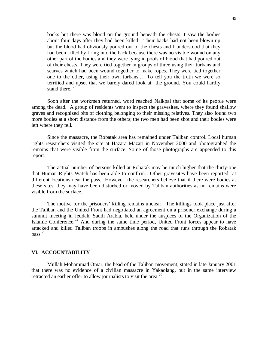backs but there was blood on the ground beneath the chests. I saw the bodies about four days after they had been killed. Their backs had not been blown up but the blood had obviously poured out of the chests and I understood that they had been killed by firing into the back because there was no visible wound on any other part of the bodies and they were lying in pools of blood that had poured out of their chests. They were tied together in groups of three using their turbans and scarves which had been wound together to make ropes. They were tied together one to the other, using their own turbans.… To tell you the truth we were so terrified and upset that we barely dared look at the ground. You could hardly stand there.<sup>23</sup>

Soon after the workmen returned, word reached Naikpai that some of its people were among the dead. A group of residents went to inspect the gravesites, where they found shallow graves and recognized bits of clothing belonging to their missing relatives. They also found two more bodies at a short distance from the others; the two men had been shot and their bodies were left where they fell.

Since the massacre, the Robatak area has remained under Taliban control. Local human rights researchers visited the site at Hazara Mazari in November 2000 and photographed the remains that were visible from the surface. Some of those photographs are appended to this report.

The actual number of persons killed at Robatak may be much higher that the thirty-one that Human Rights Watch has been able to confirm. Other gravesites have been reported at different locations near the pass. However, the researchers believe that if there were bodies at these sites, they may have been disturbed or moved by Taliban authorities as no remains were visible from the surface.

The motive for the prisoners' killing remains unclear. The killings took place just after the Taliban and the United Front had negotiated an agreement on a prisoner exchange during a summit meeting in Jeddah, Saudi Arabia, held under the auspices of the Organization of the Islamic Conference.<sup>24</sup> And during the same time period, United Front forces appear to have attacked and killed Taliban troops in ambushes along the road that runs through the Robatak pass. $^{25}$ 

#### **VI. ACCOUNTABILITY**

 $\overline{a}$ 

Mullah Mohammad Omar, the head of the Taliban movement, stated in late January 2001 that there was no evidence of a civilian massacre in Yakaolang, but in the same interview retracted an earlier offer to allow journalists to visit the area.<sup>26</sup>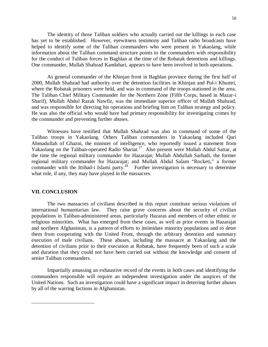The identity of those Taliban soldiers who actually carried out the killings in each case has yet to be established. However, eyewitness testimony and Taliban radio broadcasts have helped to identify some of the Taliban commanders who were present in Yakaolang, while information about the Taliban command structure points to the commanders with responsibility for the conduct of Taliban forces in Baghlan at the time of the Robatak detentions and killings. One commander, Mullah Shahzad Kandahari, appears to have been involved in both operations.

As general commander of the Khinjan front in Baghlan province during the first half of 2000, Mullah Shahzad had authority over the detention facilities in Khinjan and Pul-i Khumri, where the Robatak prisoners were held, and was in command of the troops stationed in the area. The Taliban Chief Military Commander for the Northern Zone (Fifth Corps, based in Mazar-i Sharif), Mullah Abdul Razak Nawfiz, was the immediate superior officer of Mullah Shahzad, and was responsible for directing his operations and briefing him on Taliban strategy and policy. He was also the official who would have had primary responsibility for investigating crimes by the commander and preventing further abuses.

Witnesses have testified that Mullah Shahzad was also in command of some of the Taliban troops in Yakaolang. Others Taliban commanders in Yakaolang included Qari Ahmadullah of Ghazni, the minister of intelligence, who reportedly issued a statement from Yakaolang on the Taliban-operated Radio Shariat.<sup>27</sup> Also present were Mullah Abdul Sattar, at the time the regional military commander for Hazarajat; Mullah Abdullah Sarhadi, the former regional military commander for Hazarajat; and Mullah Abdul Salam "Rocketi," a former commander with the Ittihad-i Islami party.<sup>28</sup> Further investigation is necessary to determine what role, if any, they may have played in the massacres.

#### **VII. CONCLUSION**

 $\overline{a}$ 

The two massacres of civilians described in this report constitute serious violations of international humanitarian law. They raise grave concerns about the security of civilian populations in Taliban-administered areas, particularly Hazaras and members of other ethnic or religious minorities. What has emerged from these cases, as well as prior events in Hazarajat and northern Afghanistan, is a pattern of efforts to intimidate minority populations and to deter them from cooperating with the United Front, through the arbitrary detention and summary execution of male civilians. These abuses, including the massacre at Yakaolang and the detention of civilians prior to their execution at Robatak, have frequently been of such a scale and duration that they could not have been carried out without the knowledge and consent of senior Taliban commanders.

Impartially amassing an exhaustive record of the events in both cases and identifying the commanders responsible will require an independent investigation under the auspices of the United Nations. Such an investigation could have a significant impact in deterring further abuses by all of the warring factions in Afghanistan.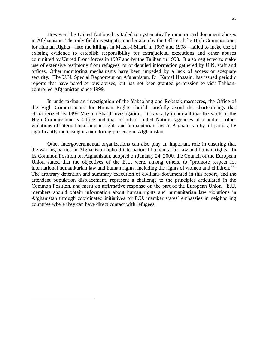However, the United Nations has failed to systematically monitor and document abuses in Afghanistan. The only field investigation undertaken by the Office of the High Commissioner for Human Rights—into the killings in Mazar-i Sharif in 1997 and 1998—failed to make use of existing evidence to establish responsibility for extrajudicial executions and other abuses committed by United Front forces in 1997 and by the Taliban in 1998. It also neglected to make use of extensive testimony from refugees, or of detailed information gathered by U.N. staff and offices. Other monitoring mechanisms have been impeded by a lack of access or adequate security. The U.N. Special Rapporteur on Afghanistan, Dr. Kamal Hossain, has issued periodic reports that have noted serious abuses, but has not been granted permission to visit Talibancontrolled Afghanistan since 1999.

In undertaking an investigation of the Yakaolang and Robatak massacres, the Office of the High Commissioner for Human Rights should carefully avoid the shortcomings that characterized its 1999 Mazar-i Sharif investigation. It is vitally important that the work of the High Commissioner's Office and that of other United Nations agencies also address other violations of international human rights and humanitarian law in Afghanistan by all parties, by significantly increasing its monitoring presence in Afghanistan.

Other intergovernmental organizations can also play an important role in ensuring that the warring parties in Afghanistan uphold international humanitarian law and human rights. In its Common Position on Afghanistan, adopted on January 24, 2000, the Council of the European Union stated that the objectives of the E.U. were, among others, to "promote respect for international humanitarian law and human rights, including the rights of women and children."<sup>29</sup> The arbitrary detention and summary execution of civilians documented in this report, and the attendant population displacement, represent a challenge to the principles articulated in the Common Position, and merit an affirmative response on the part of the European Union. E.U. members should obtain information about human rights and humanitarian law violations in Afghanistan through coordinated initiatives by E.U. member states' embassies in neighboring countries where they can have direct contact with refugees.

 $\overline{a}$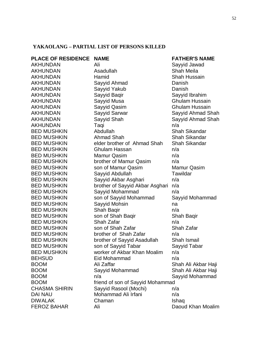## **YAKAOLANG – PARTIAL LIST OF PERSONS KILLED**

| PLACE OF RESIDENCE NAME |                                  | <b>FATHER'S NAME</b>  |
|-------------------------|----------------------------------|-----------------------|
| AKHUNDAN                | Ali                              | Sayyid Jawad          |
| AKHUNDAN                | Asadullah                        | <b>Shah Meila</b>     |
| AKHUNDAN                | Hamid                            | <b>Shah Hussain</b>   |
| AKHUNDAN                | Sayyid Ahmad                     | Danish                |
| AKHUNDAN                | Sayyid Yakub                     | Danish                |
| AKHUNDAN                | Sayyid Baqir                     | Sayyid Ibrahim        |
| AKHUNDAN                | Sayyid Musa                      | <b>Ghulam Hussain</b> |
| AKHUNDAN                | Sayyid Qasim                     | <b>Ghulam Hussain</b> |
| AKHUNDAN                | Sayyid Sarwar                    | Sayyid Ahmad Sha      |
| AKHUNDAN                | Sayyid Shah                      | Sayyid Ahmad Sha      |
| AKHUNDAN                | Taqi                             | n/a                   |
| <b>BED MUSHKIN</b>      | Abdullah                         | Shah Sikandar         |
| <b>BED MUSHKIN</b>      | <b>Ahmad Shah</b>                | <b>Shah Sikandar</b>  |
| <b>BED MUSHKIN</b>      | elder brother of Ahmad Shah      | <b>Shah Sikandar</b>  |
| <b>BED MUSHKIN</b>      | <b>Ghulam Hassan</b>             | n/a                   |
| <b>BED MUSHKIN</b>      | Mamur Qasim                      | n/a                   |
| <b>BED MUSHKIN</b>      | brother of Mamur Qasim           | n/a                   |
| <b>BED MUSHKIN</b>      | son of Mamur Qasim               | <b>Mamur Qasim</b>    |
| <b>BED MUSHKIN</b>      | Sayyid Abdullah                  | Tawildar              |
| <b>BED MUSHKIN</b>      | Sayyid Akbar Asghari             | n/a                   |
| <b>BED MUSHKIN</b>      | brother of Sayyid Akbar Asghari  | n/a                   |
| <b>BED MUSHKIN</b>      | Sayyid Mohammad                  | n/a                   |
| <b>BED MUSHKIN</b>      | son of Sayyid Mohammad           | Sayyid Mohammad       |
| <b>BED MUSHKIN</b>      | Sayyid Mohsin                    | na                    |
| <b>BED MUSHKIN</b>      | Shah Baqir                       | n/a                   |
| <b>BED MUSHKIN</b>      | son of Shah Baqir                | Shah Baqir            |
| <b>BED MUSHKIN</b>      | Shah Zafar                       | n/a                   |
| <b>BED MUSHKIN</b>      | son of Shah Zafar                | Shah Zafar            |
| <b>BED MUSHKIN</b>      | brother of Shah Zafar            | n/a                   |
| <b>BED MUSHKIN</b>      | brother of Sayyid Asadullah      | Shah Ismail           |
| <b>BED MUSHKIN</b>      | son of Sayyid Tabar              | Sayyid Tabar          |
| <b>BED MUSHKIN</b>      | worker of Akbar Khan Moalim      | n/a                   |
| <b>BEHSUD</b>           | Eid Mohammad                     | n/a                   |
| BOOM                    | Ali Zaffar                       | Shah Ali Akbar Haji   |
| <b>BOOM</b>             | Sayyid Mohammad                  | Shah Ali Akbar Haji   |
| <b>BOOM</b>             | n/a                              | Sayyid Mohammad       |
| BOOM                    | friend of son of Sayyid Mohammad |                       |
| CHASMA SHIRIN           | Sayyid Rasool (Mochi)            | n/a                   |
| <b>DAI NAU</b>          | Mohammad Ali Irfani              | n/a                   |
| <b>DIWALAK</b>          | Chaman                           | Ishaq                 |
| FEROZ BAHAR             | Ali                              | Daoud Khan Moalir     |

amad Shah amad Shah Akbar Haji Akbar Haji ohammad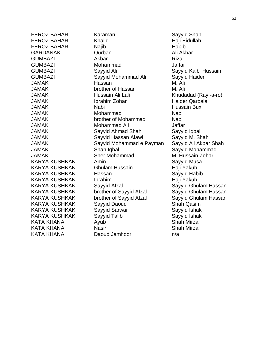Karaman Sayyid Shah Khaliq Haji Eidullah FEROZ BAHAR Najib Habib Qurbani Ali Akbar GUMBAZI Akbar Akbar Riza Mohammad Jaffar Sayyid Ali Sayyid Kalbi Hussain Sayyid Mohammad Ali Sayyid Haider JAMAK Hassan M. Ali brother of Hassan M. Ali Hussain Ali Lali Khudadad (Rayl-a-ro) Ibrahim Zohar **Haider Qarbalai** Nabi **Hussain Bux** Mohammad Nabi brother of Mohammad Nabi Mohammad Ali Jaffar Sayyid Ahmad Shah Sayyid Iqbal Sayyid Hassan Alawi Sayyid M. Shah Sayyid Mohammad e Payman Sayyid Ali Akbar Shah Shah Iqbal Shah Iqbal Sayyid Mohammad Sher Mohammad M. Hussain Zohar Amin Sayyid Musa Ghulam Hussain **Haji Yakub** Hassan Sayyid Habib Ibrahim Haji Yakub Sayyid Afzal Sayyid Ghulam Hassan brother of Sayyid Afzal Sayyid Ghulam Hassan brother of Sayyid Afzal Sayyid Ghulam Hassan Sayyid Daoud Shah Qasim Sayyid Sarwar Sayyid Ishak Sayyid Talib Sayyid Ishak Ayub **Shah Mirza** Nasir **Katalog and Shah Mirza** Daoud Jamhoori n/a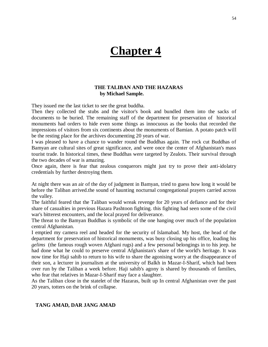## **Chapter 4**

## **THE TALIBAN AND THE HAZARAS by Michael Sample.**

They issued me the last ticket to see the great buddha.

Then they collected the stubs and the visitor's book and bundled them into the sacks of documents to be buried. The remaining staff of the department for preservation of historical monuments had orders to hide even some things as innocuous as the books that recorded the impressions of visitors from six continents about the monuments of Bamian. A potato patch will be the resting place for the archives documenting 20 years of war.

I was pleased to have a chance to wander round the Buddhas again. The rock cut Buddhas of Bamyan are cultural sites of great significance, and were once the center of Afghanistan's mass tourist trade. In historical times, these Buddhas were targeted by Zealots. Their survival through the two decades of war is amazing.

Once again, there is fear that zealous conquerors might just try to prove their anti-idolatry credentials by further destroying them.

At night there was an air of the day of judgment in Bamyan, tried to guess how long it would be before the Taliban arrived.the sound of haunting nocturnal congregational prayers carried across the valley.

The faithful feared that the Taliban would wreak revenge for 20 years of defiance and for their share of casualties in previous Hazara Pashtoon fighting. this fighting had seen some of the civil war's bitterest encounters, and the local prayed for deliverance.

The threat to the Bamyan Buddhas is symbolic of the one hanging over much of the population central Afghanistan.

I emptied my camera reel and headed for the security of Islamabad. My host, the head of the department for preservation of historical monuments, was busy closing up his office, loading his *gelims* (the famous rough woven Afghani rugs) and a few personal belongings in to his jeep. he had done what he could to preserve central Afghanistan's share of the world's heritage. It was now time for Haji sahib to return to his wife to share the agonising worry at the disappearance of their son, a lecturer in journalism at the university of Balkh in Mazar-I-Sharif, which had been over run by the Taliban a week before. Haji sahib's agony is shared by thousands of families, who fear that relatives in Mazar-I-Sharif may face a slaughter.

As the Taliban close in the statelet of the Hazaras, built up In central Afghanistan over the past 20 years, totters on the brink of collapse.

#### **TANG AMAD, DAR JANG AMAD**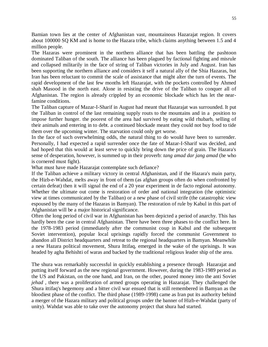Bamian town lies at the center of Afghanistan vast, mountainous Hazarajat region. It covers about 100000 SQ KM and is home to the Hazara tribe, which claims anything between 1.5 and 4 million people.

The Hazaras were prominent in the northern alliance that has been battling the pashtoon dominated Taliban of the south. The alliance has been plagued by factional fighting and misrule and collapsed militarily in the face of string of Taliban victories in July and August. Iran has been supporting the northern alliance and considers it self a natural ally of the Shia Hazaras, but Iran has been reluctant to commit the scale of assistance that might alter the turn of events. The rapid development of the last few months left Hazarajat, with the pockets controlled by Ahmed shah Masood in the north east. Alone in resisting the drive of the Taliban to conquer all of Afghanistan. The region is already crippled by an economic blockade which has let the nearfamine conditions.

The Taliban capture of Mazar-I-Sharif in August had meant that Hazarajat was surrounded. It put the Taliban in control of the last remaining supply routs to the mountains and in a position to impose further hunger. the poorest of the area had survived by eating wild rhubarb, selling of their animals and entering in to debt. a continued blockade meant they could not buy food to tide them over the upcoming winter. The starvation could only get worse.

In the face of such overwhelming odds, the natural thing to do would have been to surrender. Personally, I had expected a rapid surrender once the fate of Mazar-I-Sharif was decided, and had hoped that this would at least serve to quickly bring down the price of grain. The Hazara's sense of desperation, however, is summed up in their proverb: *tang amad dar jang amad* (he who is cornered must fight).

What must have made Hazarajat contemplate such defiance?

If the Taliban achieve a military victory in central Afghanistan, and if the Hazara's main party, the Hizb-e-Wahdat, melts away in front of them (as afghan groups often do when confronted by certain defeat) then it will signal the end of a 20 year experiment in de facto regional autonomy. Whether the ultimate out come is restoration of order and national integration (the optimistic view at times communicated by the Taliban) or a new phase of civil strife (the catastrophic view espoused by the many of the Hazaras in Bamyan). The restoration of rule by Kabul in this part of Afghanistan will be a major historical significance.

Often the long period of civil war in Afghanistan has been depicted a period of anarchy. This has hardly been the case in central Afghanistan. There have been three phases to the conflict here. In the 1978-1983 period (immediately after the communist coup in Kabul and the subsequent Soviet intervention), popular local uprisings rapidly forced the communist Government to abandon all District headquarters and retreat to the regional headquarters in Bamyan. Meanwhile a new Hazara political movement, Shura Ittifaq, emerged in the wake of the uprisings. It was headed by agha Behishti of waras and backed by the traditional religious leader ship of the area.

The shura was remarkably successful in quickly establishing a presence through Hazarajat and putting itself forward as the new regional government. However, during the 1983-1989 period as the US and Pakistan, on the one hand, and Iran, on the other, poured money into the anti Soviet *jehad* , there was a proliferation of armed groups operating in Hazarajat. They challenged the Shura ittifaq's hegemony and a bitter civil war ensued that is still remembered in Bamyan as the bloodiest phase of the conflict. The third phase (1989-1998) came as Iran put its authority behind a merger of the Hazara military and political groups under the banner of Hizb-e-Wahdat (party of unity). Wahdat was able to take over the autonomy project that shura had started.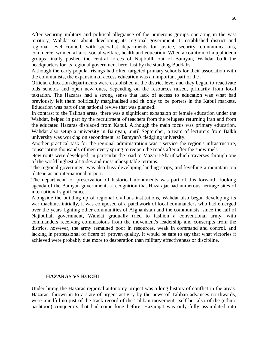After securing military and political allegiance of the numerous groups operating in the vast territory, Wahdat set about developing its regional government. It established district and regional level council, with specialist departments for justice, security, communications, commerce, women affairs, social welfare, health and education. When a coalition of mujahideen groups finally pushed the central forces of Najibullh out of Bamyan, Wahdat built the headquarters for its regional government here, fast by the standing Buddahs.

Although the early popular risings had often targeted primary schools for their association with the communists, the expansion of access education was an important part of the .

Official education departments were established at the district level and they began to reactivate olds schools and open new ones, depending on the resources raised, primarily from local taxtation. The Hazaras had a strong sense that lack of access to education was what had previously left them politically marginalised and fit only to be porters in the Kabul markets. Education was part of the national revive that was planned.

In contrast to the Taliban areas, there was a significant expansion of female education under the Wahdat, helped in part by the recruitment of teachers from the refugees returning Iran and from the educated Hazaras displaced from Kabul. Although the main focus was primary education, Wahdat also setup a university in Bamyan, .until September, a team of lecturers from Balkh university was working on secondment at Bamyan's fledgling university.

Another practical task for the regional administration was t service the region's infrastructure, conscripting thousands of men every spring to reopen the roads after after the snow melt.

New routs were developed, in particular the road to Mazar-I-Sharif which traverses through one of the world highest altitudes and most inhospitable terrains.

The regional government was also busy developing landing strips, and levelling a mountain top plateau as an international airport.

The department for preservation of historical monuments was part of this forward looking agenda of the Bamyan government, a recognition that Hazarajat had numerous heritage sites of international significance.

Alongside the building up of regional civilians institutions, Wahdat also began developing its war machine. initially, it was composed of a patchwork of local commanders who had emerged over the years fighting other communities of Afghanistan and the communists. since the fall of Najibullah government, Wahdat gradually tried to fashion a conventional army, with commanders receiving commissions from the movement's leadership and conscripts from the districs. however, the army remained poor in resources, weak in command and control, and lacking in professional of ficers of proven quality. It would be safe to say that what victories it achieved were probably due more to desperation than military effectiveness or discipline.

### **HAZARAS VS KOCHI**

Under lining the Hazaras regional autonomy project was a long history of conflict in the areas. Hazaras, thrown in to a state of urgent activity by the news of Taliban advances northwards, were mindful no just of the track record of the Taliban movement itself but also of the (ethnic pashtoon) conquerors that had come long before. Hazarajat was only fully assimilated into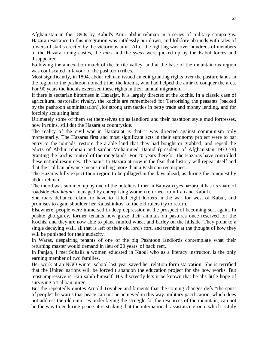Afghanistan in the 1890s by Kabul's Amir abdur rehman in a series of military campaigns. Hazara resistance to this integration was ruthlessly pur down, and folklore abounds with tales of towers of skulls erected by the victorious amir. After the fighting was over hundreds of members of the Hazara ruling castes, the *mirs* and the *syeds* were picked up by the Kabul forces and disappeared.

Following the annexation much of the fertile valley land at the base of the mountainous region was confiscated in favour of the pashtoon tribes.

Most significantly, in 1894, abdur rehman issued an edit granting rights over the pasture lands in the region to the pashtoon nomad tribe, the kochis, who had helped the amir to conquer the area. For 90 years the kochis exercised these rights in their annual migration.

If there is sectarian bitterness in Hazarjat, it is largely directed at the kochis. In a classic case of agricultural pastoralist rivalry, the kochis are remembered for Terrorising the peasants (backed by the pashtoon administration) ,for strong arm tactics in petty trade and money lending, and for forcibly acquiring land.

Ultimately some of them set themselves up as landlord and their pashtoon style mud fortresses, now in ruins, still dot the Hazarajat countryside.

The reality of the civil war in Hazarajat is that it was directed against communism only momentarily. The Hazaras first and most significant acts in their autonomy project were to bar entry to the nomads, restore the arable land that they had bought or grabbed, and repeal the edicts of Abdur rehman and sardar Mohammed Daoud (president of Afghanistan 1973-78) granting the kochis control of the rangelands. For 20 years therefor, the Hazaras have controlled these natural resources. The panic In Hazarajat now is the fear that history will repeat itself and that the Taliban advance means nothing more than a Pashtoon reconquest.

The Hazaras fully expect their region to be pillaged in the days ahead, as during the conquest by abdur rehman.

The mood was summed up by one of the hoteliers I met in Bamyan (yes hazarajat has its share of roadside *chai khana* managed by enterprising women returned from Iran and Kabul).

She roars defiance, claim to have to killed eight looters in the war for west of Kabul, and promises to again shoulder her Kalashinkov of the old rulers try to return.

Elsewhere, people were immersed in deep depression at the prospect of becoming serf again. In pushte ghorgurey, former tenants now graze their animals on pastures once reserved for the Kochis, and they are now able to plane rainfed wheat and barley on the hillside. They point to a single decaying wall, all that is left of their old lord's fort, and tremble at the thought of how they will be punished for their audacity.

In Waras, despairing tenants of one of the big Pashtoon landlords contemplate what their returning master would demand in lieu of 20 years' of back rent.

In Panjao, I met Sohaila a women educated in Kabul who as a literacy instructor, is the only earning member of two families.

Her work at an NGO winter school last year saved her relation form starvation. She is terrified that the United nations will be forced t abandon the education project for she now works. But most impressive is Haji sahib himself. His discreetly lets it be known that he ahs little hope of surviving a Taliban purge.

But the repeatedly quotes Arnold Toynbee and laments that the coming changes defy "the spirit of people" he warns that peace can not be achieved in this way. military pacification, which does not address the old enmities under laying the struggle for the resources of the mountain, can not be the way to enduring peace. it is striking that the international assistance group, which is July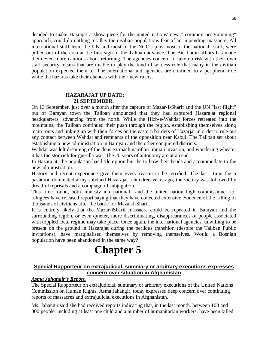decided to make Hazrajat a show piece for the united nations' new " common programming" approach, could do nothing to allay the civilian populations fear of an impending massacre. All international staff from the UN and most of the NGO's plus most of the national staff, were pulled out of the area at the first sign of the Taliban advance. The Bin Ladin affairs has made them even more cautious about returning. The agencies concern to take no risk with their own staff security means that are unable to play the kind of witness role that many in the civilian population expected them to. The international aid agencies are confined to a peripheral role while the hazaras take their chances with their new rulers.

## **HAZARAJAT UP DATE: 21 SEPTEMBER.**

On 13 September, just over a month after the capture of Mazar-I-Sharif and the UN "last flight" out of Bamyan town the Taliban announced that they had captured Hazarajat regional headquarters, advancing from the north. While the Hizb-e-Wahdat forces retreated into the mountains, the Taliban continued their push through the region, establishing themselves along main routs and linking up with their forces on the eastern borders of Hazarjat in order to rule out any contact between Wahdat and remnants of the opposition near Kabul. The Taliban set about establishing a new administration in Bamyan and the other conquered districts.

Wahdat was left dreaming of the deus ex machina of an Iranian invasion, and wondering wheater it has the stomach for guerilla war. The 20 years of autonomy are at an end.

In Hazarajat, the population has little option but the to bow their heads and accommodate to the new administration.

History and recent experience give them every reason to be terrified. The last time the a pashtoon dominated army subdued Hazarajat a hundred years ago, the victory was followed by dreadful reprisals and a compiagn of subjugation.

This time round, both amnesty international and the united nation high commissioner for refugees have released report saying that they have collected extensive evidence of the killing of thousands of civilians after the battle for Mazar-I-Sharif.

It is entirely likely that the Mazar-iSharif massacre could be repeated in Bamyan and the surrounding region, or even quieter, more discriminating, disapprearances of people associated with toppled local regime may take place. Once again, the international agencies, unwilling to be present on the ground in Hazarajat during the perilous transition (despite the Taliban Public invitations), have marginalised themselves by removing themselves. Would a Bosnian population have been abandoned in the same way?

# **Chapter 5**

## **Special Rapporteur on extrajudicial, summary or arbitrary executions expresses concern over situation in Afghanistan**

## *Asma Jahangir's Report.*

The Special Rapporteur on extrajudicial, summary or arbitrary executions of the United Nations Commission on Human Rights, Asma Jahangir, today expressed deep concern over continuing reports of massacres and extrajudicial executions in Afghanistan.

Ms. Jahangir said she had received reports indicating that, in the last month, between 100 and 300 people, including at least one child and a number of humanitarian workers, have been killed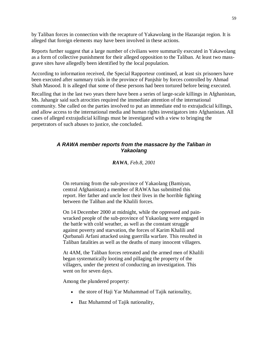by Taliban forces in connection with the recapture of Yakawolang in the Hazarajat region. It is alleged that foreign elements may have been involved in these actions.

Reports further suggest that a large number of civilians were summarily executed in Yakawolang as a form of collective punishment for their alleged opposition to the Taliban. At least two massgrave sites have allegedly been identified by the local population.

According to information received, the Special Rapporteur continued, at least six prisoners have been executed after summary trials in the province of Panjshir by forces controlled by Ahmad Shah Masood. It is alleged that some of these persons had been tortured before being executed.

Recalling that in the last two years there have been a series of large-scale killings in Afghanistan, Ms. Jahangir said such atrocities required the immediate attention of the international community. She called on the parties involved to put an immediate end to extrajudicial killings, and allow access to the international media and human rights investigators into Afghanistan. All cases of alleged extrajudicial killings must be investigated with a view to bringing the perpetrators of such abuses to justice, she concluded.

## *A RAWA member reports from the massacre by the Taliban in Yakaolang*

*RAWA, Feb.8, 2001*

On returning from the sub-province of Yakaolang (Bamiyan, central Afghanistan) a member of RAWA has submitted this report. Her father and uncle lost their lives in the horrible fighting between the Taliban and the Khalili forces.

On 14 December 2000 at midnight, while the oppressed and painwracked people of the sub-province of Yukaolang were engaged in the battle with cold weather, as well as the constant struggle against poverty and starvation, the forces of Karim Khalili and Qurbanali Arfani attacked using guerrilla warfare. This resulted in Taliban fatalities as well as the deaths of many innocent villagers.

At 4AM, the Taliban forces retreated and the armed men of Khalili began systematically looting and pillaging the property of the villagers, under the pretext of conducting an investigation. This went on for seven days.

Among the plundered property:

- the store of Haji Yar Muhammad of Tajik nationality,
- Baz Muhammd of Tajik nationality,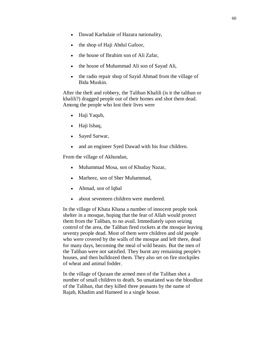- Dawad Karbalaie of Hazara nationality,
- the shop of Haji Abdul Gafoor,
- the house of Ibrahim son of Ali Zafar,
- the house of Muhammad Ali son of Sayad Ali,
- the radio repair shop of Sayid Ahmad from the village of Bida Muskin.

After the theft and robbery, the Taliban Khalili (is it the taliban or khalili?) dragged people out of their homes and shot them dead. Among the people who lost their lives were

- Haji Yaqub,
- Haji Ishaq,
- Sayed Sarwar,
- and an engineer Syed Dawad with his four children.

From the village of Akhundan,

- Muhammad Mosa, son of Khuday Nazar,
- Marheez, son of Sher Muhammad,
- Ahmad, son of Iqbal
- about seventeen children were murdered.

In the village of Khata Khana a number of innocent people took shelter in a mosque, hoping that the fear of Allah would protect them from the Taliban, to no avail. Immediately upon seizing control of the area, the Taliban fired rockets at the mosque leaving seventy people dead. Most of them were children and old people who were covered by the walls of the mosque and left there, dead for many days, becoming the meal of wild beasts. But the men of the Taliban were not satisfied. They burnt any remaining people's houses, and then bulldozed them. They also set on fire stockpiles of wheat and animal fodder.

In the village of Quraan the armed men of the Taliban shot a number of small children to death. So unsatiated was the bloodlust of the Taliban, that they killed three peasants by the name of Rajab, Khadim and Hameed in a single house.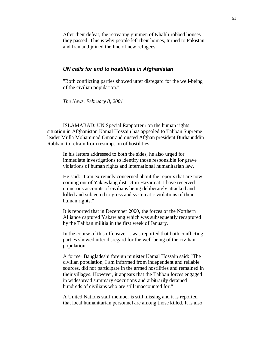After their defeat, the retreating gunmen of Khalili robbed houses they passed. This is why people left their homes, turned to Pakistan and Iran and joined the line of new refugees.

#### *UN calls for end to hostilities in Afghanistan*

"Both conflicting parties showed utter disregard for the well-being of the civilian population."

*The News, February 8, 2001*

ISLAMABAD: UN Special Rapporteur on the human rights situation in Afghanistan Kamal Hossain has appealed to Taliban Supreme leader Mulla Mohammad Omar and ousted Afghan president Burhanuddin Rabbani to refrain from resumption of hostilities.

In his letters addressed to both the sides, he also urged for immediate investigations to identify those responsible for grave violations of human rights and international humanitarian law.

He said: "I am extremely concerned about the reports that are now coming out of Yakawlang district in Hazarajat. I have received numerous accounts of civilians being deliberately attacked and killed and subjected to gross and systematic violations of their human rights."

It is reported that in December 2000, the forces of the Northern Alliance captured Yakawlang which was subsequently recaptured by the Taliban militia in the first week of January.

In the course of this offensive, it was reported that both conflicting parties showed utter disregard for the well-being of the civilian population.

A former Bangladeshi foreign minister Kamal Hossain said: "The civilian population, I am informed from independent and reliable sources, did not participate in the armed hostilities and remained in their villages. However, it appears that the Taliban forces engaged in widespread summary executions and arbitrarily detained hundreds of civilians who are still unaccounted for."

A United Nations staff member is still missing and it is reported that local humanitarian personnel are among those killed. It is also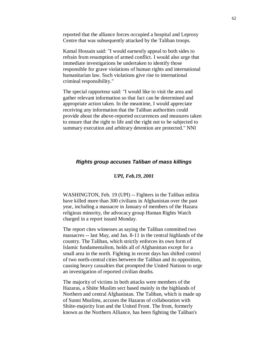reported that the alliance forces occupied a hospital and Leprosy Centre that was subsequently attacked by the Taliban troops.

Kamal Hossain said: "I would earnestly appeal to both sides to refrain from resumption of armed conflict. I would also urge that immediate investigations be undertaken to identify those responsible for grave violations of human rights and international humanitarian law. Such violations give rise to international criminal responsibility."

The special rapporteur said: "I would like to visit the area and gather relevant information so that fact can be determined and appropriate action taken. In the meantime, I would appreciate receiving any information that the Taliban authorities could provide about the above-reported occurrences and measures taken to ensure that the right to life and the right not to be subjected to summary execution and arbitrary detention are protected." NNI

## *Rights group accuses Taliban of mass killings*

#### *UPI, Feb.19, 2001*

WASHINGTON, Feb. 19 (UPI) -- Fighters in the Taliban militia have killed more than 300 civilians in Afghanistan over the past year, including a massacre in January of members of the Hazara religious minority, the advocacy group Human Rights Watch charged in a report issued Monday.

The report cites witnesses as saying the Taliban committed two massacres -- last May, and Jan. 8-11 in the central highlands of the country. The Taliban, which strictly enforces its own form of Islamic fundamentalism, holds all of Afghanistan except for a small area in the north. Fighting in recent days has shifted control of two north-central cities between the Taliban and its opposition, causing heavy casualties that prompted the United Nations to urge an investigation of reported civilian deaths.

The majority of victims in both attacks were members of the Hazaras, a Shiite Muslim sect based mainly in the highlands of Northern and central Afghanistan. The Taliban, which is made up of Sunni Muslims, accuses the Hazaras of collaboration with Shiite-majority Iran and the United Front. The front, formerly known as the Northern Alliance, has been fighting the Taliban's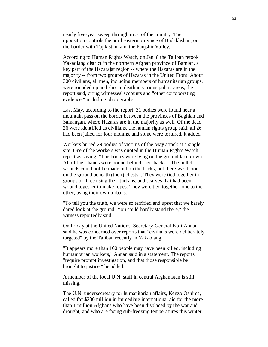nearly five-year sweep through most of the country. The opposition controls the northeastern province of Badakhshan, on the border with Tajikistan, and the Panjshir Valley.

According to Human Rights Watch, on Jan. 8 the Taliban retook Yakaolang district in the northern Afghan province of Bamian, a key part of the Hazarajat region -- where the Hazaras are in the majority -- from two groups of Hazaras in the United Front. About 300 civilians, all men, including members of humanitarian groups, were rounded up and shot to death in various public areas, the report said, citing witnesses' accounts and "other corroborating evidence," including photographs.

Last May, according to the report, 31 bodies were found near a mountain pass on the border between the provinces of Baghlan and Samangan, where Hazaras are in the majority as well. Of the dead, 26 were identified as civilians, the human rights group said; all 26 had been jailed for four months, and some were tortured, it added.

Workers buried 29 bodies of victims of the May attack at a single site. One of the workers was quoted in the Human Rights Watch report as saying: "The bodies were lying on the ground face-down. All of their hands were bound behind their backs....The bullet wounds could not be made out on the backs, but there was blood on the ground beneath (their) chests....They were tied together in groups of three using their turbans, and scarves that had been wound together to make ropes. They were tied together, one to the other, using their own turbans.

"To tell you the truth, we were so terrified and upset that we barely dared look at the ground. You could hardly stand there," the witness reportedly said.

On Friday at the United Nations, Secretary-General Kofi Annan said he was concerned over reports that "civilians were deliberately targeted" by the Taliban recently in Yakaolang.

"It appears more than 100 people may have been killed, including humanitarian workers," Annan said in a statement. The reports "require prompt investigation, and that those responsible be brought to justice," he added.

A member of the local U.N. staff in central Afghanistan is still missing.

The U.N. undersecretary for humanitarian affairs, Kenzo Oshima, called for \$230 million in immediate international aid for the more than 1 million Afghans who have been displaced by the war and drought, and who are facing sub-freezing temperatures this winter.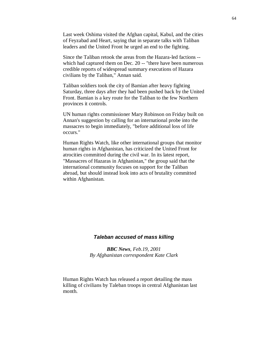Last week Oshima visited the Afghan capital, Kabul, and the cities of Feyzabad and Heart, saying that in separate talks with Taliban leaders and the United Front he urged an end to the fighting.

Since the Taliban retook the areas from the Hazara-led factions - which had captured them on Dec. 20 -- "there have been numerous credible reports of widespread summary executions of Hazara civilians by the Taliban," Annan said.

Taliban soldiers took the city of Bamian after heavy fighting Saturday, three days after they had been pushed back by the United Front. Bamian is a key route for the Taliban to the few Northern provinces it controls.

UN human rights commissioner Mary Robinson on Friday built on Annan's suggestion by calling for an international probe into the massacres to begin immediately, "before additional loss of life occurs."

Human Rights Watch, like other international groups that monitor human rights in Afghanistan, has criticized the United Front for atrocities committed during the civil war. In its latest report, "Massacres of Hazaras in Afghanistan," the group said that the international community focuses on support for the Taliban abroad, but should instead look into acts of brutality committed within Afghanistan.

## *Taleban accused of mass killing*

*BBC News, Feb.19, 2001 By Afghanistan correspondent Kate Clark*

Human Rights Watch has released a report detailing the mass killing of civilians by Taleban troops in central Afghanistan last month.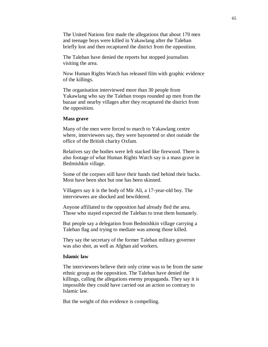The United Nations first made the allegations that about 170 men and teenage boys were killed in Yakawlang after the Taleban briefly lost and then recaptured the district from the opposition.

The Taleban have denied the reports but stopped journalists visiting the area.

Now Human Rights Watch has released film with graphic evidence of the killings.

The organisation interviewed more than 30 people from Yakawlang who say the Taleban troops rounded up men from the bazaar and nearby villages after they recaptured the district from the opposition.

#### **Mass grave**

Many of the men were forced to march to Yakawlang centre where, interviewees say, they were bayoneted or shot outside the office of the British charity Oxfam.

Relatives say the bodies were left stacked like firewood. There is also footage of what Human Rights Watch say is a mass grave in Bedmishkin village.

Some of the corpses still have their hands tied behind their backs. Most have been shot but one has been skinned.

Villagers say it is the body of Mir Ali, a 17-year-old boy. The interviewees are shocked and bewildered.

Anyone affiliated to the opposition had already fled the area. Those who stayed expected the Taleban to treat them humanely.

But people say a delegation from Bedmishkin village carrying a Taleban flag and trying to mediate was among those killed.

They say the secretary of the former Taleban military governor was also shot, as well as Afghan aid workers.

#### **Islamic law**

The interviewees believe their only crime was to be from the same ethnic group as the opposition. The Taleban have denied the killings, calling the allegations enemy propaganda. They say it is impossible they could have carried out an action so contrary to Islamic law.

But the weight of this evidence is compelling.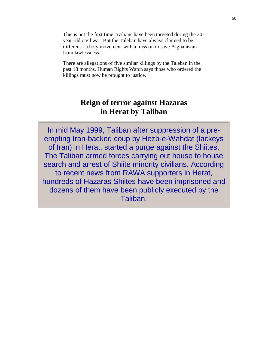This is not the first time civilians have been targeted during the 20 year-old civil war. But the Taleban have always claimed to be different - a holy movement with a mission to save Afghanistan from lawlessness.

There are allegations of five similar killings by the Taleban in the past 18 months. Human Rights Watch says those who ordered the killings must now be brought to justice.

## **Reign of terror against Hazaras in Herat by Taliban**

In mid May 1999, Taliban after suppression of a preempting Iran-backed coup by Hezb-e-Wahdat (lackeys of Iran) in Herat, started a purge against the Shiites. The Taliban armed forces carrying out house to house search and arrest of Shiite minority civilians. According to recent news from RAWA supporters in Herat, hundreds of Hazaras Shiites have been imprisoned and dozens of them have been publicly executed by the Taliban.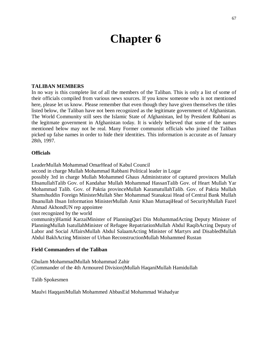## **Chapter 6**

### **TALIBAN MEMBERS**

In no way is this complete list of all the members of the Taliban. This is only a list of some of their officials compiled from various news sources. If you know someone who is not mentioned here, please let us know. Please remember that even though they have given themselves the titles listed below, the Taliban have not been recognized as the legitimate government of Afghanistan. The World Community still sees the Islamic State of Afghanistan, led by President Rabbani as the legitmate government in Afghanistan today. It is widely believed that some of the names mentioned below may not be real. Many Former communist officials who joined the Taliban picked up false names in order to hide their identities. This information is accurate as of January 28th, 1997.

#### **Officials**

LeaderMullah Mohammad OmarHead of Kabul Council

second in charge Mullah Mohammad Rabbani Political leader in Logar

possibly 3rd in charge Mullah Mohammed Ghaus Administrator of captured provinces Mullah EhsanullahTalib Gov. of Kandahar Mullah Mohammad HassanTalib Gov. of Heart Mullah Yar Mohammad Talib. Gov. of Paktia provinceMullah KaramatullahTalib. Gov. of Paktia Mullah Shamshuddin Foreign MinisterMullah Sher Mohammad Stanakzai Head of Central Bank Mullah Ihsanullah Ihsan Information MinisterMullah Amir Khan MuttaqiHead of SecurityMullah Fazel Ahmad AkhondUN rep appointee

(not recognized by the world

community)Hamid KarzaiMinister of PlanningQari Din MohammadActing Deputy Minister of PlanningMullah IsatullahMinister of Refugee RepatriationMullah Abdul RaqibActing Deputy of Labor and Social AffairsMullah Abdul SalaamActing Minister of Martyrs and DisabledMullah Abdul BakhActing Minister of Urban ReconstructionMullah Mohammed Rustan

#### **Field Commanders of the Taliban**

Ghulam MohammadMullah Mohammad Zahir (Commander of the 4th Armoured Division)Mullah HaqaniMullah Hamidullah

Talib Spokesmen

Maulvi HaqqaniMullah Mohammed AbbasEid Mohammad Wahadyar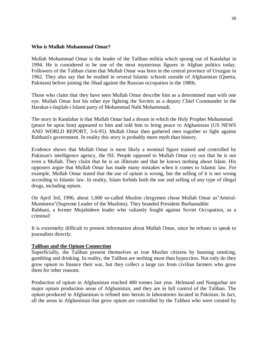## **Who is Mullah Mohammad Omar?**

Mullah Mohammad Omar is the leader of the Taliban militia which sprang out of Kandahar in 1994. He is considered to be one of the most mysterious figures in Afghan politics today. Followers of the Taliban claim that Mullah Omar was born in the central province of Uruzgan in 1962. They also say that he studied in several Islamic schools outside of Afghanistan (Quetta, Pakistan) before joining the Jihad against the Russian occupation in the 1980s.

Those who claim that they have seen Mullah Omar describe him as a determined man with one eye. Mullah Omar lost his other eye fighting the Soviets as a deputy Chief Commander in the Harakat-i-Inqilab-i Islami party of Mohammad Nabi Mohammadi.

The story in Kandahar is that Mullah Omar had a dream in which the Holy Prophet Muhammad (peace be upon him) appeared to him and told him to bring peace to Afghanistan (US NEWS AND WORLD REPORT, 3-6-95). Mullah Omar then gathered men togother to fight against Rabbani's government. In reality this story is probably more myth than history.

Evidence shows that Mullah Omar is most likely a nominal figure trained and controlled by Pakistan's intelligence agency, the ISI. People opposed to Mullah Omar cry out that he is not even a Mullah. They claim that he is an illiterate and that he knows nothing about Islam. His opposers argue that Mullah Omar has made many mistakes when it comes to Islamic law. For example, Mullah Omar stated that the use of opium is wrong, but the selling of it is not wrong according to Islamic law. In reality, Islam forbids both the use and selling of any type of illegal drugs, including opium.

On April 3rd, 1996, about 1,000 so-called Muslim clergymen chose Mullah Omar as"Amirul-Mumineen"(Supreme Leader of the Muslims). They branded President Burhanuddin Rabbani, a former Mujahideen leader who valiantly fought against Soviet Occupation, as a criminal!

It is extremelty difficult to present information about Mullah Omar, since he refuses to speak to journalists directly.

## **Taliban and the Opium Connection**

Superficially, the Taliban present themselves as true Muslim citizens by banning smoking, gambling and drinking. In reality, the Taliban are nothing more than hypocrites. Not only do they grow opium to finance their war, but they collect a large tax from civilian farmers who grow them for other reasons.

Production of opium in Afghanistan reached 400 tonnes last year. Helmand and Nangarhar are major opium production areas of Afghanistan, and they are in full control of the Taliban. The opium produced in Afghanistan is refined into heroin in laboratories located in Pakistan. In fact, all the areas in Afghanistan that grow opium are controlled by the Taliban who were created by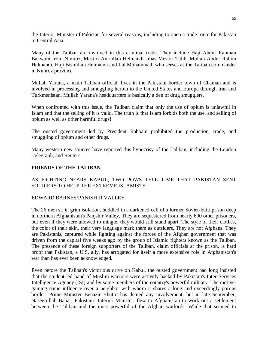the Interior Minister of Pakistan for several reasons, including to open a trade route for Pakistan to Central Asia.

Many of the Taliban are involved in this criminal trade. They include Haji Abdur Rahman Bakwalii from Nimroz, Mestiri Amrullah Helmandi, alias Mestiri Talib, Mullah Abdur Rahim Helmandi, Haji Bismillah Helmandi and Lal Mohammad, who serves as the Taliban commander in Nimroz province.

Mullah Yarana, a main Taliban official, lives in the Pakistani border town of Chaman and is involved in processing and smuggling heroin to the United States and Europe through Iran and Turkmenistan. Mullah Yarana's headquarters is basically a den of drug smugglers.

When confronted with this issue, the Taliban claim that only the use of opium is unlawful in Islam and that the selling of it is valid. The truth is that Islam forbids both the use, and selling of opium as well as other harmful drugs!

The ousted government led by President Rabbani prohibited the production, trade, and smuggling of opium and other drugs.

Many western new sources have reported this hypocrisy of the Taliban, including the London Telegraph, and Reuters.

## **FRIENDS OF THE TALIBAN**

## AS FIGHTING NEARS KABUL, TWO POWS TELL TIME THAT PAKISTAN SENT SOLDIERS TO HELP THE EXTREME ISLAMISTS

## EDWARD BARNES/PANJSHIR VALLEY

The 26 men sit in grim isolation, huddled in a darkened cell of a former Soviet-built prison deep in northern Afghanistan's Panjshir Valley. They are sequestered from nearly 600 other prisoners, but even if they were allowed to mingle, they would still stand apart. The style of their clothes, the color of their skin, their very language mark them as outsiders. They are not Afghans. They are Pakistanis, captured while fighting against the forces of the Afghan government that was driven from the capital five weeks ago by the group of Islamic fighters known as the Taliban. The presence of these foreign supporters of the Taliban, claim officials at the prison, is hard proof that Pakistan, a U.S. ally, has arrogated for itself a more extensive role in Afghanistan's war than has ever been acknowledged.

Even before the Taliban's victorious drive on Kabul, the ousted government had long insisted that the student-led band of Muslim warriors were actively backed by Pakistan's Inter-Services Intelligence Agency (ISI) and by some members of the country's powerful military. The motive: gaining some influence over a neighbor with whom it shares a long and exceedingly porous border. Prime Minister Benazir Bhutto has denied any involvement, but in late September, Naseerullah Babar, Pakistan's Interior Minister, flew to Afghanistan to work out a settlement between the Taliban and the most powerful of the Afghan warlords. While that seemed to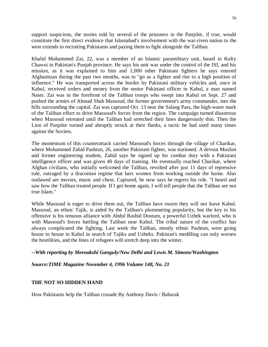support suspicions, the stories told by several of the prisoners in the Panjshir, if true, would constitute the first direct evidence that Islamabad's involvement with the war-riven nation to the west extends to recruiting Pakistanis and paying them to fight alongside the Taliban.

Khalid Mohammed Zai, 22, was a member of an Islamic paramilitary unit, based in Kulty Chawni in Pakistan's Punjab province. He says his unit was under the control of the ISI, and his mission, as it was explained to him and 1,000 other Pakistani fighters he says entered Afghanistan during the past two months, was to "go as a fighter and rise to a high position of influence." He was transported across the border by Pakistani military vehicles and, once in Kabul, received orders and money from the senior Pakistani officer in Kabul, a man named Naser. Zai was in the forefront of the Taliban troops who swept into Kabul on Sept. 27 and pushed the armies of Ahmad Shah Massoud, the former government's army commander, into the hills surrounding the capital. Zai was captured Oct. 13 near the Salang Pass, the high-water mark of the Taliban effort to drive Massoud's forces from the region. The campaign turned disastrous when Massoud retreated until the Taliban had stretched their lines dangerously thin. Then the Lion of Panjshir turned and abruptly struck at their flanks, a tactic he had used many times against the Soviets.

The momentum of this counterattack carried Massoud's forces through the village of Charikar, where Mohammed Zahid Pashtun, 26, another Pakistani fighter, was stationed. A devout Muslim and former engineering student, Zahid says he signed up for combat duty with a Pakistani intelligence officer and was given 40 days of training. He eventually reached Charikar, where Afghan civilians, who initially welcomed the Taliban, revolted after just 11 days of repressive rule, outraged by a draconian regime that bars women from working outside the home. Also outlawed are movies, music and chess. Captured, he now says he regrets his role. "I heard and saw how the Taliban treated people. If I get home again, I will tell people that the Taliban are not true Islam."

While Massoud is eager to drive them out, the Taliban have sworn they will not leave Kabul. Massoud, an ethnic Tajik, is aided by the Taliban's plummeting popularity, but the key to his offensive is his tenuous alliance with Abdul Rashid Dostum, a powerful Uzbek warlord, who is with Massoud's forces battling the Taliban near Kabul. The tribal nature of the conflict has always complicated the fighting. Last week the Taliban, mostly ethnic Pashtun, were going house to house in Kabul in search of Tajiks and Uzbeks. Pakistan's meddling can only worsen the hostilities, and the lines of refugees will stretch deep into the winter.

## *--With reporting by Meenakshi Ganguly/New Delhi and Lewis M. Simons/Washington*

*Source:TIME Magazine November 4, 1996 Volume 148, No. 21*

## **THE NOT SO HIDDEN HAND**

How Pakistanis help the Taliban crusade By Anthony Davis / Baharak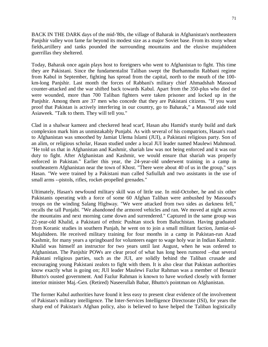BACK IN THE DARK days of the mid-'80s, the village of Baharak in Afghanistan's northeastern Panjshir valley won fame far beyond its modest size as a major Soviet base. From its stony wheat fields,artillery and tanks pounded the surrounding mountains and the elusive mujahideen guerrillas they sheltered.

Today, Baharak once again plays host to foreigners who went to Afghanistan to fight. This time they are Pakistani. Since the fundamentalist Taliban swept the Burhannudin Rabbani regime from Kabul in September, fighting has spread from the capital, north to the mouth of the 100 km-long Panjshir. Last month the forces of Rabbani's military chief Ahmadshah Massoud counter-attacked and the war shifted back towards Kabul. Apart from the 350-plus who died or were wounded, more than 700 Taliban fighters were taken prisoner and locked up in the Panjshir. Among them are 37 men who concede that they are Pakistani citizens. "If you want proof that Pakistan is actively interfering in our country, go to Baharak," a Massoud aide told Asiaweek. "Talk to them. They will tell you."

Clad in a shalwar kameez and checkered head scarf, Hasan abu Hamid's sturdy build and dark complexion mark him as unmistakably Punjabi. As with several of his compatriots, Hasan's road to Afghanistan was smoothed by Jamiat Ulema Islami (JUI), a Pakistani religious party. Son of an alim, or religious scholar, Hasan studied under a local JUI leader named Maulewi Mahmoud. "He told us that in Afghanistan and Kashmir, shariah law was not being enforced and it was our duty to fight. After Afghanistan and Kashmir, we would ensure that shariah was properly enforced in Pakistan." Earlier this year, the 24-year-old underwent training in a camp in southeastern Afghanistan near the town of Khost. "There were about 40 of us in the group," says Hasan. "We were trained by a Pakistani man called Safiullah and two assistants in the use of small arms --pistols, rifles, rocket-propelled grenades."

Ultimately, Hasan's newfound military skill was of little use. In mid-October, he and six other Pakistanis operating with a force of some 60 Afghan Taliban were ambushed by Massoud's troops on the winding Salang Highway. "We were attacked from two sides as darkness fell," recalls the tall Punjabi. "We abandoned the armored vehicles and ran. We moved at night across the mountains and next morning came down and surrendered." Captured in the same group was 22-year-old Khalid, a Pakistani of ethnic Pushtan stock from Baluchistan. Having graduated from Koranic studies in southern Punjab, he went on to join a small militant faction, Jamiat-ul-Mujahideen. He received military training for four months in a camp in Pakistan-run Azad Kashmir, for many years a springboard for volunteers eager to wage holy war in Indian Kashmir. Khalid was himself an instructor for two years until last August, when he was ordered to Afghanistan. The Panjshir POWs are clear proof of what has long been rumored --that several Pakistani religious parties, such as the JUI, are solidly behind the Taliban crusade and encouraging young Pakistani zealots to fight with them. It is also clear that Pakistan authorities know exactly what is going on; JUI leader Maulewi Fazlur Rahman was a member of Benazir Bhutto's ousted government. And Fazlur Rahman is known to have worked closely with former interior minister Maj.-Gen. (Retired) Naseerullah Babar, Bhutto's pointman on Afghanistan.

The former Kabul authorities have found it less easy to present clear evidence of the involvement of Pakistan's military intelligence. The Inter-Services Intelligence Directorate (ISI), for years the sharp end of Pakistan's Afghan policy, also is believed to have helped the Taliban logistically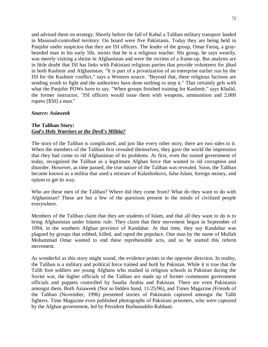and advised them on strategy. Shortly before the fall of Kabul a Taliban military transport landed in Massoud-controlled territory. On board were five Pakistanis. Today they are being held in Panjshir under suspicion that they are ISI officers. The leader of the group, Omar Faruq, a graybearded man in his early 50s, insists that he is a religious teacher. His group, he says wearily, was merely visiting a shrine in Afghanistan and were the victims of a frame-up. But analysts are in little doubt that ISI has links with Pakistani religious parties that provide volunteers for jihad in both Kashmir and Afghanistan. "It is part of a privatization of an enterprise earlier run by the ISI for the Kashmir conflict," says a Western source. "Beyond that, these religious factions are sending youth to fight and the authorities have done nothing to stop it." That certainly gels with what the Panjshir POWs have to say. "When groups finished training for Kashmir," says Khalid, the former instructor, "ISI officers would issue them with weapons, ammunition and 2,000 rupees [\$50] a man."

## *Source: Asiaweek*

## **The Taliban Story:**  *God's Holy Warriors or the Devil's Militia?*

The story of the Taliban is complicated, and just like every other story, there are two sides to it. When the members of the Taliban first revealed themselves, they gave the world the impression that they had come to rid Afghanistan of its problems. At first, even the ousted government of today, recognized the Taliban as a legitimate Afghan force that wanted to rid corruption and disorder. However, as time passed, the true nature of the Taliban was revealed. Soon, the Taliban became known as a militia that used a mixture of Kalashnikovs, false Islam, foreign money, and opium to get its way.

Who are these men of the Taliban? Where did they come from? What do they want to do with Afghanistan? These are but a few of the questions present in the minds of civilized people everywhere.

Members of the Taliban claim that they are students of Islam, and that all they want to do is to bring Afghanistan under Islamic rule. They claim that their movement began in September of 1994, in the southern Afghan province of Kandahar. At that time, they say Kandahar was plagued by groups that robbed, killed, and raped the populace. One man by the name of Mullah Mohammad Omar wanted to end these reprehensible acts, and so he started this reform movement.

As wonderful as this story might sound, the evidence points in the opposite direction. In reality, the Taliban is a military and political force trained and built by Pakistan. While it is true that the Talib foot soldiers are young Afghans who studied in religous schools in Pakistan during the Soviet war, the higher officials of the Taliban are made up of former communist government officials and puppets controlled by Saudia Arabia and Pakistan. There are even Pakistanis amongst them. Both Asiaweek (Not so hidden hand, 11/25/96), and Times Magazine (Friends of the Taliban (November, 1996) presented stories of Pakistanis captured amongst the Talib fighters. Time Magazine even published photographs of Pakistani prisoners, who were captured by the Afghan government, led by President Burhanuddin Rabbani.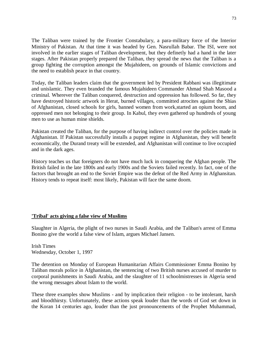The Taliban were trained by the Frontier Constabulary, a para-military force of the Interior Ministry of Pakistan. At that time it was headed by Gen. Nasrullah Babar. The ISI, were not involved in the earlier stages of Taliban development, but they definetly had a hand in the later stages. After Pakistan properly prepared the Taliban, they spread the news that the Taliban is a group fighting the corruption amongst the Mujahideen, on grounds of Islamic convictions and the need to establish peace in that country.

Today, the Taliban leaders claim that the government led by President Rabbani was illegitimate and unislamic. They even branded the famous Mujahideen Commander Ahmad Shah Masood a criminal. Wherever the Taliban conquered, destruction and oppression has followed. So far, they have destroyed historic artwork in Herat, burned villages, committed atrocites against the Shias of Afghanistan, closed schools for girls, banned women from work,started an opium boom, and oppressed men not belonging to their group. In Kabul, they even gathered up hundreds of young men to use as human mine shields.

Pakistan created the Taliban, for the purpose of having indirect control over the policies made in Afghanistan. If Pakistan successfully installs a puppet regime in Afghanistan, they will benefit economically, the Durand treaty will be extended, and Afghanistan will continue to live occupied and in the dark ages.

History teaches us that foreigners do not have much luck in conquering the Afghan people. The British failed in the late 1800s and early 1900s and the Soviets failed recently. In fact, one of the factors that brought an end to the Soviet Empire was the defeat of the Red Army in Afghansitan. History tends to repeat itself: most likely, Pakistan will face the same doom.

### **'Tribal' acts giving a false view of Muslims**

Slaughter in Algeria, the plight of two nurses in Saudi Arabia, and the Taliban's arrest of Emma Bonino give the world a false view of Islam, argues Michael Jansen.

Irish Times Wednesday, October 1, 1997

The detention on Monday of European Humanitarian Affairs Commissioner Emma Bonino by Taliban morals police in Afghanistan, the sentencing of two British nurses accused of murder to corporal punishments in Saudi Arabia, and the slaughter of 11 schoolmistresses in Algeria send the wrong messages about Islam to the world.

These three examples show Muslims - and by implication their religion - to be intolerant, harsh and bloodthirsty. Unfortunately, these actions speak louder than the words of God set down in the Koran 14 centuries ago, louder than the just pronouncements of the Prophet Muhammad,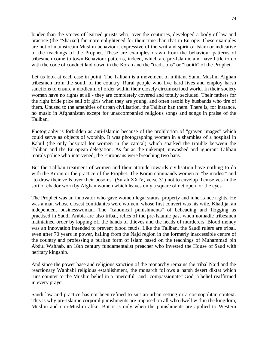louder than the voices of learned jurists who, over the centuries, developed a body of law and practice (the "Sharia") far more enlightened for their time than that in Europe. These examples are not of mainstream Muslim behaviour, expressive of the writ and spirit of Islam or indicative of the teachings of the Prophet. These are examples drawn from the behaviour patterns of tribesmen come to town.Behaviour patterns, indeed, which are pre-Islamic and have little to do with the code of conduct laid down in the Koran and the "traditions" or "hadith" of the Prophet.

Let us look at each case in point. The Taliban is a movement of militant Sunni Muslim Afghan tribesmen from the south of the country. Rural people who live hard lives and employ harsh sanctions to ensure a modicum of order within their closely circumscribed world. In their society women have no rights at all - they are completely covered and totally secluded. Their fathers for the right bride price sell off girls when they are young, and often resold by husbands who tire of them. Unused to the amenities of urban civilisation, the Taliban ban them. There is, for instance, no music in Afghanistan except for unaccompanied religious songs and songs in praise of the Taliban.

Photography is forbidden as anti-Islamic because of the prohibition of "graven images" which could serve as objects of worship. It was photographing women in a shambles of a hospital in Kabul (the only hospital for women in the capital) which sparked the trouble between the Taliban and the European delegation. As far as the unkempt, unwashed and ignorant Taliban morals police who intervened, the Europeans were breaching two bans.

But the Taliban treatment of women and their attitude towards civilisation have nothing to do with the Koran or the practice of the Prophet. The Koran commands women to "be modest" and "to draw their veils over their bosoms" (Surah XXIV, verse 31) not to envelop themselves in the sort of chador worn by Afghan women which leaves only a square of net open for the eyes.

The Prophet was an innovator who gave women legal status, property and inheritance rights. He was a man whose closest confidantes were women, whose first convert was his wife, Khadija, an independent businesswoman. The "canonical punishments" of beheading and flogging as practised in Saudi Arabia are also tribal, relics of the pre-Islamic past when nomadic tribesmen maintained order by lopping off the hands of thieves and the heads of murderers. Blood money was an innovation intended to prevent blood feuds. Like the Taliban, the Saudi rulers are tribal, even after 70 years in power, hailing from the Najd region in the formerly inaccessible centre of the country and professing a puritan form of Islam based on the teachings of Muhammad bin Abdul Wahhab, an 18th century fundamentalist preacher who invested the House of Saud with heritary kingship.

And since the power base and religious sanction of the monarchy remains the tribal Najd and the reactionary Wahhabi religious establishment, the monarch follows a harsh desert diktat which runs counter to the Muslim belief in a "merciful" and "compassionate" God, a belief reaffirmed in every prayer.

Saudi law and practice has not been refined to suit an urban setting or a cosmopolitan context. This is why pre-Islamic corporal punishments are imposed on all who dwell within the kingdom, Muslim and non-Muslim alike. But it is only when the punishments are applied to Western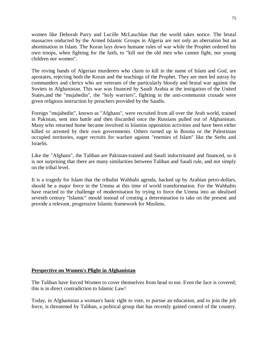women like Deborah Parry and Lucille McLauchlan that the world takes notice. The brutal massacres onducted by the Armed Islamic Groups in Algeria are not only an aberration but an abomination in Islam. The Koran lays down humane rules of war while the Prophet ordered his own troops, when fighting for the faith, to "kill not the old men who cannot fight, nor young children nor women".

The roving bands of Algerian murderers who claim to kill in the name of Islam and God, are apostates, rejecting both the Koran and the teachings of the Prophet. They are men led astray by commanders and clerics who are veterans of the particularly bloody and brutal war against the Soviets in Afghanistan. This war was financed by Saudi Arabia at the instigation of the United States,and the "mujahedin", the "holy warriors", fighting in the anti-communist crusade were given religious instruction by preachers provided by the Saudis.

Foreign "mujahedin", known as "Afghans", were recruited from all over the Arab world, trained in Pakistan, sent into battle and then discarded once the Russians pulled out of Afghanistan. Many who returned home became involved in Islamist opposition activities and have been either killed or arrested by their own governments. Others turned up in Bosnia or the Palestinian occupied territories, eager recruits for warfare against "enemies of Islam" like the Serbs and Israelis.

Like the "Afghans", the Taliban are Pakistan-trained and Saudi indoctrinated and financed, so it is not surprising that there are many similarities between Taliban and Saudi rule, and not simply on the tribal level.

It is a tragedy for Islam that the tribalist Wahhabi agenda, backed up by Arabian petro-dollars, should be a major force in the Umma at this time of world transformation. For the Wahhabis have reacted to the challenge of modernisation by trying to force the Umma into an idealised seventh century "Islamic" mould instead of creating a determination to take on the present and provide a relevant, progressive Islamic framework for Muslims.

### **Perspective on Women's Plight in Afghanistan**

The Taliban have forced Women to cover themselves from head to toe. Even the face is covered; this is in direct contradiction to Islamic Law!

Today, in Afghanistan a woman's basic right to vote, to pursue an education, and to join the job force, is threatened by Taliban, a political group that has recently gained control of the country.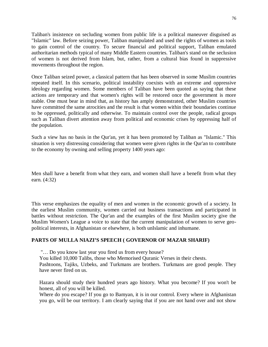Taliban's insistence on secluding women from public life is a political maneuver disguised as "Islamic" law. Before seizing power, Taliban manipulated and used the rights of women as tools to gain control of the country. To secure financial and political support, Taliban emulated authoritarian methods typical of many Middle Eastern countries. Taliban's stand on the seclusion of women is not derived from Islam, but, rather, from a cultural bias found in suppressive movements throughout the region.

Once Taliban seized power, a classical pattern that has been observed in some Muslim countries repeated itself. In this scenario, political instability coexists with an extreme and oppressive ideology regarding women. Some members of Taliban have been quoted as saying that these actions are temporary and that women's rights will be restored once the government is more stable. One must bear in mind that, as history has amply demonstrated, other Muslim countries have committed the same atrocities and the result is that women within their boundaries continue to be oppressed, politically and otherwise. To maintain control over the people, radical groups such as Taliban divert attention away from political and economic crises by oppressing half of the population.

Such a view has no basis in the Qur'an, yet it has been promoted by Taliban as "Islamic." This situation is very distressing considering that women were given rights in the Qur'an to contribute to the economy by owning and selling property 1400 years ago:

Men shall have a benefit from what they earn, and women shall have a benefit from what they earn. (4:32)

This verse emphasizes the equality of men and women in the economic growth of a society. In the earliest Muslim community, women carried out business transactions and participated in battles without restriction. The Qur'an and the examples of the first Muslim society give the Muslim Women's League a voice to state that the current manipulation of women to serve geopolitical interests, in Afghanistan or elsewhere, is both unIslamic and inhumane.

### **PARTS OF MULLA NIAZI'S SPEECH ( GOVERNOR OF MAZAR SHARIF)**

"… Do you know last year you fired us from every house?

You killed 10,000 Talibs, those who Memorised Quranic Verses in their chests.

Pashtoons, Tajiks, Uzbeks, and Turkmans are brothers. Turkmans are good people. They have never fired on us.

Hazara should study their hundred years ago history. What you become? If you won't be honest, all of you will be killed.

Where do you escape? If you go to Bamyan, it is in our control. Every where in Afghanistan you go, will be our territory. I am clearly saying that if you are not hand over and not show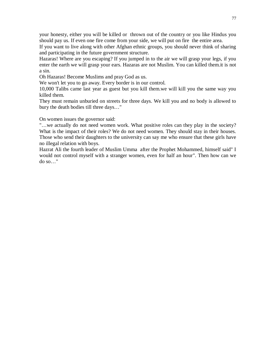your honesty, either you will be killed or thrown out of the country or you like Hindus you should pay us. If even one fire come from your side, we will put on fire the entire area.

If you want to live along with other Afghan ethnic groups, you should never think of sharing and participating in the future government structure.

Hazaras! Where are you escaping? If you jumped in to the air we will grasp your legs, if you enter the earth we will grasp your ears. Hazaras are not Muslim. You can killed them.it is not a sin.

Oh Hazaras! Become Muslims and pray God as us.

We won't let you to go away. Every border is in our control.

10,000 Talibs came last year as guest but you kill them.we will kill you the same way you killed them.

They must remain unburied on streets for three days. We kill you and no body is allowed to bury the death bodies till three days…"

On women issues the governor said:

"…we actually do not need women work. What positive roles can they play in the society? What is the impact of their roles? We do not need women. They should stay in their houses. Those who send their daughters to the university can say me who ensure that these girls have no illegal relation with boys.

Hazrat Ali the fourth leader of Muslim Umma after the Prophet Mohammed, himself said" I would not control myself with a stranger women, even for half an hour". Then how can we do so…"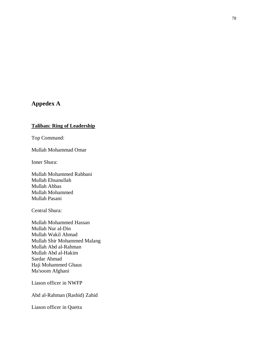# **Appedex A**

## **Taliban: Ring of Leadership**

Top Command:

Mullah Mohammad Omar

Inner Shura:

Mullah Mohammed Rabbani Mullah Ehsanullah Mullah Abbas Mullah Mohammed Mullah Pasani

Central Shura:

Mullah Mohammed Hassan Mullah Nur al-Din Mullah Wakil Ahmad Mullah Shir Mohammed Malang Mullah Abd al-Rahman Mullah Abd al-Hakim Sardar Ahmad Haji Mohammed Ghaus Ma'soom Afghani

Liason officer in NWFP

Abd al-Rahman (Rashid) Zahid

Liason officer in Quetta